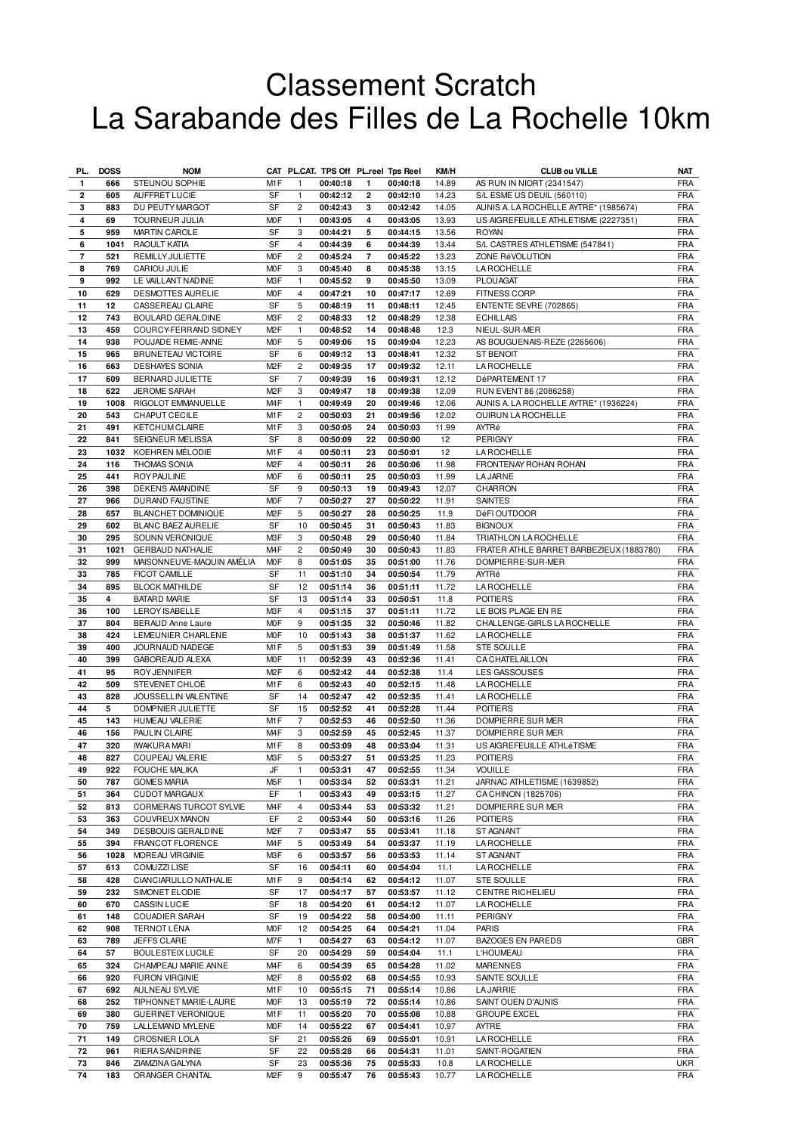## Classement Scratch La Sarabande des Filles de La Rochelle 10km

| PL.                     | <b>DOSS</b> | <b>NOM</b>                |                  |                |          |                | CAT PL.CAT. TPS Off PL.reel Tps Reel | KM/H  | <b>CLUB ou VILLE</b>                     | <b>NAT</b> |
|-------------------------|-------------|---------------------------|------------------|----------------|----------|----------------|--------------------------------------|-------|------------------------------------------|------------|
| $\mathbf{1}$            | 666         | STEUNOU SOPHIE            | M <sub>1</sub> F | $\mathbf{1}$   | 00:40:18 | 1              | 00:40:18                             | 14.89 | AS RUN IN NIORT (2341547)                | <b>FRA</b> |
| $\overline{\mathbf{2}}$ | 605         | AUFFRET LUCIE             | <b>SF</b>        | $\mathbf{1}$   | 00:42:12 | 2              | 00:42:10                             | 14.23 | S/L ESME US DEUIL (560110)               | <b>FRA</b> |
| 3                       | 883         | <b>DU PEUTY MARGOT</b>    | SF               | $\overline{c}$ | 00:42:43 | 3              | 00:42:42                             | 14.05 | AUNIS A. LA ROCHELLE AYTRE* (1985674)    | <b>FRA</b> |
| 4                       | 69          | TOURNEUR JULIA            | M <sub>O</sub> F | $\mathbf{1}$   | 00:43:05 | 4              | 00:43:05                             | 13.93 | US AIGREFEUILLE ATHLETISME (2227351)     | <b>FRA</b> |
| 5                       | 959         | <b>MARTIN CAROLE</b>      | SF               | 3              | 00:44:21 | 5              | 00:44:15                             | 13.56 | <b>ROYAN</b>                             | <b>FRA</b> |
| 6                       | 1041        | <b>RAOULT KATIA</b>       | SF               | $\overline{4}$ | 00:44:39 | 6              | 00:44:39                             | 13.44 | S/L CASTRES ATHLETISME (547841)          | <b>FRA</b> |
| $\overline{7}$          | 521         | REMILLY JULIETTE          | M <sub>O</sub> F | $\overline{c}$ | 00:45:24 | $\overline{7}$ | 00:45:22                             | 13.23 | ZONE RéVOLUTION                          | <b>FRA</b> |
|                         |             |                           | M <sub>O</sub> F |                |          |                |                                      |       |                                          |            |
| 8                       | 769         | CARIOU JULIE              |                  | 3              | 00:45:40 | 8              | 00:45:38                             | 13.15 | <b>LA ROCHELLE</b>                       | <b>FRA</b> |
| 9                       | 992         | LE VAILLANT NADINE        | M3F              | $\mathbf{1}$   | 00:45:52 | 9              | 00:45:50                             | 13.09 | <b>PLOUAGAT</b>                          | <b>FRA</b> |
| 10                      | 629         | DESMOTTES AURELIE         | M <sub>O</sub> F | 4              | 00:47:21 | 10             | 00:47:17                             | 12.69 | <b>FITNESS CORP</b>                      | <b>FRA</b> |
| 11                      | 12          | CASSEREAU CLAIRE          | <b>SF</b>        | 5              | 00:48:19 | 11             | 00:48:11                             | 12.45 | ENTENTE SEVRE (702865)                   | <b>FRA</b> |
| 12                      | 743         | BOULARD GERALDINE         | M3F              | $\overline{c}$ | 00:48:33 | 12             | 00:48:29                             | 12.38 | <b>ECHILLAIS</b>                         | <b>FRA</b> |
| 13                      | 459         | COURCY-FERRAND SIDNEY     | M <sub>2</sub> F | $\mathbf{1}$   | 00:48:52 | 14             | 00:48:48                             | 12.3  | NIEUL-SUR-MER                            | <b>FRA</b> |
| 14                      | 938         | POUJADE REMIE-ANNE        | M <sub>O</sub> F | 5              | 00:49:06 | 15             | 00:49:04                             | 12.23 | AS BOUGUENAIS-REZE (2265606)             | <b>FRA</b> |
| 15                      | 965         | BRUNETEAU VICTOIRE        | SF               | 6              | 00:49:12 | 13             | 00:48:41                             | 12.32 | <b>ST BENOIT</b>                         | <b>FRA</b> |
| 16                      | 663         | <b>DESHAYES SONIA</b>     | M <sub>2</sub> F | $\overline{c}$ | 00:49:35 | 17             | 00:49:32                             | 12.11 | LA ROCHELLE                              | <b>FRA</b> |
| 17                      | 609         | BERNARD JULIETTE          | SF               | $\overline{7}$ | 00:49:39 | 16             | 00:49:31                             | 12.12 | DéPARTEMENT 17                           | <b>FRA</b> |
| 18                      | 622         | JEROME SARAH              | M <sub>2</sub> F | 3              | 00:49:47 | 18             | 00:49:38                             | 12.09 | RUN EVENT 86 (2086258)                   | <b>FRA</b> |
| 19                      | 1008        | RIGOLOT EMMANUELLE        | M <sub>4</sub> F | $\mathbf{1}$   | 00:49:49 | 20             | 00:49:46                             | 12.06 | AUNIS A. LA ROCHELLE AYTRE* (1936224)    | <b>FRA</b> |
| 20                      | 543         | CHAPUT CECILE             | M <sub>1</sub> F | $\overline{c}$ | 00:50:03 | 21             | 00:49:56                             | 12.02 | OUIRUN LA ROCHELLE                       | <b>FRA</b> |
| 21                      | 491         | <b>KETCHUM CLAIRE</b>     | M <sub>1</sub> F | 3              | 00:50:05 | 24             | 00:50:03                             | 11.99 | AYTRé                                    | <b>FRA</b> |
| 22                      | 841         | SEIGNEUR MELISSA          | SF               | 8              | 00:50:09 | 22             | 00:50:00                             | 12    | PERIGNY                                  | <b>FRA</b> |
| 23                      | 1032        | KOEHREN MÉLODIE           | M1F              | $\overline{4}$ | 00:50:11 | 23             | 00:50:01                             | 12    | LA ROCHELLE                              | <b>FRA</b> |
|                         |             |                           |                  |                |          |                |                                      |       |                                          |            |
| 24                      | 116         | THOMAS SONIA              | M <sub>2</sub> F | 4              | 00:50:11 | 26             | 00:50:06                             | 11.98 | FRONTENAY ROHAN ROHAN                    | <b>FRA</b> |
| 25                      | 441         | <b>ROY PAULINE</b>        | M <sub>O</sub> F | 6              | 00:50:11 | 25             | 00:50:03                             | 11.99 | <b>LA JARNE</b>                          | <b>FRA</b> |
| 26                      | 398         | <b>DEKENS AMANDINE</b>    | SF               | 9              | 00:50:13 | 19             | 00:49:43                             | 12.07 | CHARRON                                  | <b>FRA</b> |
| 27                      | 966         | DURAND FAUSTINE           | M <sub>O</sub> F | $\overline{7}$ | 00:50:27 | 27             | 00:50:22                             | 11.91 | <b>SAINTES</b>                           | <b>FRA</b> |
| 28                      | 657         | <b>BLANCHET DOMINIQUE</b> | M <sub>2</sub> F | 5              | 00:50:27 | 28             | 00:50:25                             | 11.9  | DéFI OUTDOOR                             | <b>FRA</b> |
| 29                      | 602         | BLANC BAEZ AURELIE        | SF               | 10             | 00:50:45 | 31             | 00:50:43                             | 11.83 | <b>BIGNOUX</b>                           | <b>FRA</b> |
| 30                      | 295         | SOUNN VERONIQUE           | M <sub>3</sub> F | 3              | 00:50:48 | 29             | 00:50:40                             | 11.84 | TRIATHLON LA ROCHELLE                    | <b>FRA</b> |
| 31                      | 1021        | <b>GERBAUD NATHALIE</b>   | M <sub>4F</sub>  | $\overline{c}$ | 00:50:49 | 30             | 00:50:43                             | 11.83 | FRATER ATHLE BARRET BARBEZIEUX (1883780) | <b>FRA</b> |
| 32                      | 999         | MAISONNEUVE-MAQUIN AMÉLIA | M <sub>O</sub> F | 8              | 00:51:05 | 35             | 00:51:00                             | 11.76 | DOMPIERRE-SUR-MER                        | <b>FRA</b> |
| 33                      | 785         | FICOT CAMILLE             | SF               | 11             | 00:51:10 | 34             | 00:50:54                             | 11.79 | AYTRé                                    | <b>FRA</b> |
| 34                      | 895         | <b>BLOCK MATHILDE</b>     | SF               | 12             | 00:51:14 | 36             | 00:51:11                             | 11.72 | <b>LA ROCHELLE</b>                       | <b>FRA</b> |
| 35                      | 4           | <b>BATARD MARIE</b>       | SF               | 13             | 00:51:14 | 33             | 00:50:51                             | 11.8  | <b>POITIERS</b>                          | <b>FRA</b> |
| 36                      | 100         | LEROY ISABELLE            | M3F              | $\overline{4}$ | 00:51:15 | 37             | 00:51:11                             | 11.72 | LE BOIS PLAGE EN RE                      | <b>FRA</b> |
| 37                      | 804         | <b>BERAUD Anne Laure</b>  | <b>MOF</b>       | 9              | 00:51:35 | 32             | 00:50:46                             | 11.82 | CHALLENGE-GIRLS LA ROCHELLE              | <b>FRA</b> |
| 38                      | 424         | LEMEUNIER CHARLENE        | <b>MOF</b>       | 10             | 00:51:43 | 38             | 00:51:37                             | 11.62 | LA ROCHELLE                              | <b>FRA</b> |
| 39                      | 400         | JOURNAUD NADEGE           | M <sub>1</sub> F | 5              | 00:51:53 | 39             | 00:51:49                             | 11.58 | <b>STE SOULLE</b>                        | <b>FRA</b> |
| 40                      | 399         | GABOREAUD ALEXA           | M <sub>O</sub> F | 11             | 00:52:39 | 43             | 00:52:36                             | 11.41 | <b>CA CHATELAILLON</b>                   | <b>FRA</b> |
| 41                      | 95          | <b>ROY JENNIFER</b>       | M <sub>2</sub> F | 6              | 00:52:42 | 44             | 00:52:38                             | 11.4  | LES GASSOUSES                            | <b>FRA</b> |
| 42                      | 509         | STEVENET CHLOÉ            | M1F              | 6              | 00:52:43 | 40             | 00:52:15                             | 11.48 | <b>LA ROCHELLE</b>                       | <b>FRA</b> |
| 43                      | 828         | JOUSSELLIN VALENTINE      | SF               | 14             | 00:52:47 | 42             | 00:52:35                             | 11.41 | LA ROCHELLE                              | <b>FRA</b> |
| 44                      | 5           | DOMPNIER JULIETTE         | SF               | 15             | 00:52:52 | 41             | 00:52:28                             | 11.44 | <b>POITIERS</b>                          | <b>FRA</b> |
| 45                      | 143         | HUMEAU VALERIE            | M1F              | 7              | 00:52:53 | 46             | 00:52:50                             | 11.36 | DOMPIERRE SUR MER                        | <b>FRA</b> |
| 46                      | 156         | PAULIN CLAIRE             | M <sub>4</sub> F | 3              | 00:52:59 | 45             | 00:52:45                             | 11.37 | DOMPIERRE SUR MER                        | <b>FRA</b> |
|                         |             |                           |                  |                |          |                |                                      |       |                                          |            |
| 47                      | 320         | <b>IWAKURA MARI</b>       | M1F              | 8              | 00:53:09 | 48             | 00:53:04                             | 11.31 | US AIGREFEUILLE ATHLéTISME               | <b>FRA</b> |
| 48                      | 827         | COUPEAU VALERIE           | M3F              | 5              | 00:53:27 | 51             | 00:53:25                             | 11.23 | <b>POITIERS</b>                          | <b>FRA</b> |
| 49                      | 922         | <b>FOUCHE MALIKA</b>      | JF               | 1              | 00:53:31 | 47             | 00:52:55                             | 11.34 | <b>VOUILLE</b>                           | FRA        |
| 50                      | 787         | <b>GOMES MARIA</b>        | M <sub>5</sub> F | $\mathbf{1}$   | 00:53:34 | 52             | 00:53:31                             | 11.21 | JARNAC ATHLETISME (1639852)              | <b>FRA</b> |
| 51                      | 364         | <b>CUDOT MARGAUX</b>      | EF               | $\mathbf{1}$   | 00:53:43 | 49             | 00:53:15                             | 11.27 | CACHINON (1825706)                       | <b>FRA</b> |
| 52                      | 813         | CORMERAIS TURCOT SYLVIE   | M <sub>4</sub> F | 4              | 00:53:44 | 53             | 00:53:32                             | 11.21 | DOMPIERRE SUR MER                        | <b>FRA</b> |
| 53                      | 363         | COUVREUX MANON            | EF               | $\overline{c}$ | 00:53:44 | 50             | 00:53:16                             | 11.26 | <b>POITIERS</b>                          | <b>FRA</b> |
| 54                      | 349         | DESBOUIS GERALDINE        | M <sub>2</sub> F | $\overline{7}$ | 00:53:47 | 55             | 00:53:41                             | 11.18 | ST AGNANT                                | <b>FRA</b> |
| 55                      | 394         | FRANCOT FLORENCE          | M <sub>4</sub> F | 5              | 00:53:49 | 54             | 00:53:37                             | 11.19 | <b>LA ROCHELLE</b>                       | <b>FRA</b> |
| 56                      | 1028        | MOREAU VIRGINIE           | M3F              | 6              | 00:53:57 | 56             | 00:53:53                             | 11.14 | ST AGNANT                                | <b>FRA</b> |
| 57                      | 613         | <b>COMUZZI LISE</b>       | SF               | 16             | 00:54:11 | 60             | 00:54:04                             | 11.1  | LA ROCHELLE                              | <b>FRA</b> |
| 58                      | 428         | CIANCIARULLO NATHALIE     | M1F              | 9              | 00:54:14 | 62             | 00:54:12                             | 11.07 | <b>STE SOULLE</b>                        | <b>FRA</b> |
| 59                      | 232         | SIMONET ELODIE            | SF               | 17             | 00:54:17 | 57             | 00:53:57                             | 11.12 | <b>CENTRE RICHELIEU</b>                  | <b>FRA</b> |
| 60                      | 670         | <b>CASSIN LUCIE</b>       | SF               | 18             | 00:54:20 | 61             | 00:54:12                             | 11.07 | <b>LA ROCHELLE</b>                       | <b>FRA</b> |
| 61                      | 148         | COUADIER SARAH            | SF               | 19             | 00:54:22 | 58             | 00:54:00                             | 11.11 | <b>PERIGNY</b>                           | <b>FRA</b> |
| 62                      | 908         | <b>TERNOT LÉNA</b>        | <b>MOF</b>       | 12             | 00:54:25 | 64             | 00:54:21                             | 11.04 | <b>PARIS</b>                             | <b>FRA</b> |
| 63                      | 789         | <b>JEFFS CLARE</b>        | M7F              | $\mathbf{1}$   | 00:54:27 | 63             | 00:54:12                             | 11.07 | <b>BAZOGES EN PAREDS</b>                 | GBR        |
| 64                      | 57          | <b>BOULESTEIX LUCILE</b>  | SF               | 20             | 00:54:29 | 59             | 00:54:04                             | 11.1  | <b>L'HOUMEAU</b>                         | <b>FRA</b> |
| 65                      | 324         | CHAMPEAU MARIE ANNE       | M <sub>4</sub> F | 6              | 00:54:39 | 65             | 00:54:28                             | 11.02 | <b>MARENNES</b>                          | <b>FRA</b> |
|                         |             |                           | M <sub>2</sub> F |                |          |                |                                      |       |                                          |            |
| 66                      | 920         | <b>FURON VIRGINIE</b>     |                  | 8              | 00:55:02 | 68             | 00:54:55                             | 10.93 | SAINTE SOULLE                            | <b>FRA</b> |
| 67                      | 692         | AULNEAU SYLVIE            | M1F              | 10             | 00:55:15 | 71             | 00:55:14                             | 10.86 | <b>LA JARRIE</b>                         | <b>FRA</b> |
| 68                      | 252         | TIPHONNET MARIE-LAURE     | <b>MOF</b>       | 13             | 00:55:19 | 72             | 00:55:14                             | 10.86 | SAINT OUEN D'AUNIS                       | <b>FRA</b> |
| 69                      | 380         | <b>GUERINET VERONIQUE</b> | M1F              | 11             | 00:55:20 | 70             | 00:55:08                             | 10.88 | <b>GROUPE EXCEL</b>                      | <b>FRA</b> |
| 70                      | 759         | LALLEMAND MYLENE          | M <sub>O</sub> F | 14             | 00:55:22 | 67             | 00:54:41                             | 10.97 | AYTRE                                    | <b>FRA</b> |
| 71                      | 149         | <b>CROSNIER LOLA</b>      | SF               | 21             | 00:55:26 | 69             | 00:55:01                             | 10.91 | <b>LA ROCHELLE</b>                       | <b>FRA</b> |
| 72                      | 961         | <b>RIERA SANDRINE</b>     | SF               | 22             | 00:55:28 | 66             | 00:54:31                             | 11.01 | SAINT-ROGATIEN                           | <b>FRA</b> |
| 73                      | 846         | ZIAMZINA GALYNA           | SF               | 23             | 00:55:36 | 75             | 00:55:33                             | 10.8  | LA ROCHELLE                              | <b>UKR</b> |
| 74                      | 183         | ORANGER CHANTAL           | M <sub>2</sub> F | 9              | 00:55:47 | 76             | 00:55:43                             | 10.77 | <b>LAROCHELLE</b>                        | <b>FRA</b> |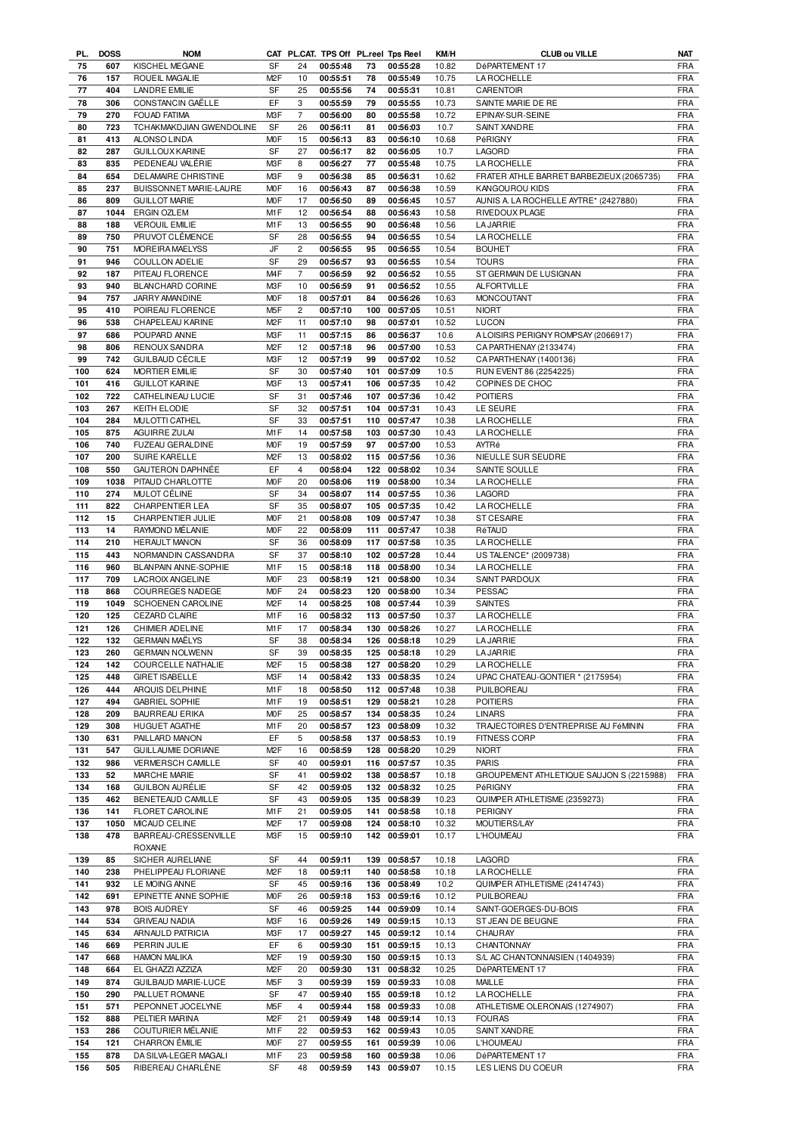| PL. | <b>DOSS</b> | <b>NOM</b>                 |                  |                | CAT PL.CAT. TPS Off PL.reel Tps Reel |     |              | KM/H  | <b>CLUB ou VILLE</b>                     | NAT        |
|-----|-------------|----------------------------|------------------|----------------|--------------------------------------|-----|--------------|-------|------------------------------------------|------------|
| 75  | 607         | KISCHEL MEGANE             | <b>SF</b>        | 24             | 00:55:48                             | 73  | 00:55:28     | 10.82 | DéPARTEMENT 17                           | <b>FRA</b> |
| 76  | 157         | ROUEIL MAGALIE             | M <sub>2</sub> F | 10             | 00:55:51                             | 78  | 00:55:49     | 10.75 | <b>LA ROCHELLE</b>                       | <b>FRA</b> |
| 77  | 404         | <b>LANDRE EMILIE</b>       | <b>SF</b>        | 25             | 00:55:56                             | 74  | 00:55:31     | 10.81 | CARENTOIR                                | <b>FRA</b> |
| 78  | 306         | CONSTANCIN GAËLLE          | EF               | 3              | 00:55:59                             | 79  | 00:55:55     | 10.73 | SAINTE MARIE DE RE                       | <b>FRA</b> |
| 79  | 270         | <b>FOUAD FATIMA</b>        | M <sub>3</sub> F | $\overline{7}$ | 00:56:00                             | 80  | 00:55:58     | 10.72 | EPINAY-SUR-SEINE                         | <b>FRA</b> |
| 80  | 723         | TCHAKMAKDJIAN GWENDOLINE   | <b>SF</b>        | 26             | 00:56:11                             | 81  | 00:56:03     | 10.7  | SAINT XANDRE                             | <b>FRA</b> |
| 81  | 413         | ALONSO LINDA               | <b>MOF</b>       | 15             | 00:56:13                             | 83  | 00:56:10     | 10.68 | PéRIGNY                                  | <b>FRA</b> |
|     |             |                            |                  |                |                                      |     |              |       |                                          |            |
| 82  | 287         | <b>GUILLOUX KARINE</b>     | <b>SF</b>        | 27             | 00:56:17                             | 82  | 00:56:05     | 10.7  | LAGORD                                   | <b>FRA</b> |
| 83  | 835         | PEDENEAU VALÉRIE           | M3F              | 8              | 00:56:27                             | 77  | 00:55:48     | 10.75 | LA ROCHELLE                              | <b>FRA</b> |
| 84  | 654         | DELAMAIRE CHRISTINE        | M3F              | 9              | 00:56:38                             | 85  | 00:56:31     | 10.62 | FRATER ATHLE BARRET BARBEZIEUX (2065735) | <b>FRA</b> |
| 85  | 237         | BUISSONNET MARIE-LAURE     | <b>MOF</b>       | 16             | 00:56:43                             | 87  | 00:56:38     | 10.59 | KANGOUROU KIDS                           | <b>FRA</b> |
| 86  | 809         | <b>GUILLOT MARIE</b>       | <b>MOF</b>       | 17             | 00:56:50                             | 89  | 00:56:45     | 10.57 | AUNIS A. LA ROCHELLE AYTRE* (2427880)    | <b>FRA</b> |
| 87  | 1044        | <b>ERGIN OZLEM</b>         | M1F              | 12             | 00:56:54                             | 88  | 00:56:43     | 10.58 | RIVEDOUX PLAGE                           | <b>FRA</b> |
| 88  | 188         |                            | M <sub>1</sub> F | 13             | 00:56:55                             | 90  | 00:56:48     | 10.56 |                                          |            |
|     |             | <b>VEROUIL EMILIE</b>      |                  |                |                                      |     |              |       | <b>LA JARRIE</b>                         | <b>FRA</b> |
| 89  | 750         | PRUVOT CLÉMENCE            | SF               | 28             | 00:56:55                             | 94  | 00:56:55     | 10.54 | <b>LA ROCHELLE</b>                       | <b>FRA</b> |
| 90  | 751         | MOREIRA MAELYSS            | JF               | $\overline{c}$ | 00:56:55                             | 95  | 00:56:55     | 10.54 | <b>BOUHET</b>                            | <b>FRA</b> |
| 91  | 946         | COULLON ADELIE             | <b>SF</b>        | 29             | 00:56:57                             | 93  | 00:56:55     | 10.54 | <b>TOURS</b>                             | <b>FRA</b> |
| 92  | 187         | PITEAU FLORENCE            | M <sub>4</sub> F | $\overline{7}$ | 00:56:59                             | 92  | 00:56:52     | 10.55 | ST GERMAIN DE LUSIGNAN                   | <b>FRA</b> |
| 93  | 940         | <b>BLANCHARD CORINE</b>    | M3F              | 10             | 00:56:59                             | 91  | 00:56:52     | 10.55 | <b>ALFORTVILLE</b>                       | <b>FRA</b> |
| 94  | 757         | JARRY AMANDINE             | <b>MOF</b>       | 18             | 00:57:01                             | 84  | 00:56:26     | 10.63 | <b>MONCOUTANT</b>                        | <b>FRA</b> |
| 95  | 410         | POIREAU FLORENCE           | M <sub>5</sub> F | $\overline{c}$ | 00:57:10                             | 100 | 00:57:05     | 10.51 | <b>NIORT</b>                             | FRA        |
| 96  | 538         | CHAPELEAU KARINE           | M <sub>2</sub> F | 11             | 00:57:10                             | 98  | 00:57:01     | 10.52 | <b>LUCON</b>                             | <b>FRA</b> |
|     |             |                            |                  |                |                                      |     |              |       |                                          |            |
| 97  | 686         | POUPARD ANNE               | M3F              | 11             | 00:57:15                             | 86  | 00:56:37     | 10.6  | A LOISIRS PERIGNY ROMPSAY (2066917)      | <b>FRA</b> |
| 98  | 806         | RENOUX SANDRA              | M <sub>2</sub> F | 12             | 00:57:18                             | 96  | 00:57:00     | 10.53 | CA PARTHENAY (2133474)                   | <b>FRA</b> |
| 99  | 742         | <b>GUILBAUD CÉCILE</b>     | M3F              | 12             | 00:57:19                             | 99  | 00:57:02     | 10.52 | CA PARTHENAY (1400136)                   | <b>FRA</b> |
| 100 | 624         | <b>MORTIER EMILIE</b>      | SF               | 30             | 00:57:40                             | 101 | 00:57:09     | 10.5  | RUN EVENT 86 (2254225)                   | <b>FRA</b> |
| 101 | 416         | <b>GUILLOT KARINE</b>      | M3F              | 13             | 00:57:41                             | 106 | 00:57:35     | 10.42 | COPINES DE CHOC                          | <b>FRA</b> |
| 102 | 722         | CATHELINEAU LUCIE          | SF               | 31             | 00:57:46                             | 107 | 00:57:36     | 10.42 | <b>POITIERS</b>                          | <b>FRA</b> |
| 103 | 267         | KEITH ELODIE               | <b>SF</b>        | 32             | 00:57:51                             | 104 | 00:57:31     | 10.43 | LE SEURE                                 | <b>FRA</b> |
| 104 | 284         | MULOTTI CATHEL             | <b>SF</b>        | 33             | 00:57:51                             | 110 | 00:57:47     | 10.38 | LA ROCHELLE                              | <b>FRA</b> |
|     |             | <b>AGUIRRE ZULAI</b>       | M1F              | 14             |                                      |     |              |       |                                          |            |
| 105 | 875         |                            |                  |                | 00:57:58                             | 103 | 00:57:30     | 10.43 | LA ROCHELLE                              | <b>FRA</b> |
| 106 | 740         | <b>FUZEAU GERALDINE</b>    | <b>MOF</b>       | 19             | 00:57:59                             | 97  | 00:57:00     | 10.53 | AYTRé                                    | <b>FRA</b> |
| 107 | 200         | SUIRE KARELLE              | M <sub>2</sub> F | 13             | 00:58:02                             | 115 | 00:57:56     | 10.36 | NIEULLE SUR SEUDRE                       | <b>FRA</b> |
| 108 | 550         | <b>GAUTERON DAPHNÉE</b>    | EF               | $\overline{4}$ | 00:58:04                             | 122 | 00:58:02     | 10.34 | SAINTE SOULLE                            | <b>FRA</b> |
| 109 | 1038        | PITAUD CHARLOTTE           | M <sub>OF</sub>  | 20             | 00:58:06                             | 119 | 00:58:00     | 10.34 | <b>LA ROCHELLE</b>                       | <b>FRA</b> |
| 110 | 274         | MULOT CÉLINE               | <b>SF</b>        | 34             | 00:58:07                             | 114 | 00:57:55     | 10.36 | <b>LAGORD</b>                            | <b>FRA</b> |
| 111 | 822         | <b>CHARPENTIER LEA</b>     | <b>SF</b>        | 35             | 00:58:07                             | 105 | 00:57:35     | 10.42 | <b>LA ROCHELLE</b>                       | <b>FRA</b> |
| 112 | 15          | CHARPENTIER JULIE          | <b>MOF</b>       | 21             | 00:58:08                             | 109 | 00:57:47     | 10.38 | ST CESAIRE                               | <b>FRA</b> |
| 113 | 14          | RAYMOND MÉLANIE            | <b>MOF</b>       | 22             | 00:58:09                             | 111 | 00:57:47     | 10.38 | RéTAUD                                   | <b>FRA</b> |
| 114 | 210         | <b>HERAULT MANON</b>       | <b>SF</b>        | 36             | 00:58:09                             | 117 | 00:57:58     | 10.35 | <b>LA ROCHELLE</b>                       | <b>FRA</b> |
| 115 | 443         | NORMANDIN CASSANDRA        | <b>SF</b>        | 37             | 00:58:10                             | 102 | 00:57:28     | 10.44 | US TALENCE* (2009738)                    | <b>FRA</b> |
| 116 | 960         | BLANPAIN ANNE-SOPHIE       | M <sub>1</sub> F | 15             | 00:58:18                             | 118 | 00:58:00     | 10.34 | <b>LA ROCHELLE</b>                       | <b>FRA</b> |
| 117 | 709         | LACROIX ANGELINE           | <b>MOF</b>       | 23             | 00:58:19                             | 121 | 00:58:00     | 10.34 | SAINT PARDOUX                            | <b>FRA</b> |
| 118 | 868         | COURREGES NADEGE           | <b>MOF</b>       | 24             | 00:58:23                             | 120 | 00:58:00     | 10.34 | PESSAC                                   | <b>FRA</b> |
| 119 | 1049        | SCHOENEN CAROLINE          | M <sub>2</sub> F | 14             | 00:58:25                             | 108 | 00:57:44     | 10.39 | <b>SAINTES</b>                           | <b>FRA</b> |
|     |             |                            |                  |                |                                      |     |              |       |                                          |            |
| 120 | 125         | CEZARD CLAIRE              | M <sub>1</sub> F | 16             | 00:58:32                             | 113 | 00:57:50     | 10.37 | LA ROCHELLE                              | <b>FRA</b> |
| 121 | 126         | CHIMIER ADELINE            | M1F              | 17             | 00:58:34                             | 130 | 00:58:26     | 10.27 | LA ROCHELLE                              | <b>FRA</b> |
| 122 | 132         | <b>GERMAIN MAËLYS</b>      | <b>SF</b>        | 38             | 00:58:34                             |     | 126 00:58:18 | 10.29 | <b>LA JARRIE</b>                         | <b>FRA</b> |
| 123 | 260         | <b>GERMAIN NOLWENN</b>     | SF               | 39             | 00:58:35                             |     | 125 00:58:18 | 10.29 | <b>LA JARRIE</b>                         | <b>FRA</b> |
| 124 | 142         | <b>COURCELLE NATHALIE</b>  | M <sub>2</sub> F | 15             | 00:58:38                             |     | 127 00:58:20 | 10.29 | <b>LA ROCHELLE</b>                       | <b>FRA</b> |
| 125 | 448         | <b>GIRET ISABELLE</b>      | M3F              | 14             | 00:58:42                             |     | 133 00:58:35 | 10.24 | UPAC CHATEAU-GONTIER * (2175954)         | FRA        |
| 126 | 444         | ARQUIS DELPHINE            | M1F              | 18             | 00:58:50                             |     | 112 00:57:48 | 10.38 | PUILBOREAU                               | FRA        |
| 127 | 494         | <b>GABRIEL SOPHIE</b>      | M <sub>1</sub> F | 19             | 00:58:51                             | 129 | 00:58:21     | 10.28 | <b>POITIERS</b>                          | FRA        |
| 128 | 209         | <b>BAURREAU ERIKA</b>      | <b>MOF</b>       | 25             | 00:58:57                             |     | 134 00:58:35 | 10.24 | <b>LINARS</b>                            | FRA        |
| 129 | 308         | HUGUET AGATHE              | M1F              | 20             | 00:58:57                             | 123 | 00:58:09     | 10.32 | TRAJECTOIRES D'ENTREPRISE AU FéMININ     | FRA        |
|     |             |                            |                  |                |                                      |     |              |       |                                          |            |
| 130 | 631         | PAILLARD MANON             | EF               | 5              | 00:58:58                             | 137 | 00:58:53     | 10.19 | <b>FITNESS CORP</b>                      | <b>FRA</b> |
| 131 | 547         | <b>GUILLAUMIE DORIANE</b>  | M <sub>2</sub> F | 16             | 00:58:59                             |     | 128 00:58:20 | 10.29 | <b>NIORT</b>                             | FRA        |
| 132 | 986         | VERMERSCH CAMILLE          | SF               | 40             | 00:59:01                             | 116 | 00:57:57     | 10.35 | <b>PARIS</b>                             | FRA        |
| 133 | 52          | MARCHE MARIE               | SF               | 41             | 00:59:02                             |     | 138 00:58:57 | 10.18 | GROUPEMENT ATHLETIQUE SAUJON S (2215988) | <b>FRA</b> |
| 134 | 168         | <b>GUILBON AURÉLIE</b>     | SF               | 42             | 00:59:05                             | 132 | 00:58:32     | 10.25 | PéRIGNY                                  | <b>FRA</b> |
| 135 | 462         | BENETEAUD CAMILLE          | SF               | 43             | 00:59:05                             |     | 135 00:58:39 | 10.23 | QUIMPER ATHLETISME (2359273)             | FRA        |
| 136 | 141         | FLORET CAROLINE            | M1F              | 21             | 00:59:05                             | 141 | 00:58:58     | 10.18 | <b>PERIGNY</b>                           | FRA        |
| 137 | 1050        | MICAUD CELINE              | M <sub>2</sub> F | 17             | 00:59:08                             | 124 | 00:58:10     | 10.32 | MOUTIERS/LAY                             | FRA        |
| 138 | 478         | BARREAU-CRESSENVILLE       | M3F              | 15             | 00:59:10                             |     | 142 00:59:01 | 10.17 | L'HOUMEAU                                | FRA        |
|     |             | <b>ROXANE</b>              |                  |                |                                      |     |              |       |                                          |            |
| 139 | 85          | SICHER AURELIANE           | SF               | 44             | 00:59:11                             | 139 | 00:58:57     | 10.18 | LAGORD                                   | FRA        |
|     |             |                            |                  |                |                                      |     |              |       |                                          |            |
| 140 | 238         | PHELIPPEAU FLORIANE        | M <sub>2</sub> F | 18             | 00:59:11                             | 140 | 00:58:58     | 10.18 | <b>LAROCHELLE</b>                        | FRA        |
| 141 | 932         | LE MOING ANNE              | SF               | 45             | 00:59:16                             |     | 136 00:58:49 | 10.2  | QUIMPER ATHLETISME (2414743)             | FRA        |
| 142 | 691         | EPINETTE ANNE SOPHIE       | <b>MOF</b>       | 26             | 00:59:18                             |     | 153 00:59:16 | 10.12 | PUILBOREAU                               | FRA        |
| 143 | 978         | <b>BOIS AUDREY</b>         | SF               | 46             | 00:59:25                             | 144 | 00:59:09     | 10.14 | SAINT-GOERGES-DU-BOIS                    | FRA        |
| 144 | 534         | <b>GRIVEAU NADIA</b>       | M3F              | 16             | 00:59:26                             | 149 | 00:59:15     | 10.13 | ST JEAN DE BEUGNE                        | <b>FRA</b> |
| 145 | 634         | ARNAULD PATRICIA           | M3F              | 17             | 00:59:27                             |     | 145 00:59:12 | 10.14 | CHAURAY                                  | <b>FRA</b> |
| 146 | 669         | PERRIN JULIE               | EF               | 6              | 00:59:30                             | 151 | 00:59:15     | 10.13 | CHANTONNAY                               | <b>FRA</b> |
| 147 | 668         | <b>HAMON MALIKA</b>        | M <sub>2</sub> F | 19             | 00:59:30                             | 150 | 00:59:15     | 10.13 | S/L AC CHANTONNAISIEN (1404939)          | <b>FRA</b> |
| 148 | 664         | EL GHAZZI AZZIZA           | M <sub>2</sub> F | 20             | 00:59:30                             | 131 | 00:58:32     | 10.25 | DéPARTEMENT 17                           | <b>FRA</b> |
| 149 | 874         | <b>GUILBAUD MARIE-LUCE</b> | M <sub>5</sub> F | 3              | 00:59:39                             | 159 | 00:59:33     | 10.08 | MAILLE                                   | FRA        |
| 150 | 290         | PALLUET ROMANE             | SF               | 47             | 00:59:40                             | 155 | 00:59:18     | 10.12 | LA ROCHELLE                              | <b>FRA</b> |
| 151 | 571         | PEPONNET JOCELYNE          | M <sub>5</sub> F | $\overline{4}$ | 00:59:44                             | 158 | 00:59:33     | 10.08 | ATHLETISME OLERONAIS (1274907)           | <b>FRA</b> |
|     |             |                            |                  |                |                                      |     |              |       | <b>FOURAS</b>                            | <b>FRA</b> |
| 152 | 888         | PELTIER MARINA             | M <sub>2</sub> F | 21             | 00:59:49                             | 148 | 00:59:14     | 10.13 |                                          |            |
| 153 | 286         | COUTURIER MÉLANIE          | M <sub>1</sub> F | 22             | 00:59:53                             |     | 162 00:59:43 | 10.05 | SAINT XANDRE                             | <b>FRA</b> |
| 154 | 121         | <b>CHARRON ÉMILIE</b>      | <b>MOF</b>       | 27             | 00:59:55                             | 161 | 00:59:39     | 10.06 | L'HOUMEAU                                | <b>FRA</b> |
| 155 | 878         | DA SILVA-LEGER MAGALI      | M1F              | 23             | 00:59:58                             | 160 | 00:59:38     | 10.06 | DéPARTEMENT 17                           | FRA        |
| 156 | 505         | RIBEREAU CHARLÈNE          | SF               | 48             | 00:59:59                             |     | 143 00:59:07 | 10.15 | LES LIENS DU COEUR                       | <b>FRA</b> |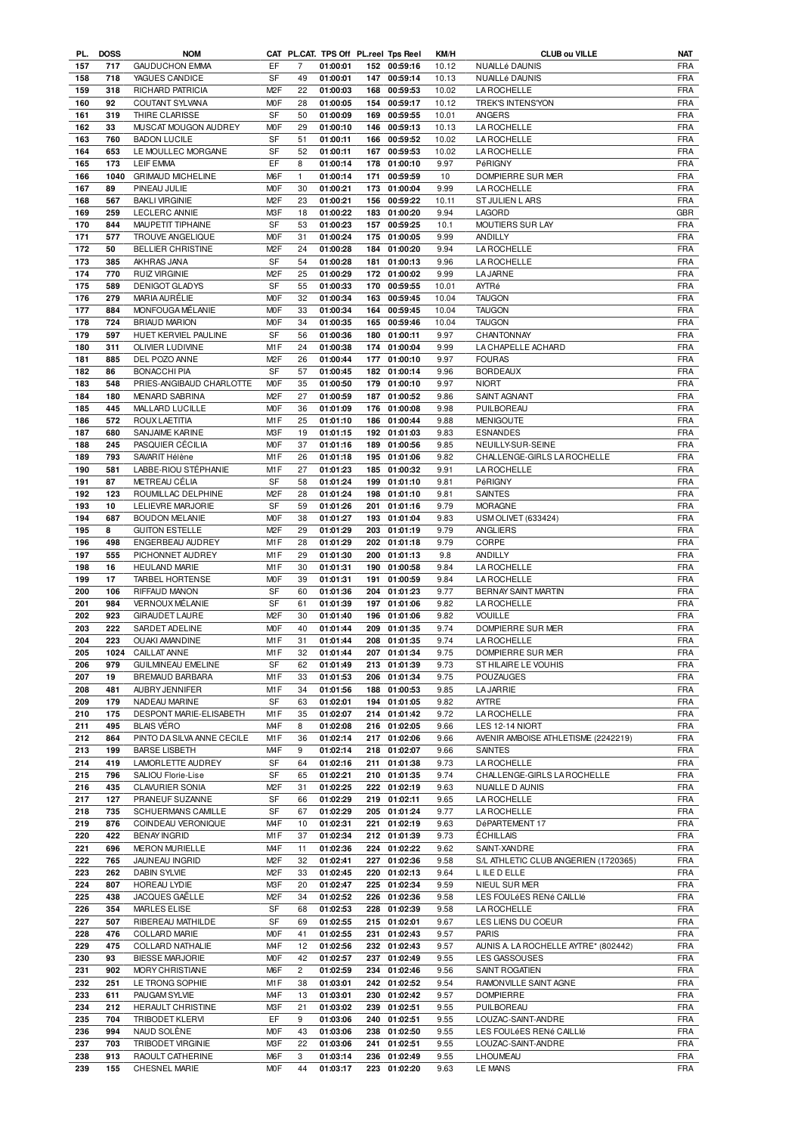| PL. | <b>DOSS</b> | <b>NOM</b>                 |                  |                |          |     | CAT PL.CAT. TPS Off PL.reel Tps Reel | KM/H  | <b>CLUB ou VILLE</b>                 | <b>NAT</b> |
|-----|-------------|----------------------------|------------------|----------------|----------|-----|--------------------------------------|-------|--------------------------------------|------------|
| 157 | 717         | <b>GAUDUCHON EMMA</b>      | EF               | 7              | 01:00:01 |     | 152 00:59:16                         | 10.12 | NUAILLé DAUNIS                       | <b>FRA</b> |
| 158 | 718         | YAGUES CANDICE             | SF               | 49             | 01:00:01 |     | 147 00:59:14                         | 10.13 | NUAILLé DAUNIS                       | <b>FRA</b> |
| 159 | 318         | RICHARD PATRICIA           | M <sub>2</sub> F | 22             | 01:00:03 |     | 168 00:59:53                         | 10.02 | <b>LAROCHELLE</b>                    | <b>FRA</b> |
| 160 | 92          | COUTANT SYLVANA            | M <sub>O</sub> F | 28             | 01:00:05 |     | 154 00:59:17                         | 10.12 | TREK'S INTENS'YON                    | <b>FRA</b> |
| 161 | 319         | THIRE CLARISSE             | SF               | 50             | 01:00:09 |     | 169 00:59:55                         | 10.01 | ANGERS                               | <b>FRA</b> |
| 162 | 33          | MUSCAT MOUGON AUDREY       | M <sub>O</sub> F | 29             | 01:00:10 |     | 146 00:59:13                         | 10.13 | LA ROCHELLE                          | <b>FRA</b> |
| 163 | 760         | <b>BADON LUCILE</b>        | SF               | 51             | 01:00:11 |     | 166 00:59:52                         | 10.02 | LA ROCHELLE                          | <b>FRA</b> |
|     |             |                            |                  |                |          |     |                                      |       |                                      |            |
| 164 | 653         | LE MOULLEC MORGANE         | SF               | 52             | 01:00:11 |     | 167 00:59:53                         | 10.02 | LA ROCHELLE                          | <b>FRA</b> |
| 165 | 173         | <b>LEIF EMMA</b>           | EF               | 8              | 01:00:14 |     | 178 01:00:10                         | 9.97  | PéRIGNY                              | <b>FRA</b> |
| 166 | 1040        | <b>GRIMAUD MICHELINE</b>   | M <sub>6</sub> F | $\mathbf{1}$   | 01:00:14 | 171 | 00:59:59                             | 10    | DOMPIERRE SUR MER                    | <b>FRA</b> |
| 167 | 89          | PINEAU JULIE               | M <sub>O</sub> F | 30             | 01:00:21 |     | 173 01:00:04                         | 9.99  | <b>LA ROCHELLE</b>                   | <b>FRA</b> |
| 168 | 567         | <b>BAKLI VIRGINIE</b>      | M <sub>2</sub> F | 23             | 01:00:21 |     | 156 00:59:22                         | 10.11 | ST JULIEN L ARS                      | <b>FRA</b> |
| 169 | 259         | <b>LECLERC ANNIE</b>       | M3F              | 18             | 01:00:22 |     | 183 01:00:20                         | 9.94  | LAGORD                               | <b>GBR</b> |
| 170 | 844         | MAUPETIT TIPHAINE          | <b>SF</b>        | 53             | 01:00:23 |     | 157 00:59:25                         | 10.1  | MOUTIERS SUR LAY                     | <b>FRA</b> |
| 171 | 577         | TROUVE ANGELIQUE           | M <sub>O</sub> F | 31             | 01:00:24 |     | 175 01:00:05                         | 9.99  | ANDILLY                              | <b>FRA</b> |
| 172 | 50          | <b>BELLIER CHRISTINE</b>   | M <sub>2</sub> F | 24             | 01:00:28 |     | 184 01:00:20                         | 9.94  | <b>LA ROCHELLE</b>                   | <b>FRA</b> |
|     |             | AKHRAS JANA                | SF               |                |          |     |                                      |       |                                      | <b>FRA</b> |
| 173 | 385         |                            |                  | 54             | 01:00:28 | 181 | 01:00:13                             | 9.96  | <b>LA ROCHELLE</b>                   |            |
| 174 | 770         | <b>RUIZ VIRGINIE</b>       | M <sub>2</sub> F | 25             | 01:00:29 |     | 172 01:00:02                         | 9.99  | <b>LA JARNE</b>                      | <b>FRA</b> |
| 175 | 589         | DENIGOT GLADYS             | <b>SF</b>        | 55             | 01:00:33 |     | 170 00:59:55                         | 10.01 | AYTRé                                | <b>FRA</b> |
| 176 | 279         | MARIA AURÉLIE              | M <sub>O</sub> F | 32             | 01:00:34 |     | 163 00:59:45                         | 10.04 | <b>TAUGON</b>                        | <b>FRA</b> |
| 177 | 884         | MONFOUGA MÉLANIE           | M <sub>O</sub> F | 33             | 01:00:34 |     | 164 00:59:45                         | 10.04 | <b>TAUGON</b>                        | <b>FRA</b> |
| 178 | 724         | <b>BRIAUD MARION</b>       | M <sub>O</sub> F | 34             | 01:00:35 |     | 165 00:59:46                         | 10.04 | <b>TAUGON</b>                        | <b>FRA</b> |
| 179 | 597         | HUET KERVIEL PAULINE       | SF               | 56             | 01:00:36 |     | 180 01:00:11                         | 9.97  | CHANTONNAY                           | <b>FRA</b> |
| 180 | 311         | OLIVIER LUDIVINE           | M1F              | 24             | 01:00:38 |     | 174 01:00:04                         | 9.99  | LA CHAPELLE ACHARD                   | <b>FRA</b> |
| 181 | 885         | DEL POZO ANNE              | M <sub>2</sub> F | 26             | 01:00:44 |     | 177 01:00:10                         | 9.97  | <b>FOURAS</b>                        | <b>FRA</b> |
| 182 | 86          |                            | SF               | 57             | 01:00:45 |     | 182 01:00:14                         |       | <b>BORDEAUX</b>                      | <b>FRA</b> |
|     |             | BONACCHI PIA               |                  |                |          |     |                                      | 9.96  |                                      |            |
| 183 | 548         | PRIES-ANGIBAUD CHARLOTTE   | M <sub>O</sub> F | 35             | 01:00:50 |     | 179 01:00:10                         | 9.97  | <b>NIORT</b>                         | <b>FRA</b> |
| 184 | 180         | MENARD SABRINA             | M <sub>2</sub> F | 27             | 01:00:59 |     | 187 01:00:52                         | 9.86  | SAINT AGNANT                         | <b>FRA</b> |
| 185 | 445         | MALLARD LUCILLE            | <b>MOF</b>       | 36             | 01:01:09 |     | 176 01:00:08                         | 9.98  | PUILBOREAU                           | <b>FRA</b> |
| 186 | 572         | <b>ROUX LAETITIA</b>       | M1F              | 25             | 01:01:10 |     | 186 01:00:44                         | 9.88  | <b>MENIGOUTE</b>                     | <b>FRA</b> |
| 187 | 680         | SANJAIME KARINE            | M3F              | 19             | 01:01:15 |     | 192 01:01:03                         | 9.83  | <b>ESNANDES</b>                      | <b>FRA</b> |
| 188 | 245         | PASQUIER CÉCILIA           | M <sub>O</sub> F | 37             | 01:01:16 |     | 189 01:00:56                         | 9.85  | NEUILLY-SUR-SEINE                    | <b>FRA</b> |
| 189 | 793         | SAVARIT Hélène             | M1F              | 26             | 01:01:18 |     | 195 01:01:06                         | 9.82  | CHALLENGE-GIRLS LA ROCHELLE          | <b>FRA</b> |
| 190 | 581         | LABBE-RIOU STÉPHANIE       | M1F              | 27             | 01:01:23 |     | 185 01:00:32                         | 9.91  | <b>LA ROCHELLE</b>                   | <b>FRA</b> |
| 191 | 87          | METREAU CÉLIA              | <b>SF</b>        | 58             | 01:01:24 |     | 199 01:01:10                         | 9.81  | PéRIGNY                              | <b>FRA</b> |
|     |             |                            |                  |                |          |     |                                      |       |                                      |            |
| 192 | 123         | ROUMILLAC DELPHINE         | M <sub>2</sub> F | 28             | 01:01:24 |     | 198 01:01:10                         | 9.81  | <b>SAINTES</b>                       | <b>FRA</b> |
| 193 | 10          | LELIEVRE MARJORIE          | SF               | 59             | 01:01:26 |     | 201 01:01:16                         | 9.79  | <b>MORAGNE</b>                       | <b>FRA</b> |
| 194 | 687         | <b>BOUDON MELANIE</b>      | M <sub>O</sub> F | 38             | 01:01:27 |     | 193 01:01:04                         | 9.83  | <b>USM OLIVET (633424)</b>           | <b>FRA</b> |
| 195 | 8           | <b>GUITON ESTELLE</b>      | M <sub>2</sub> F | 29             | 01:01:29 |     | 203 01:01:19                         | 9.79  | ANGLIERS                             | <b>FRA</b> |
| 196 | 498         | ENGERBEAU AUDREY           | M1F              | 28             | 01:01:29 |     | 202 01:01:18                         | 9.79  | CORPE                                | <b>FRA</b> |
| 197 | 555         | PICHONNET AUDREY           | M1F              | 29             | 01:01:30 |     | 200 01:01:13                         | 9.8   | ANDILLY                              | <b>FRA</b> |
| 198 | 16          | <b>HEULAND MARIE</b>       | M1F              | 30             | 01:01:31 |     | 190 01:00:58                         | 9.84  | <b>LA ROCHELLE</b>                   | <b>FRA</b> |
| 199 | 17          | TARBEL HORTENSE            | M <sub>O</sub> F | 39             | 01:01:31 |     | 191 01:00:59                         | 9.84  | <b>LA ROCHELLE</b>                   | <b>FRA</b> |
| 200 | 106         | RIFFAUD MANON              | <b>SF</b>        | 60             | 01:01:36 |     | 204 01:01:23                         | 9.77  | <b>BERNAY SAINT MARTIN</b>           | <b>FRA</b> |
| 201 | 984         | VERNOUX MÉLANIE            | SF               | 61             | 01:01:39 |     | 197 01:01:06                         | 9.82  | LA ROCHELLE                          | <b>FRA</b> |
|     |             |                            | M <sub>2</sub> F |                |          |     |                                      |       |                                      |            |
| 202 | 923         | <b>GIRAUDET LAURE</b>      |                  | 30             | 01:01:40 |     | 196 01:01:06                         | 9.82  | <b>VOUILLE</b>                       | <b>FRA</b> |
| 203 | 222         | SARDET ADELINE             | M <sub>O</sub> F | 40             | 01:01:44 |     | 209 01:01:35                         | 9.74  | DOMPIERRE SUR MER                    | <b>FRA</b> |
| 204 | 223         | <b>OUAKI AMANDINE</b>      | M1F              | 31             | 01:01:44 |     | 208 01:01:35                         | 9.74  | LA ROCHELLE                          | <b>FRA</b> |
| 205 |             | 1024 CAILLAT ANNE          | M1F              | 32             | 01:01:44 |     | 207 01:01:34                         | 9.75  | DOMPIERRE SUR MER                    | FRA        |
| 206 | 979         | <b>GUILMINEAU EMELINE</b>  | SF               | 62             | 01:01:49 |     | 213 01:01:39                         | 9.73  | ST HILAIRE LE VOUHIS                 | <b>FRA</b> |
| 207 | 19          | BREMAUD BARBARA            | M <sub>1</sub> F | 33             | 01:01:53 |     | 206 01:01:34                         | 9.75  | <b>POUZAUGES</b>                     | <b>FRA</b> |
| 208 | 481         | AUBRY JENNIFER             | M1F              | 34             | 01:01:56 |     | 188 01:00:53                         | 9.85  | <b>LA JARRIE</b>                     | <b>FRA</b> |
| 209 | 179         | NADEAU MARINE              | SF               | 63             | 01:02:01 |     | 194 01:01:05                         | 9.82  | AYTRE                                | <b>FRA</b> |
| 210 | 175         | DESPONT MARIE-ELISABETH    | M1F              | 35             | 01:02:07 |     | 214 01:01:42                         | 9.72  | <b>LA ROCHELLE</b>                   | <b>FRA</b> |
| 211 | 495         | <b>BLAIS VÉRO</b>          | M4F              | 8              | 01:02:08 |     | 216 01:02:05                         | 9.66  | LES 12-14 NIORT                      | <b>FRA</b> |
| 212 | 864         | PINTO DA SILVA ANNE CECILE | M1F              | 36             | 01:02:14 | 217 | 01:02:06                             | 9.66  | AVENIR AMBOISE ATHLETISME (2242219)  | <b>FRA</b> |
|     |             |                            |                  |                |          |     |                                      |       |                                      |            |
| 213 | 199         | <b>BARSE LISBETH</b>       | M4F              | 9              | 01:02:14 |     | 218 01:02:07                         | 9.66  | SAINTES                              | <b>FRA</b> |
| 214 | 419         | LAMORLETTE AUDREY          | SF               | 64             | 01:02:16 | 211 | 01:01:38                             | 9.73  | <b>LA ROCHELLE</b>                   | <b>FRA</b> |
| 215 | 796         | SALIOU Florie-Lise         | SF               | 65             | 01:02:21 |     | 210 01:01:35                         | 9.74  | CHALLENGE-GIRLS LA ROCHELLE          | <b>FRA</b> |
| 216 | 435         | <b>CLAVURIER SONIA</b>     | M <sub>2</sub> F | 31             | 01:02:25 |     | 222 01:02:19                         | 9.63  | NUAILLE D AUNIS                      | <b>FRA</b> |
| 217 | 127         | PRANEUF SUZANNE            | SF               | 66             | 01:02:29 |     | 219 01:02:11                         | 9.65  | <b>LAROCHELLE</b>                    | <b>FRA</b> |
| 218 | 735         | SCHUERMANS CAMILLE         | SF               | 67             | 01:02:29 |     | 205 01:01:24                         | 9.77  | <b>LA ROCHELLE</b>                   | <b>FRA</b> |
| 219 | 876         | COINDEAU VERONIQUE         | M4F              | 10             | 01:02:31 |     | 221 01:02:19                         | 9.63  | DéPARTEMENT 17                       | <b>FRA</b> |
| 220 | 422         | <b>BENAY INGRID</b>        | M1F              | 37             | 01:02:34 |     | 212 01:01:39                         | 9.73  | <b>ÉCHILLAIS</b>                     | <b>FRA</b> |
| 221 | 696         | <b>MERON MURIELLE</b>      | M4F              | 11             | 01:02:36 |     | 224 01:02:22                         | 9.62  | SAINT-XANDRE                         | <b>FRA</b> |
| 222 | 765         | JAUNEAU INGRID             | M <sub>2</sub> F | 32             | 01:02:41 | 227 | 01:02:36                             |       | S/L ATHLETIC CLUB ANGERIEN (1720365) | <b>FRA</b> |
|     |             |                            |                  |                |          |     |                                      | 9.58  |                                      |            |
| 223 | 262         | DABIN SYLVIE               | M <sub>2</sub> F | 33             | 01:02:45 |     | 220 01:02:13                         | 9.64  | L ILE D ELLE                         | <b>FRA</b> |
| 224 | 807         | HOREAU LYDIE               | M3F              | 20             | 01:02:47 |     | 225 01:02:34                         | 9.59  | NIEUL SUR MER                        | <b>FRA</b> |
| 225 | 438         | JACQUES GAËLLE             | M <sub>2</sub> F | 34             | 01:02:52 |     | 226 01:02:36                         | 9.58  | LES FOULÉES RENÉ CAILLIÉ             | <b>FRA</b> |
| 226 | 354         | MARLES ELISE               | SF               | 68             | 01:02:53 | 228 | 01:02:39                             | 9.58  | <b>LAROCHELLE</b>                    | <b>FRA</b> |
| 227 | 507         | RIBEREAU MATHILDE          | <b>SF</b>        | 69             | 01:02:55 |     | 215 01:02:01                         | 9.67  | LES LIENS DU COEUR                   | <b>FRA</b> |
| 228 | 476         | COLLARD MARIE              | M <sub>O</sub> F | 41             | 01:02:55 | 231 | 01:02:43                             | 9.57  | <b>PARIS</b>                         | <b>FRA</b> |
| 229 | 475         | COLLARD NATHALIE           | M4F              | 12             | 01:02:56 |     | 232 01:02:43                         | 9.57  | AUNIS A. LA ROCHELLE AYTRE* (802442) | <b>FRA</b> |
| 230 | 93          | <b>BIESSE MARJORIE</b>     | <b>MOF</b>       | 42             | 01:02:57 | 237 | 01:02:49                             | 9.55  | LES GASSOUSES                        | <b>FRA</b> |
| 231 | 902         | MORY CHRISTIANE            | M6F              | $\overline{c}$ | 01:02:59 |     | 234 01:02:46                         | 9.56  | SAINT ROGATIEN                       | <b>FRA</b> |
|     |             |                            |                  |                |          |     |                                      |       |                                      |            |
| 232 | 251         | LE TRONG SOPHIE            | M1F              | 38             | 01:03:01 |     | 242 01:02:52                         | 9.54  | RAMONVILLE SAINT AGNE                | <b>FRA</b> |
| 233 | 611         | PAUGAM SYLVIE              | M4F              | 13             | 01:03:01 |     | 230 01:02:42                         | 9.57  | <b>DOMPIERRE</b>                     | <b>FRA</b> |
| 234 | 212         | HERAULT CHRISTINE          | M3F              | 21             | 01:03:02 |     | 239 01:02:51                         | 9.55  | PUILBOREAU                           | <b>FRA</b> |
| 235 | 704         | <b>TRIBODET KLERVI</b>     | EF               | 9              | 01:03:06 |     | 240 01:02:51                         | 9.55  | LOUZAC-SAINT-ANDRE                   | <b>FRA</b> |
| 236 | 994         | NAUD SOLÈNE                | <b>MOF</b>       | 43             | 01:03:06 |     | 238 01:02:50                         | 9.55  | LES FOULÉES RENÉ CAILLIÉ             | <b>FRA</b> |
| 237 | 703         | <b>TRIBODET VIRGINIE</b>   | M3F              | 22             | 01:03:06 |     | 241 01:02:51                         | 9.55  | LOUZAC-SAINT-ANDRE                   | <b>FRA</b> |
| 238 | 913         | RAOULT CATHERINE           | M6F              | 3              | 01:03:14 |     | 236 01:02:49                         | 9.55  | <b>LHOUMEAU</b>                      | <b>FRA</b> |
| 239 | 155         | CHESNEL MARIE              | M0F              | 44             | 01:03:17 |     | 223 01:02:20                         | 9.63  | <b>LE MANS</b>                       | <b>FRA</b> |
|     |             |                            |                  |                |          |     |                                      |       |                                      |            |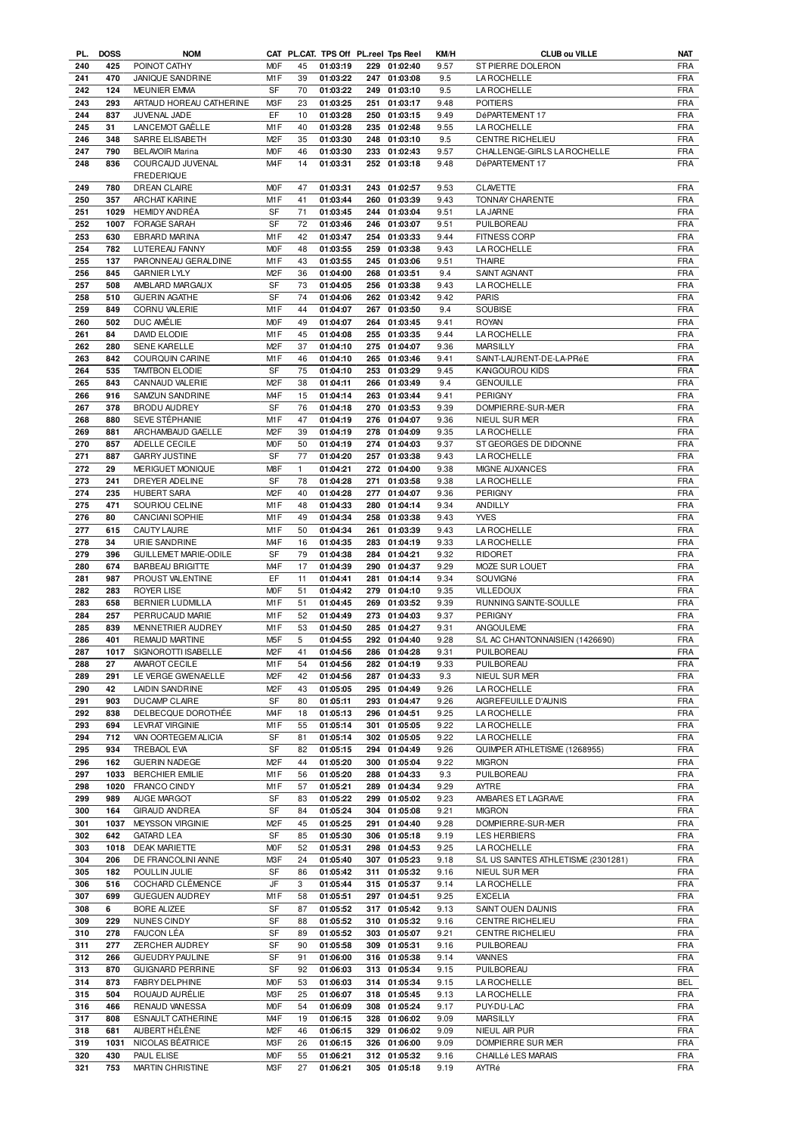| PL. | <b>DOSS</b> | <b>NOM</b>                   |                  |              | CAT PL.CAT. TPS Off PL.reel Tps Reel |     |              | KM/H | <b>CLUB ou VILLE</b>                | NAT        |
|-----|-------------|------------------------------|------------------|--------------|--------------------------------------|-----|--------------|------|-------------------------------------|------------|
| 240 | 425         | POINOT CATHY                 | <b>MOF</b>       | 45           | 01:03:19                             |     | 229 01:02:40 | 9.57 | ST PIERRE DOLERON                   | <b>FRA</b> |
| 241 | 470         | JANIQUE SANDRINE             | M <sub>1</sub> F | 39           | 01:03:22                             | 247 | 01:03:08     | 9.5  | <b>LAROCHELLE</b>                   | <b>FRA</b> |
| 242 | 124         | <b>MEUNIER EMMA</b>          | SF               | 70           | 01:03:22                             |     | 249 01:03:10 | 9.5  | <b>LA ROCHELLE</b>                  | FRA        |
|     |             |                              |                  |              |                                      |     |              |      |                                     |            |
| 243 | 293         | ARTAUD HOREAU CATHERINE      | M3F              | 23           | 01:03:25                             | 251 | 01:03:17     | 9.48 | <b>POITIERS</b>                     | <b>FRA</b> |
| 244 | 837         | JUVENAL JADE                 | EF               | 10           | 01:03:28                             |     | 250 01:03:15 | 9.49 | DéPARTEMENT 17                      | FRA        |
| 245 | 31          | LANCEMOT GAËLLE              | M1F              | 40           | 01:03:28                             |     | 235 01:02:48 | 9.55 | <b>LA ROCHELLE</b>                  | <b>FRA</b> |
| 246 | 348         | SARRE ELISABETH              | M <sub>2</sub> F | 35           | 01:03:30                             |     | 248 01:03:10 | 9.5  | CENTRE RICHELIEU                    | <b>FRA</b> |
|     |             |                              |                  |              |                                      |     |              |      |                                     |            |
| 247 | 790         | <b>BELAVOIR Marina</b>       | M <sub>O</sub> F | 46           | 01:03:30                             |     | 233 01:02:43 | 9.57 | CHALLENGE-GIRLS LA ROCHELLE         | <b>FRA</b> |
| 248 | 836         | COURCAUD JUVENAL             | M <sub>4F</sub>  | 14           | 01:03:31                             |     | 252 01:03:18 | 9.48 | DéPARTEMENT 17                      | <b>FRA</b> |
|     |             | <b>FREDERIQUE</b>            |                  |              |                                      |     |              |      |                                     |            |
| 249 | 780         | DREAN CLAIRE                 | <b>MOF</b>       | 47           | 01:03:31                             |     | 243 01:02:57 | 9.53 | <b>CLAVETTE</b>                     | FRA        |
|     |             |                              |                  |              |                                      |     |              |      |                                     |            |
| 250 | 357         | ARCHAT KARINE                | M1F              | 41           | 01:03:44                             |     | 260 01:03:39 | 9.43 | <b>TONNAY CHARENTE</b>              | <b>FRA</b> |
| 251 | 1029        | <b>HEMIDY ANDRÉA</b>         | SF               | 71           | 01:03:45                             |     | 244 01:03:04 | 9.51 | <b>LA JARNE</b>                     | <b>FRA</b> |
| 252 | 1007        | FORAGE SARAH                 | SF               | 72           | 01:03:46                             |     | 246 01:03:07 | 9.51 | PUILBOREAU                          | <b>FRA</b> |
|     |             | <b>EBRARD MARINA</b>         |                  |              | 01:03:47                             |     |              |      |                                     |            |
| 253 | 630         |                              | M1F              | 42           |                                      |     | 254 01:03:33 | 9.44 | <b>FITNESS CORP</b>                 | <b>FRA</b> |
| 254 | 782         | LUTEREAU FANNY               | <b>MOF</b>       | 48           | 01:03:55                             | 259 | 01:03:38     | 9.43 | <b>LA ROCHELLE</b>                  | <b>FRA</b> |
| 255 | 137         | PARONNEAU GERALDINE          | M <sub>1</sub> F | 43           | 01:03:55                             |     | 245 01:03:06 | 9.51 | <b>THAIRE</b>                       | <b>FRA</b> |
| 256 | 845         | <b>GARNIER LYLY</b>          | M <sub>2</sub> F | 36           | 01:04:00                             |     | 268 01:03:51 | 9.4  | SAINT AGNANT                        | <b>FRA</b> |
|     |             |                              |                  |              |                                      |     |              |      |                                     |            |
| 257 | 508         | AMBLARD MARGAUX              | SF               | 73           | 01:04:05                             |     | 256 01:03:38 | 9.43 | <b>LA ROCHELLE</b>                  | <b>FRA</b> |
| 258 | 510         | <b>GUERIN AGATHE</b>         | SF               | 74           | 01:04:06                             |     | 262 01:03:42 | 9.42 | <b>PARIS</b>                        | <b>FRA</b> |
| 259 | 849         | CORNU VALERIE                | M <sub>1</sub> F | 44           | 01:04:07                             |     | 267 01:03:50 | 9.4  | SOUBISE                             | <b>FRA</b> |
| 260 | 502         | DUC AMÉLIE                   | <b>MOF</b>       | 49           | 01:04:07                             |     | 264 01:03:45 | 9.41 | <b>ROYAN</b>                        | <b>FRA</b> |
|     |             |                              |                  |              |                                      |     |              |      |                                     |            |
| 261 | 84          | DAVID ELODIE                 | M1F              | 45           | 01:04:08                             |     | 255 01:03:35 | 9.44 | <b>LA ROCHELLE</b>                  | <b>FRA</b> |
| 262 | 280         | <b>SENE KARELLE</b>          | M <sub>2</sub> F | 37           | 01:04:10                             |     | 275 01:04:07 | 9.36 | <b>MARSILLY</b>                     | <b>FRA</b> |
| 263 | 842         | COURQUIN CARINE              | M1F              | 46           | 01:04:10                             |     | 265 01:03:46 | 9.41 | SAINT-LAURENT-DE-LA-PRéE            | <b>FRA</b> |
| 264 | 535         | <b>TAMTBON ELODIE</b>        | SF               | 75           | 01:04:10                             |     | 253 01:03:29 | 9.45 | <b>KANGOUROU KIDS</b>               | <b>FRA</b> |
|     |             |                              |                  |              |                                      |     |              |      |                                     |            |
| 265 | 843         | CANNAUD VALERIE              | M <sub>2</sub> F | 38           | 01:04:11                             |     | 266 01:03:49 | 9.4  | <b>GENOUILLE</b>                    | <b>FRA</b> |
| 266 | 916         | SAMZUN SANDRINE              | M <sub>4</sub> F | 15           | 01:04:14                             |     | 263 01:03:44 | 9.41 | PERIGNY                             | <b>FRA</b> |
| 267 | 378         | BRODU AUDREY                 | SF               | 76           | 01:04:18                             |     | 270 01:03:53 | 9.39 | DOMPIERRE-SUR-MER                   | <b>FRA</b> |
|     |             |                              |                  |              |                                      |     |              |      |                                     | <b>FRA</b> |
| 268 | 880         | SEVE STÉPHANIE               | M1F              | 47           | 01:04:19                             |     | 276 01:04:07 | 9.36 | NIEUL SUR MER                       |            |
| 269 | 881         | ARCHAMBAUD GAELLE            | M <sub>2</sub> F | 39           | 01:04:19                             |     | 278 01:04:09 | 9.35 | <b>LA ROCHELLE</b>                  | <b>FRA</b> |
| 270 | 857         | ADELLE CECILE                | M <sub>O</sub> F | 50           | 01:04:19                             |     | 274 01:04:03 | 9.37 | ST GEORGES DE DIDONNE               | <b>FRA</b> |
| 271 | 887         | <b>GARRY JUSTINE</b>         | SF               | 77           | 01:04:20                             |     | 257 01:03:38 | 9.43 | <b>LA ROCHELLE</b>                  | <b>FRA</b> |
|     |             |                              | M8F              |              |                                      |     |              |      |                                     |            |
| 272 | 29          | MERIGUET MONIQUE             |                  | $\mathbf{1}$ | 01:04:21                             |     | 272 01:04:00 | 9.38 | MIGNE AUXANCES                      | <b>FRA</b> |
| 273 | 241         | DREYER ADELINE               | SF               | 78           | 01:04:28                             |     | 271 01:03:58 | 9.38 | <b>LA ROCHELLE</b>                  | <b>FRA</b> |
| 274 | 235         | HUBERT SARA                  | M <sub>2</sub> F | 40           | 01:04:28                             |     | 277 01:04:07 | 9.36 | PERIGNY                             | FRA        |
| 275 | 471         | SOURIOU CELINE               | M1F              | 48           | 01:04:33                             |     | 280 01:04:14 | 9.34 | ANDILLY                             | <b>FRA</b> |
|     |             |                              |                  | 49           |                                      |     |              |      |                                     | <b>FRA</b> |
| 276 | 80          | CANCIANI SOPHIE              | M <sub>1</sub> F |              | 01:04:34                             |     | 258 01:03:38 | 9.43 | <b>YVES</b>                         |            |
| 277 | 615         | CAUTY LAURE                  | M <sub>1</sub> F | 50           | 01:04:34                             | 261 | 01:03:39     | 9.43 | LA ROCHELLE                         | <b>FRA</b> |
| 278 | 34          | URIE SANDRINE                | M <sub>4</sub> F | 16           | 01:04:35                             |     | 283 01:04:19 | 9.33 | <b>LA ROCHELLE</b>                  | <b>FRA</b> |
| 279 | 396         | <b>GUILLEMET MARIE-ODILE</b> | SF               | 79           | 01:04:38                             | 284 | 01:04:21     | 9.32 | <b>RIDORET</b>                      | <b>FRA</b> |
|     |             |                              |                  |              |                                      |     |              |      |                                     |            |
| 280 | 674         | <b>BARBEAU BRIGITTE</b>      | M <sub>4</sub> F | 17           | 01:04:39                             |     | 290 01:04:37 | 9.29 | MOZE SUR LOUET                      | <b>FRA</b> |
| 281 | 987         | PROUST VALENTINE             | EF               | 11           | 01:04:41                             |     | 281 01:04:14 | 9.34 | SOUVIGNé                            | <b>FRA</b> |
| 282 | 283         | <b>ROYER LISE</b>            | <b>MOF</b>       | 51           | 01:04:42                             |     | 279 01:04:10 | 9.35 | <b>VILLEDOUX</b>                    | <b>FRA</b> |
| 283 | 658         | BERNIER LUDMILLA             | M1F              | 51           | 01:04:45                             |     | 269 01:03:52 | 9.39 | RUNNING SAINTE-SOULLE               | <b>FRA</b> |
|     |             |                              |                  |              |                                      |     |              |      |                                     |            |
| 284 | 257         | PERRUCAUD MARIE              | M1F              | 52           | 01:04:49                             |     | 273 01:04:03 | 9.37 | PERIGNY                             | <b>FRA</b> |
| 285 | 839         | MENNETRIER AUDREY            | M <sub>1</sub> F | 53           | 01:04:50                             | 285 | 01:04:27     | 9.31 | ANGOULEME                           | <b>FRA</b> |
| 286 | 401         | <b>REMAUD MARTINE</b>        | M <sub>5</sub> F | 5            | 01:04:55                             |     | 292 01:04:40 | 9.28 | S/L AC CHANTONNAISIEN (1426690)     | <b>FRA</b> |
|     |             |                              | M <sub>2</sub> F | 41           |                                      |     |              |      | PUILBOREAU                          | <b>FRA</b> |
| 287 | 1017        | SIGNOROTTI ISABELLE          |                  |              | 01:04:56                             |     | 286 01:04:28 | 9.31 |                                     |            |
| 288 | 27          | AMAROT CECILE                | M1F              | 54           | 01:04:56                             |     | 282 01:04:19 | 9.33 | PUILBOREAU                          | <b>FRA</b> |
| 289 | 291         | LE VERGE GWENAELLE           | M <sub>2</sub> F | 42           | 01:04:56                             | 287 | 01:04:33     | 9.3  | NIEUL SUR MER                       | FRA        |
| 290 | 42          | LAIDIN SANDRINE              | M <sub>2</sub> F | 43           | 01:05:05                             |     | 295 01:04:49 | 9.26 | <b>LAROCHELLE</b>                   | <b>FRA</b> |
| 291 | 903         | DUCAMP CLAIRE                | SF               | 80           | 01:05:11                             |     | 293 01:04:47 | 9.26 | AIGREFEUILLE D'AUNIS                | <b>FRA</b> |
|     |             |                              |                  |              |                                      |     |              |      |                                     |            |
| 292 | 838         | DELBECQUE DOROTHÉE           | M <sub>4</sub> F | 18           | 01:05:13                             |     | 296 01:04:51 | 9.25 | <b>LA ROCHELLE</b>                  | <b>FRA</b> |
| 293 | 694         | <b>LEVRAT VIRGINIE</b>       | M1F              | 55           | 01:05:14                             | 301 | 01:05:05     | 9.22 | <b>LA ROCHELLE</b>                  | <b>FRA</b> |
| 294 | 712         | VAN OORTEGEM ALICIA          | SF               | 81           | 01:05:14                             |     | 302 01:05:05 | 9.22 | <b>LA ROCHELLE</b>                  | <b>FRA</b> |
| 295 | 934         | TREBAOL EVA                  | SF               | 82           | 01:05:15                             |     | 294 01:04:49 | 9.26 | QUIMPER ATHLETISME (1268955)        | FRA        |
|     |             |                              |                  |              |                                      |     |              |      |                                     |            |
| 296 | 162         | <b>GUERIN NADEGE</b>         | M <sub>2</sub> F | 44           | 01:05:20                             |     | 300 01:05:04 | 9.22 | <b>MIGRON</b>                       | <b>FRA</b> |
| 297 | 1033        | <b>BERCHIER EMILIE</b>       | M1F              | 56           | 01:05:20                             | 288 | 01:04:33     | 9.3  | PUILBOREAU                          | <b>FRA</b> |
| 298 | 1020        | FRANCO CINDY                 | M1F              | 57           | 01:05:21                             |     | 289 01:04:34 | 9.29 | AYTRE                               | <b>FRA</b> |
| 299 | 989         | AUGE MARGOT                  | SF               | 83           | 01:05:22                             | 299 | 01:05:02     | 9.23 | AMBARES ET LAGRAVE                  | <b>FRA</b> |
|     |             |                              |                  |              |                                      |     | 304 01:05:08 |      |                                     |            |
| 300 | 164         | <b>GIRAUD ANDREA</b>         | SF               | 84           | 01:05:24                             |     |              | 9.21 | <b>MIGRON</b>                       | <b>FRA</b> |
| 301 | 1037        | MEYSSON VIRGINIE             | M <sub>2</sub> F | 45           | 01:05:25                             | 291 | 01:04:40     | 9.28 | DOMPIERRE-SUR-MER                   | <b>FRA</b> |
| 302 | 642         | <b>GATARD LEA</b>            | SF               | 85           | 01:05:30                             |     | 306 01:05:18 | 9.19 | <b>LES HERBIERS</b>                 | FRA        |
| 303 | 1018        | <b>DEAK MARIETTE</b>         | M <sub>O</sub> F | 52           | 01:05:31                             |     | 298 01:04:53 | 9.25 | <b>LAROCHELLE</b>                   | <b>FRA</b> |
|     |             |                              |                  |              |                                      |     |              |      |                                     |            |
| 304 | 206         | DE FRANCOLINI ANNE           | M3F              | 24           | 01:05:40                             | 307 | 01:05:23     | 9.18 | S/L US SAINTES ATHLETISME (2301281) | FRA        |
| 305 | 182         | POULLIN JULIE                | SF               | 86           | 01:05:42                             | 311 | 01:05:32     | 9.16 | NIEUL SUR MER                       | <b>FRA</b> |
| 306 | 516         | COCHARD CLEMENCE             | JF               | 3            | 01:05:44                             |     | 315 01:05:37 | 9.14 | <b>LA ROCHELLE</b>                  | <b>FRA</b> |
| 307 | 699         | <b>GUEGUEN AUDREY</b>        | M1F              | 58           | 01:05:51                             |     | 297 01:04:51 | 9.25 | <b>EXCELIA</b>                      | <b>FRA</b> |
|     |             |                              |                  |              |                                      |     |              |      |                                     |            |
| 308 | 6           | <b>BORE ALIZEE</b>           | SF               | 87           | 01:05:52                             |     | 317 01:05:42 | 9.13 | SAINT OUEN DAUNIS                   | <b>FRA</b> |
| 309 | 229         | NUNES CINDY                  | SF               | 88           | 01:05:52                             |     | 310 01:05:32 | 9.16 | CENTRE RICHELIEU                    | <b>FRA</b> |
| 310 | 278         | FAUCON LÉA                   | SF               | 89           | 01:05:52                             |     | 303 01:05:07 | 9.21 | CENTRE RICHELIEU                    | <b>FRA</b> |
|     |             |                              |                  |              |                                      |     |              |      |                                     |            |
| 311 | 277         | ZERCHER AUDREY               | SF               | 90           | 01:05:58                             |     | 309 01:05:31 | 9.16 | PUILBOREAU                          | FRA        |
| 312 | 266         | <b>GUEUDRY PAULINE</b>       | SF               | 91           | 01:06:00                             |     | 316 01:05:38 | 9.14 | VANNES                              | <b>FRA</b> |
| 313 | 870         | <b>GUIGNARD PERRINE</b>      | SF               | 92           | 01:06:03                             |     | 313 01:05:34 | 9.15 | PUILBOREAU                          | FRA        |
| 314 | 873         | FABRY DELPHINE               | <b>MOF</b>       | 53           | 01:06:03                             |     | 314 01:05:34 | 9.15 | <b>LA ROCHELLE</b>                  | BEL        |
|     |             |                              |                  |              |                                      |     |              |      |                                     |            |
| 315 | 504         | ROUAUD AURÉLIE               | M3F              | 25           | 01:06:07                             |     | 318 01:05:45 | 9.13 | <b>LA ROCHELLE</b>                  | <b>FRA</b> |
| 316 | 466         | RENAUD VANESSA               | <b>MOF</b>       | 54           | 01:06:09                             |     | 308 01:05:24 | 9.17 | PUY-DU-LAC                          | <b>FRA</b> |
| 317 | 808         | ESNAULT CATHERINE            | M <sub>4</sub> F | 19           | 01:06:15                             |     | 328 01:06:02 | 9.09 | <b>MARSILLY</b>                     | <b>FRA</b> |
| 318 | 681         | AUBERT HÉLÈNE                | M <sub>2</sub> F | 46           | 01:06:15                             |     | 329 01:06:02 | 9.09 | NIEUL AIR PUR                       | <b>FRA</b> |
|     |             |                              |                  |              |                                      |     |              |      |                                     |            |
| 319 | 1031        | NICOLAS BÉATRICE             | M3F              | 26           | 01:06:15                             |     | 326 01:06:00 | 9.09 | DOMPIERRE SUR MER                   | <b>FRA</b> |
| 320 | 430         | PAUL ELISE                   | <b>MOF</b>       | 55           | 01:06:21                             |     | 312 01:05:32 | 9.16 | CHAILLé LES MARAIS                  | FRA        |
| 321 | 753         | <b>MARTIN CHRISTINE</b>      | M3F              | 27           | 01:06:21                             |     | 305 01:05:18 | 9.19 | AYTRé                               | <b>FRA</b> |
|     |             |                              |                  |              |                                      |     |              |      |                                     |            |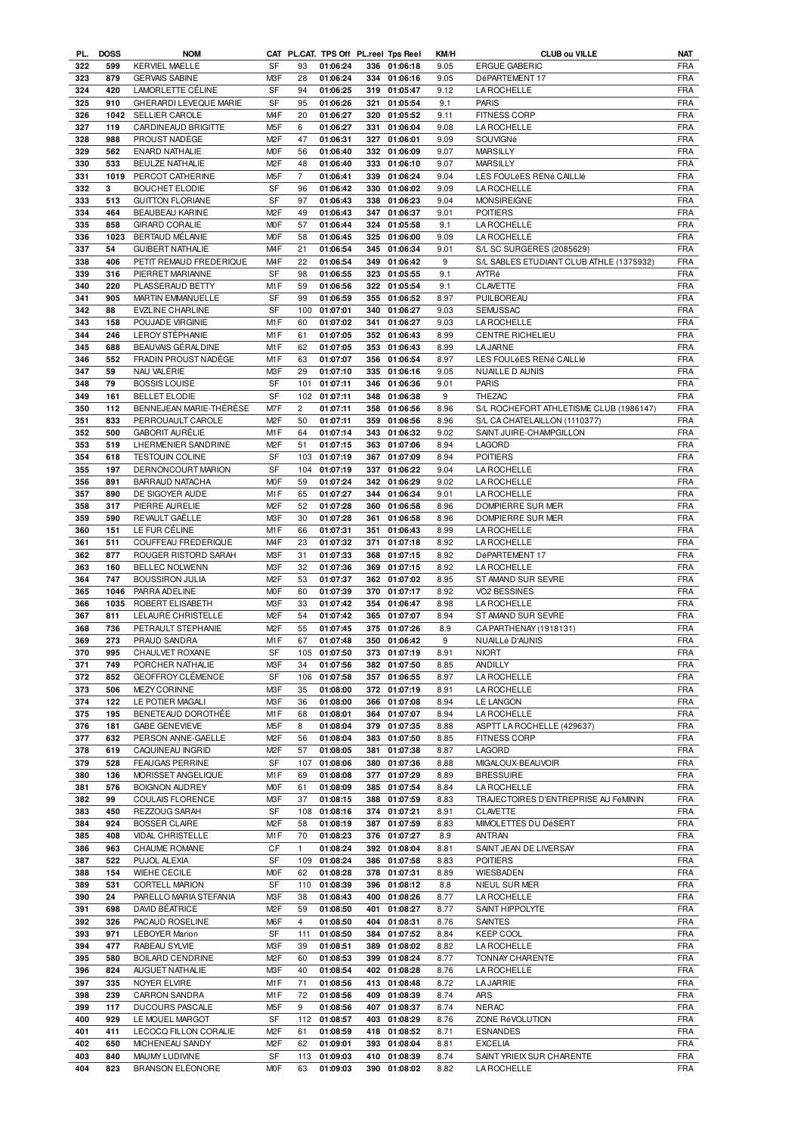| PL. | <b>DOSS</b> | <b>NOM</b>              |                  |                | CAT PL.CAT. TPS Off PL.reel Tps Reel |     |              | KM/H | <b>CLUB ou VILLE</b>                     | <b>NAT</b> |
|-----|-------------|-------------------------|------------------|----------------|--------------------------------------|-----|--------------|------|------------------------------------------|------------|
| 322 | 599         | <b>KERVIEL MAELLE</b>   | SF               | 93             | 01:06:24                             |     | 336 01:06:18 | 9.05 | <b>ERGUE GABERIC</b>                     | <b>FRA</b> |
| 323 | 879         | <b>GERVAIS SABINE</b>   | M3F              | 28             | 01:06:24                             |     | 334 01:06:16 | 9.05 | DéPARTEMENT 17                           | <b>FRA</b> |
| 324 | 420         | LAMORLETTE CÉLINE       | SF               | 94             | 01:06:25                             |     | 319 01:05:47 | 9.12 | <b>LA ROCHELLE</b>                       | <b>FRA</b> |
| 325 | 910         | GHERARDI LEVEQUE MARIE  | SF               | 95             | 01:06:26                             |     | 321 01:05:54 | 9.1  | <b>PARIS</b>                             | <b>FRA</b> |
| 326 | 1042        | SELLIER CAROLE          | M <sub>4</sub> F | 20             | 01:06:27                             |     | 320 01:05:52 | 9.11 | <b>FITNESS CORP</b>                      | <b>FRA</b> |
| 327 | 119         | CARDINEAUD BRIGITTE     | M <sub>5</sub> F | 6              | 01:06:27                             |     | 331 01:06:04 | 9.08 | <b>LA ROCHELLE</b>                       | <b>FRA</b> |
| 328 | 988         | PROUST NADÈGE           | M <sub>2</sub> F | 47             | 01:06:31                             |     | 327 01:06:01 | 9.09 | SOUVIGNé                                 | <b>FRA</b> |
| 329 | 562         | <b>ENARD NATHALIE</b>   | M <sub>O</sub> F | 56             | 01:06:40                             |     | 332 01:06:09 | 9.07 | <b>MARSILLY</b>                          | <b>FRA</b> |
| 330 | 533         | BEULZE NATHALIE         | M <sub>2</sub> F | 48             | 01:06:40                             |     | 333 01:06:10 | 9.07 | <b>MARSILLY</b>                          | <b>FRA</b> |
|     | 1019        |                         | M <sub>5</sub> F | $\overline{7}$ | 01:06:41                             |     | 339 01:06:24 | 9.04 | LES FOULÉES RENÉ CAILLIÉ                 | <b>FRA</b> |
| 331 | 3           | PERCOT CATHERINE        | SF               |                |                                      |     |              |      |                                          |            |
| 332 |             | <b>BOUCHET ELODIE</b>   |                  | 96             | 01:06:42                             |     | 330 01:06:02 | 9.09 | <b>LA ROCHELLE</b>                       | <b>FRA</b> |
| 333 | 513         | <b>GUITTON FLORIANE</b> | SF               | 97             | 01:06:43                             |     | 338 01:06:23 | 9.04 | <b>MONSIREIGNE</b>                       | <b>FRA</b> |
| 334 | 464         | BEAUBEAU KARINE         | M <sub>2</sub> F | 49             | 01:06:43                             |     | 347 01:06:37 | 9.01 | <b>POITIERS</b>                          | <b>FRA</b> |
| 335 | 858         | <b>GIRARD CORALIE</b>   | <b>MOF</b>       | 57             | 01:06:44                             |     | 324 01:05:58 | 9.1  | LA ROCHELLE                              | <b>FRA</b> |
| 336 | 1023        | BERTAUD MÉLANIE         | M <sub>O</sub> F | 58             | 01:06:45                             |     | 325 01:06:00 | 9.09 | LA ROCHELLE                              | <b>FRA</b> |
| 337 | 54          | <b>GUIBERT NATHALIE</b> | M <sub>4</sub> F | 21             | 01:06:54                             |     | 345 01:06:34 | 9.01 | S/L SC SURGERES (2085629)                | <b>FRA</b> |
| 338 | 406         | PETIT REMAUD FREDERIQUE | M <sub>4</sub> F | 22             | 01:06:54                             |     | 349 01:06:42 | 9    | S/L SABLES ETUDIANT CLUB ATHLE (1375932) | <b>FRA</b> |
| 339 | 316         | PIERRET MARIANNE        | <b>SF</b>        | 98             | 01:06:55                             |     | 323 01:05:55 | 9.1  | AYTRé                                    | <b>FRA</b> |
| 340 | 220         | PLASSERAUD BETTY        | M1F              | 59             | 01:06:56                             |     | 322 01:05:54 | 9.1  | <b>CLAVETTE</b>                          | <b>FRA</b> |
| 341 | 905         | MARTIN EMMANUELLE       | SF               | 99             | 01:06:59                             |     | 355 01:06:52 | 8.97 | PUILBOREAU                               | <b>FRA</b> |
| 342 | 88          | <b>EVZLINE CHARLINE</b> | <b>SF</b>        | 100            | 01:07:01                             |     | 340 01:06:27 | 9.03 | <b>SEMUSSAC</b>                          | <b>FRA</b> |
| 343 | 158         | POUJADE VIRGINIE        | M <sub>1</sub> F | 60             | 01:07:02                             |     | 341 01:06:27 | 9.03 | LA ROCHELLE                              | <b>FRA</b> |
| 344 | 246         | LEROY STÉPHANIE         | M1F              | 61             | 01:07:05                             |     | 352 01:06:43 | 8.99 | <b>CENTRE RICHELIEU</b>                  | <b>FRA</b> |
| 345 | 688         | BEAUVAIS GÉRALDINE      | M1F              | 62             | 01:07:05                             |     | 353 01:06:43 | 8.99 | <b>LA JARNE</b>                          | <b>FRA</b> |
| 346 | 552         | FRADIN PROUST NADÈGE    | M1F              | 63             | 01:07:07                             | 356 | 01:06:54     | 8.97 | LES FOULÉES RENÉ CAILLIÉ                 | <b>FRA</b> |
| 347 | 59          | NAU VALÉRIE             | M3F              | 29             | 01:07:10                             | 335 | 01:06:16     | 9.05 | NUAILLE D AUNIS                          | <b>FRA</b> |
| 348 | 79          | <b>BOSSIS LOUISE</b>    | SF               | 101            | 01:07:11                             | 346 | 01:06:36     | 9.01 | <b>PARIS</b>                             | <b>FRA</b> |
|     |             | <b>BELLET ELODIE</b>    |                  |                | 01:07:11                             |     |              |      | <b>THEZAC</b>                            | <b>FRA</b> |
| 349 | 161         |                         | SF               | 102            |                                      | 348 | 01:06:38     | 9    |                                          |            |
| 350 | 112         | BENNEJEAN MARIE-THÉRÉSE | M7F              | $\overline{c}$ | 01:07:11                             | 358 | 01:06:56     | 8.96 | S/L ROCHEFORT ATHLETISME CLUB (1986147)  | <b>FRA</b> |
| 351 | 833         | PERROUAULT CAROLE       | M <sub>2</sub> F | 50             | 01:07:11                             |     | 359 01:06:56 | 8.96 | S/L CA CHATELAILLON (1110377)            | <b>FRA</b> |
| 352 | 500         | <b>GABORIT AURÉLIE</b>  | M <sub>1</sub> F | 64             | 01:07:14                             | 343 | 01:06:32     | 9.02 | SAINT JUIRE-CHAMPGILLON                  | <b>FRA</b> |
| 353 | 519         | LHERMENIER SANDRINE     | M <sub>2</sub> F | 51             | 01:07:15                             |     | 363 01:07:06 | 8.94 | LAGORD                                   | <b>FRA</b> |
| 354 | 618         | <b>TESTOUIN COLINE</b>  | SF               | 103            | 01:07:19                             | 367 | 01:07:09     | 8.94 | <b>POITIERS</b>                          | <b>FRA</b> |
| 355 | 197         | DERNONCOURT MARION      | SF               | 104            | 01:07:19                             |     | 337 01:06:22 | 9.04 | LA ROCHELLE                              | <b>FRA</b> |
| 356 | 891         | BARRAUD NATACHA         | <b>MOF</b>       | 59             | 01:07:24                             |     | 342 01:06:29 | 9.02 | LA ROCHELLE                              | <b>FRA</b> |
| 357 | 890         | DE SIGOYER AUDE         | M1F              | 65             | 01:07:27                             |     | 344 01:06:34 | 9.01 | LA ROCHELLE                              | <b>FRA</b> |
| 358 | 317         | PIERRE AURELIE          | M <sub>2</sub> F | 52             | 01:07:28                             | 360 | 01:06:58     | 8.96 | DOMPIERRE SUR MER                        | <b>FRA</b> |
| 359 | 590         | REVAULT GAËLLE          | M3F              | 30             | 01:07:28                             |     | 361 01:06:58 | 8.96 | DOMPIERRE SUR MER                        | <b>FRA</b> |
| 360 | 151         | LE FUR CÉLINE           | M <sub>1</sub> F | 66             | 01:07:31                             | 351 | 01:06:43     | 8.99 | <b>LA ROCHELLE</b>                       | <b>FRA</b> |
| 361 | 511         | COUFFEAU FREDERIQUE     | M <sub>4</sub> F | 23             | 01:07:32                             | 371 | 01:07:18     | 8.92 | LA ROCHELLE                              | <b>FRA</b> |
| 362 | 877         | ROUGER RISTORD SARAH    | M3F              | 31             | 01:07:33                             | 368 | 01:07:15     | 8.92 | DéPARTEMENT 17                           | <b>FRA</b> |
| 363 | 160         | <b>BELLEC NOLWENN</b>   | M3F              | 32             | 01:07:36                             |     | 369 01:07:15 | 8.92 | <b>LA ROCHELLE</b>                       | <b>FRA</b> |
| 364 | 747         | <b>BOUSSIRON JULIA</b>  | M <sub>2</sub> F | 53             | 01:07:37                             | 362 | 01:07:02     | 8.95 | ST AMAND SUR SEVRE                       | <b>FRA</b> |
| 365 | 1046        | PARRA ADELINE           | M <sub>O</sub> F | 60             | 01:07:39                             |     | 370 01:07:17 | 8.92 | VO2 BESSINES                             | <b>FRA</b> |
| 366 | 1035        | ROBERT ELISABETH        | M3F              | 33             | 01:07:42                             |     | 354 01:06:47 | 8.98 | <b>LA ROCHELLE</b>                       | <b>FRA</b> |
| 367 | 811         | LELAURE CHRISTELLE      | M <sub>2</sub> F | 54             | 01:07:42                             |     | 365 01:07:07 | 8.94 | ST AMAND SUR SEVRE                       | <b>FRA</b> |
| 368 | 736         | PETRAULT STEPHANIE      | M <sub>2</sub> F | 55             | 01:07:45                             |     | 375 01:07:26 | 8.9  | CA PARTHENAY (1918131)                   | <b>FRA</b> |
|     | 273         | PRAUD SANDRA            | M <sub>1</sub> F | 67             | 01:07:48                             |     | 350 01:06:42 | 9    | NUAILLé D'AUNIS                          | <b>FRA</b> |
| 369 | 995         |                         | <b>SF</b>        |                |                                      |     | 373 01:07:19 |      |                                          | <b>FRA</b> |
| 370 |             | CHAULVET ROXANE         |                  |                | 105 01:07:50                         |     |              | 8.91 | <b>NIORT</b>                             |            |
| 371 | 749         | PORCHER NATHALIE        | M3F              | 34             | 01:07:56                             |     | 382 01:07:50 | 8.85 | ANDILLY                                  | <b>FRA</b> |
| 372 | 852         | GEOFFROY CLÉMENCE       | SF               | 106            | 01:07:58                             |     | 357 01:06:55 | 8.97 | LA ROCHELLE                              | <b>FRA</b> |
| 373 | 506         | <b>MEZY CORINNE</b>     | M3F              | 35             | 01:08:00                             |     | 372 01:07:19 | 8.91 | <b>LA ROCHELLE</b>                       | <b>FRA</b> |
| 374 | 122         | LE POTIER MAGALI        | M3F              | 36             | 01:08:00                             |     | 366 01:07:08 | 8.94 | <b>LE LANGON</b>                         | <b>FRA</b> |
| 375 | 195         | BENETEAUD DOROTHÉE      | M1F              | 68             | 01:08:01                             |     | 364 01:07:07 | 8.94 | LA ROCHELLE                              | <b>FRA</b> |
| 376 | 181         | <b>GABE GENEVIEVE</b>   | M <sub>5</sub> F | 8              | 01:08:04                             |     | 379 01:07:35 | 8.88 | ASPTT LA ROCHELLE (429637)               | <b>FRA</b> |
| 377 | 632         | PERSON ANNE-GAELLE      | M <sub>2</sub> F | 56             | 01:08:04                             |     | 383 01:07:50 | 8.85 | <b>FITNESS CORP</b>                      | <b>FRA</b> |
| 378 | 619         | CAQUINEAU INGRID        | M <sub>2</sub> F | 57             | 01:08:05                             | 381 | 01:07:38     | 8.87 | LAGORD                                   | <b>FRA</b> |
| 379 | 528         | <b>FEAUGAS PERRINE</b>  | SF               | 107            | 01:08:06                             |     | 380 01:07:36 | 8.88 | MIGALOUX-BEAUVOIR                        | <b>FRA</b> |
| 380 | 136         | MORISSET ANGELIQUE      | M <sub>1</sub> F | 69             | 01:08:08                             |     | 377 01:07:29 | 8.89 | <b>BRESSUIRE</b>                         | <b>FRA</b> |
| 381 | 576         | <b>BOIGNON AUDREY</b>   | <b>MOF</b>       | 61             | 01:08:09                             |     | 385 01:07:54 | 8.84 | LA ROCHELLE                              | <b>FRA</b> |
| 382 | 99          | COULAIS FLORENCE        | M3F              | 37             | 01:08:15                             |     | 388 01:07:59 | 8.83 | TRAJECTOIRES D'ENTREPRISE AU FéMININ     | <b>FRA</b> |
| 383 | 450         | REZZOUG SARAH           | SF               | 108            | 01:08:16                             |     | 374 01:07:21 | 8.91 | <b>CLAVETTE</b>                          | <b>FRA</b> |
| 384 | 924         | <b>BOSSER CLAIRE</b>    | M <sub>2</sub> F | 58             | 01:08:19                             |     | 387 01:07:59 | 8.83 | MIMOLETTES DU DéSERT                     | <b>FRA</b> |
| 385 | 408         | <b>VIDAL CHRISTELLE</b> | M1F              | 70             | 01:08:23                             |     | 376 01:07:27 | 8.9  | <b>ANTRAN</b>                            | <b>FRA</b> |
| 386 | 963         | CHAUME ROMANE           | CF               | $\mathbf{1}$   | 01:08:24                             |     | 392 01:08:04 | 8.81 | SAINT JEAN DE LIVERSAY                   | <b>FRA</b> |
| 387 | 522         | PUJOL ALEXIA            | SF               | 109            | 01:08:24                             | 386 | 01:07:58     | 8.83 | <b>POITIERS</b>                          | <b>FRA</b> |
|     |             |                         |                  |                |                                      |     |              |      |                                          |            |
| 388 | 154         | WIEHE CECILE            | <b>MOF</b>       | 62             | 01:08:28                             |     | 378 01:07:31 | 8.89 | WIESBADEN                                | <b>FRA</b> |
| 389 | 531         | <b>CORTELL MARION</b>   | SF               | 110            | 01:08:39                             | 396 | 01:08:12     | 8.8  | NIEUL SUR MER                            | <b>FRA</b> |
| 390 | 24          | PARELLO MARIA STEFANIA  | M3F              | 38             | 01:08:43                             |     | 400 01:08:26 | 8.77 | <b>LA ROCHELLE</b>                       | <b>FRA</b> |
| 391 | 698         | DAVID BÉATRICE          | M <sub>2</sub> F | 59             | 01:08:50                             | 401 | 01:08:27     | 8.77 | SAINT HIPPOLYTE                          | <b>FRA</b> |
| 392 | 326         | PACAUD ROSELINE         | M6F              | $\overline{4}$ | 01:08:50                             | 404 | 01:08:31     | 8.76 | SAINTES                                  | <b>FRA</b> |
| 393 | 971         | <b>LEBOYER Marion</b>   | SF               | 111            | 01:08:50                             | 384 | 01:07:52     | 8.84 | <b>KEEP COOL</b>                         | <b>FRA</b> |
| 394 | 477         | RABEAU SYLVIE           | M3F              | 39             | 01:08:51                             | 389 | 01:08:02     | 8.82 | <b>LA ROCHELLE</b>                       | <b>FRA</b> |
| 395 | 580         | <b>BOILARD CENDRINE</b> | M <sub>2</sub> F | 60             | 01:08:53                             | 399 | 01:08:24     | 8.77 | TONNAY CHARENTE                          | <b>FRA</b> |
| 396 | 824         | AUGUET NATHALIE         | M3F              | 40             | 01:08:54                             |     | 402 01:08:28 | 8.76 | LA ROCHELLE                              | <b>FRA</b> |
| 397 | 335         | NOYER ELVIRE            | M1F              | 71             | 01:08:56                             |     | 413 01:08:48 | 8.72 | <b>LA JARRIE</b>                         | <b>FRA</b> |
| 398 | 239         | CARRON SANDRA           | M1F              | 72             | 01:08:56                             |     | 409 01:08:39 | 8.74 | ARS                                      | <b>FRA</b> |
| 399 | 117         | DUCOURS PASCALE         | M <sub>5</sub> F | 9              | 01:08:56                             |     | 407 01:08:37 | 8.74 | <b>NERAC</b>                             | <b>FRA</b> |
| 400 | 929         | LE MOUEL MARGOT         | SF               | 112            | 01:08:57                             |     | 403 01:08:29 | 8.76 | ZONE RéVOLUTION                          | <b>FRA</b> |
| 401 | 411         | LECOCQ FILLON CORALIE   | M <sub>2</sub> F | 61             | 01:08:59                             |     | 418 01:08:52 | 8.71 | <b>ESNANDES</b>                          | <b>FRA</b> |
| 402 | 650         | MICHENEAU SANDY         | M <sub>2</sub> F | 62             | 01:09:01                             |     | 393 01:08:04 | 8.81 | <b>EXCELIA</b>                           | <b>FRA</b> |
| 403 | 840         | MAUMY LUDIVINE          | SF               | 113            | 01:09:03                             |     | 410 01:08:39 | 8.74 | SAINT YRIEIX SUR CHARENTE                | <b>FRA</b> |
|     |             | <b>BRANSON ELÉONORE</b> | <b>MOF</b>       | 63             | 01:09:03                             |     | 390 01:08:02 | 8.82 | LA ROCHELLE                              | <b>FRA</b> |
| 404 | 823         |                         |                  |                |                                      |     |              |      |                                          |            |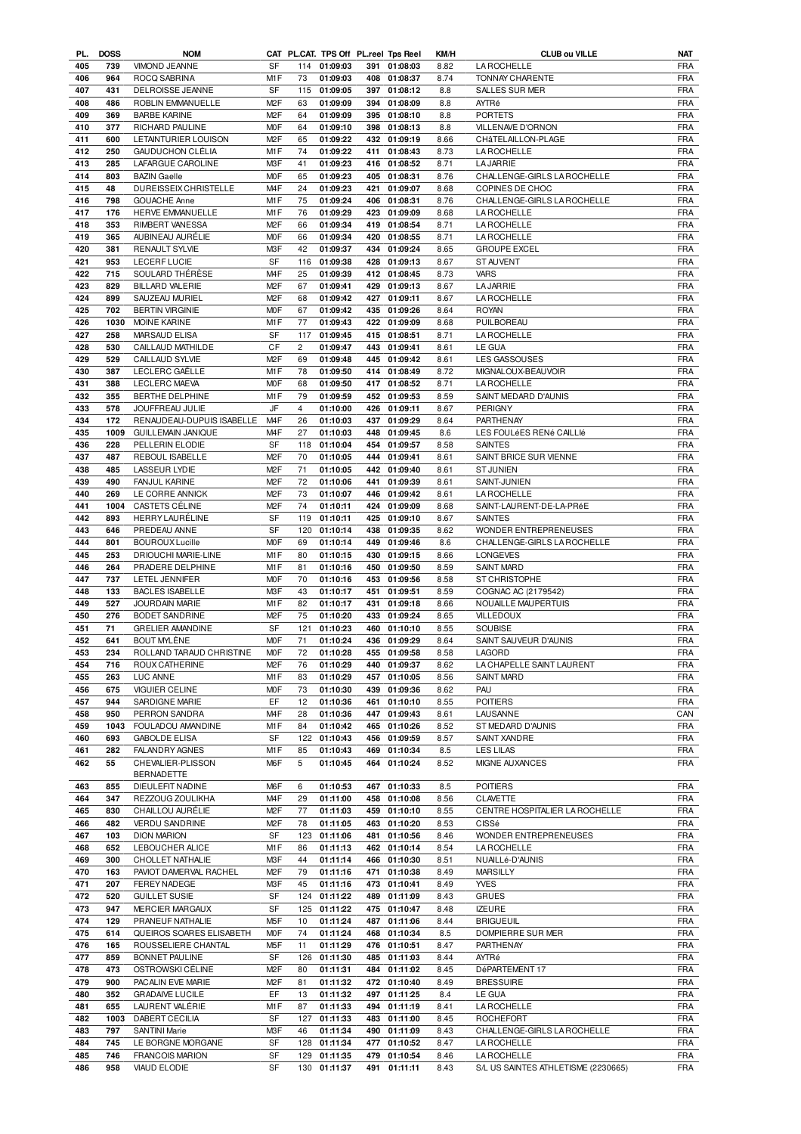| PL. | <b>DOSS</b> | <b>NOM</b>                |                  |                | CAT PL.CAT. TPS Off PL.reel Tps Reel |     |              | KM/H | <b>CLUB ou VILLE</b>           | NAT        |
|-----|-------------|---------------------------|------------------|----------------|--------------------------------------|-----|--------------|------|--------------------------------|------------|
| 405 | 739         | <b>VIMOND JEANNE</b>      | <b>SF</b>        | 114            | 01:09:03                             |     | 391 01:08:03 | 8.82 | <b>LA ROCHELLE</b>             | <b>FRA</b> |
| 406 | 964         | ROCO SABRINA              | M1F              | 73             | 01:09:03                             | 408 | 01:08:37     | 8.74 | <b>TONNAY CHARENTE</b>         | <b>FRA</b> |
| 407 | 431         | DELROISSE JEANNE          | SF               | 115            | 01:09:05                             | 397 | 01:08:12     | 8.8  | <b>SALLES SUR MER</b>          | <b>FRA</b> |
| 408 | 486         | ROBLIN EMMANUELLE         | M <sub>2</sub> F | 63             | 01:09:09                             | 394 | 01:08:09     | 8.8  | AYTRé                          | <b>FRA</b> |
| 409 | 369         | <b>BARBE KARINE</b>       | M <sub>2</sub> F | 64             | 01:09:09                             |     | 395 01:08:10 | 8.8  | <b>PORTETS</b>                 | <b>FRA</b> |
| 410 | 377         | RICHARD PAULINE           | M <sub>O</sub> F | 64             | 01:09:10                             | 398 | 01:08:13     | 8.8  | VILLENAVE D'ORNON              | <b>FRA</b> |
|     |             |                           |                  |                |                                      |     |              |      |                                |            |
| 411 | 600         | LETAINTURIER LOUISON      | M <sub>2</sub> F | 65             | 01:09:22                             |     | 432 01:09:19 | 8.66 | CHâTELAILLON-PLAGE             | <b>FRA</b> |
| 412 | 250         | GAUDUCHON CLÉLIA          | M <sub>1</sub> F | 74             | 01:09:22                             | 411 | 01:08:43     | 8.73 | <b>LA ROCHELLE</b>             | <b>FRA</b> |
| 413 | 285         | LAFARGUE CAROLINE         | M3F              | 41             | 01:09:23                             |     | 416 01:08:52 | 8.71 | <b>LA JARRIE</b>               | <b>FRA</b> |
| 414 | 803         | <b>BAZIN Gaelle</b>       | M <sub>O</sub> F | 65             | 01:09:23                             |     | 405 01:08:31 | 8.76 | CHALLENGE-GIRLS LA ROCHELLE    | <b>FRA</b> |
| 415 | 48          | DUREISSEIX CHRISTELLE     | M <sub>4</sub> F | 24             | 01:09:23                             | 421 | 01:09:07     | 8.68 | COPINES DE CHOC                | <b>FRA</b> |
| 416 | 798         | <b>GOUACHE Anne</b>       | M <sub>1</sub> F | 75             | 01:09:24                             |     | 406 01:08:31 | 8.76 | CHALLENGE-GIRLS LA ROCHELLE    | <b>FRA</b> |
|     |             | HERVE EMMANUELLE          |                  |                |                                      |     |              |      |                                |            |
| 417 | 176         |                           | M <sub>1</sub> F | 76             | 01:09:29                             |     | 423 01:09:09 | 8.68 | LA ROCHELLE                    | <b>FRA</b> |
| 418 | 353         | <b>RIMBERT VANESSA</b>    | M <sub>2</sub> F | 66             | 01:09:34                             |     | 419 01:08:54 | 8.71 | LA ROCHELLE                    | <b>FRA</b> |
| 419 | 365         | AUBINEAU AURÉLIE          | <b>MOF</b>       | 66             | 01:09:34                             |     | 420 01:08:55 | 8.71 | LA ROCHELLE                    | <b>FRA</b> |
| 420 | 381         | RENAULT SYLVIE            | M3F              | 42             | 01:09:37                             |     | 434 01:09:24 | 8.65 | <b>GROUPE EXCEL</b>            | <b>FRA</b> |
| 421 | 953         | LECERF LUCIE              | <b>SF</b>        | 116            | 01:09:38                             |     | 428 01:09:13 | 8.67 | ST AUVENT                      | <b>FRA</b> |
| 422 | 715         | SOULARD THÉRÈSE           | M <sub>4</sub> F | 25             | 01:09:39                             |     | 412 01:08:45 | 8.73 | <b>VARS</b>                    | <b>FRA</b> |
| 423 | 829         | <b>BILLARD VALERIE</b>    | M <sub>2</sub> F | 67             | 01:09:41                             |     | 429 01:09:13 | 8.67 | <b>LA JARRIE</b>               | <b>FRA</b> |
| 424 | 899         | SAUZEAU MURIEL            | M <sub>2</sub> F | 68             | 01:09:42                             |     | 427 01:09:11 | 8.67 | <b>LA ROCHELLE</b>             | <b>FRA</b> |
|     |             |                           |                  |                |                                      |     |              |      |                                |            |
| 425 | 702         | <b>BERTIN VIRGINIE</b>    | <b>MOF</b>       | 67             | 01:09:42                             |     | 435 01:09:26 | 8.64 | <b>ROYAN</b>                   | <b>FRA</b> |
| 426 | 1030        | MOINE KARINE              | M1F              | 77             | 01:09:43                             |     | 422 01:09:09 | 8.68 | PUILBOREAU                     | <b>FRA</b> |
| 427 | 258         | MARSAUD ELISA             | SF               | 117            | 01:09:45                             |     | 415 01:08:51 | 8.71 | <b>LA ROCHELLE</b>             | FRA        |
| 428 | 530         | CAILLAUD MATHILDE         | CF               | $\overline{2}$ | 01:09:47                             |     | 443 01:09:41 | 8.61 | LE GUA                         | <b>FRA</b> |
| 429 | 529         | CAILLAUD SYLVIE           | M <sub>2</sub> F | 69             | 01:09:48                             |     | 445 01:09:42 | 8.61 | <b>LES GASSOUSES</b>           | <b>FRA</b> |
| 430 | 387         | LECLERC GAËLLE            | M <sub>1</sub> F | 78             | 01:09:50                             |     | 414 01:08:49 | 8.72 | MIGNALOUX-BEAUVOIR             | <b>FRA</b> |
| 431 | 388         | LECLERC MAEVA             | M <sub>O</sub> F | 68             | 01:09:50                             |     | 417 01:08:52 | 8.71 | <b>LA ROCHELLE</b>             | <b>FRA</b> |
|     |             |                           |                  |                |                                      |     |              |      |                                |            |
| 432 | 355         | BERTHE DELPHINE           | M1F              | 79             | 01:09:59                             |     | 452 01:09:53 | 8.59 | SAINT MEDARD D'AUNIS           | <b>FRA</b> |
| 433 | 578         | JOUFFREAU JULIE           | JF               | $\overline{4}$ | 01:10:00                             | 426 | 01:09:11     | 8.67 | PERIGNY                        | <b>FRA</b> |
| 434 | 172         | RENAUDEAU-DUPUIS ISABELLE | M <sub>4</sub> F | 26             | 01:10:03                             |     | 437 01:09:29 | 8.64 | PARTHENAY                      | <b>FRA</b> |
| 435 | 1009        | <b>GUILLEMAIN JANIQUE</b> | M <sub>4F</sub>  | 27             | 01:10:03                             | 448 | 01:09:45     | 8.6  | LES FOULÉES RENÉ CAILLIÉ       | <b>FRA</b> |
| 436 | 228         | PELLERIN ELODIE           | SF               | 118            | 01:10:04                             | 454 | 01:09:57     | 8.58 | <b>SAINTES</b>                 | <b>FRA</b> |
| 437 | 487         | REBOUL ISABELLE           | M <sub>2</sub> F | 70             | 01:10:05                             | 444 | 01:09:41     | 8.61 | SAINT BRICE SUR VIENNE         | <b>FRA</b> |
| 438 | 485         | <b>LASSEUR LYDIE</b>      | M <sub>2</sub> F | 71             | 01:10:05                             |     | 442 01:09:40 | 8.61 | <b>ST JUNIEN</b>               | <b>FRA</b> |
|     |             |                           |                  |                |                                      |     |              |      |                                |            |
| 439 | 490         | <b>FANJUL KARINE</b>      | M <sub>2</sub> F | 72             | 01:10:06                             | 441 | 01:09:39     | 8.61 | SAINT-JUNIEN                   | <b>FRA</b> |
| 440 | 269         | LE CORRE ANNICK           | M <sub>2</sub> F | 73             | 01:10:07                             | 446 | 01:09:42     | 8.61 | <b>LA ROCHELLE</b>             | <b>FRA</b> |
| 441 | 1004        | <b>CASTETS CÉLINE</b>     | M <sub>2</sub> F | 74             | 01:10:11                             |     | 424 01:09:09 | 8.68 | SAINT-LAURENT-DE-LA-PRéE       | <b>FRA</b> |
| 442 | 893         | HERRYLAURÉLINE            | SF               | 119            | 01:10:11                             |     | 425 01:09:10 | 8.67 | <b>SAINTES</b>                 | <b>FRA</b> |
| 443 | 646         | PREDEAU ANNE              | SF               | 120            | 01:10:14                             |     | 438 01:09:35 | 8.62 | WONDER ENTREPRENEUSES          | <b>FRA</b> |
| 444 | 801         | <b>BOUROUX Lucille</b>    | M <sub>O</sub> F | 69             | 01:10:14                             | 449 | 01:09:46     | 8.6  | CHALLENGE-GIRLS LA ROCHELLE    | <b>FRA</b> |
| 445 | 253         | DRIOUCHI MARIE-LINE       | M1F              | 80             | 01:10:15                             | 430 | 01:09:15     | 8.66 | <b>LONGEVES</b>                | <b>FRA</b> |
|     |             |                           |                  |                |                                      |     |              |      |                                |            |
| 446 | 264         | PRADERE DELPHINE          | M <sub>1</sub> F | 81             | 01:10:16                             | 450 | 01:09:50     | 8.59 | <b>SAINT MARD</b>              | <b>FRA</b> |
| 447 | 737         | <b>LETEL JENNIFER</b>     | M <sub>O</sub> F | 70             | 01:10:16                             | 453 | 01:09:56     | 8.58 | <b>ST CHRISTOPHE</b>           | <b>FRA</b> |
| 448 | 133         | <b>BACLES ISABELLE</b>    | M <sub>3</sub> F | 43             | 01:10:17                             |     | 451 01:09:51 | 8.59 | COGNAC AC (2179542)            | <b>FRA</b> |
| 449 | 527         | JOURDAIN MARIE            | M <sub>1</sub> F | 82             | 01:10:17                             | 431 | 01:09:18     | 8.66 | NOUAILLE MAUPERTUIS            | <b>FRA</b> |
| 450 | 276         | <b>BODET SANDRINE</b>     | M <sub>2</sub> F | 75             | 01:10:20                             |     | 433 01:09:24 | 8.65 | <b>VILLEDOUX</b>               | <b>FRA</b> |
| 451 | 71          | <b>GRELIER AMANDINE</b>   | SF               | 121            | 01:10:23                             | 460 | 01:10:10     | 8.55 | <b>SOUBISE</b>                 | <b>FRA</b> |
| 452 | 641         | <b>BOUT MYLÈNE</b>        | <b>MOF</b>       | 71             | 01:10:24                             |     | 436 01:09:29 | 8.64 | SAINT SAUVEUR D'AUNIS          | <b>FRA</b> |
| 453 | 234         | ROLLAND TARAUD CHRISTINE  | M <sub>O</sub> F | 72             | 01:10:28                             |     | 455 01:09:58 |      |                                | <b>FRA</b> |
|     |             |                           |                  |                |                                      |     |              | 8.58 | LAGORD                         |            |
| 454 | 716         | ROUX CATHERINE            | M <sub>2</sub> F | 76             | 01:10:29                             |     | 440 01:09:37 | 8.62 | LA CHAPELLE SAINT LAURENT      | <b>FRA</b> |
| 455 | 263         | LUC ANNE                  | M1F              | 83             | 01:10:29                             | 457 | 01:10:05     | 8.56 | SAINT MARD                     | FRA        |
| 456 | 675         | <b>VIGUIER CELINE</b>     | <b>MOF</b>       | 73             | 01:10:30                             |     | 439 01:09:36 | 8.62 | PAU                            | FRA        |
| 457 | 944         | SARDIGNE MARIE            | EF               | 12             | 01:10:36                             | 461 | 01:10:10     | 8.55 | <b>POITIERS</b>                | FRA        |
| 458 | 950         | PERRON SANDRA             | M <sub>4</sub> F | 28             | 01:10:36                             |     | 447 01:09:43 | 8.61 | LAUSANNE                       | CAN        |
| 459 | 1043        | FOULADOU AMANDINE         | M1F              | 84             | 01:10:42                             |     | 465 01:10:26 | 8.52 | ST MEDARD D'AUNIS              | <b>FRA</b> |
| 460 | 693         | <b>GABOLDE ELISA</b>      | SF               | 122            | 01:10:43                             |     | 456 01:09:59 | 8.57 | SAINT XANDRE                   | <b>FRA</b> |
|     |             |                           |                  |                |                                      |     |              |      |                                |            |
| 461 | 282         | <b>FALANDRY AGNES</b>     | M1F              | 85             | 01:10:43                             |     | 469 01:10:34 | 8.5  | <b>LES LILAS</b>               | FRA        |
| 462 | 55          | CHEVALIER-PLISSON         | M6F              | 5              | 01:10:45                             |     | 464 01:10:24 | 8.52 | MIGNE AUXANCES                 | FRA        |
|     |             | <b>BERNADETTE</b>         |                  |                |                                      |     |              |      |                                |            |
| 463 | 855         | DIEULEFIT NADINE          | M6F              | 6              | 01:10:53                             | 467 | 01:10:33     | 8.5  | <b>POITIERS</b>                | FRA        |
| 464 | 347         | REZZOUG ZOULIKHA          | M <sub>4</sub> F | 29             | 01:11:00                             | 458 | 01:10:08     | 8.56 | <b>CLAVETTE</b>                | FRA        |
| 465 | 830         | CHAILLOU AURÉLIE          | M <sub>2</sub> F | 77             | 01:11:03                             |     | 459 01:10:10 | 8.55 | CENTRE HOSPITALIER LA ROCHELLE | <b>FRA</b> |
| 466 | 482         | <b>VERDU SANDRINE</b>     | M <sub>2</sub> F | 78             | 01:11:05                             |     | 463 01:10:20 | 8.53 | CISSé                          | <b>FRA</b> |
| 467 | 103         | <b>DION MARION</b>        | SF               | 123            | 01:11:06                             | 481 | 01:10:56     | 8.46 | WONDER ENTREPRENEUSES          | FRA        |
|     | 652         |                           | M <sub>1</sub> F |                |                                      |     | 462 01:10:14 | 8.54 |                                |            |
| 468 |             | LEBOUCHER ALICE           |                  | 86             | 01:11:13                             |     |              |      | <b>LA ROCHELLE</b>             | <b>FRA</b> |
| 469 | 300         | CHOLLET NATHALIE          | M3F              | 44             | 01:11:14                             |     | 466 01:10:30 | 8.51 | NUAILLé-D'AUNIS                | FRA        |
| 470 | 163         | PAVIOT DAMERVAL RACHEL    | M <sub>2</sub> F | 79             | 01:11:16                             | 471 | 01:10:38     | 8.49 | <b>MARSILLY</b>                | <b>FRA</b> |
| 471 | 207         | FEREY NADEGE              | M3F              | 45             | 01:11:16                             | 473 | 01:10:41     | 8.49 | <b>YVES</b>                    | FRA        |
| 472 | 520         | <b>GUILLET SUSIE</b>      | SF               | 124            | 01:11:22                             | 489 | 01:11:09     | 8.43 | <b>GRUES</b>                   | <b>FRA</b> |
| 473 | 947         | <b>MERCIER MARGAUX</b>    | SF               | 125            | 01:11:22                             | 475 | 01:10:47     | 8.48 | <b>IZEURE</b>                  | FRA        |
| 474 | 129         | PRANEUF NATHALIE          | M <sub>5</sub> F | 10             | 01:11:24                             | 487 | 01:11:06     | 8.44 | <b>BRIGUEUIL</b>               | <b>FRA</b> |
| 475 |             |                           | <b>MOF</b>       | 74             |                                      |     |              |      |                                |            |
|     |             | QUEIROS SOARES ELISABETH  |                  |                | 01:11:24                             | 468 | 01:10:34     | 8.5  | DOMPIERRE SUR MER              | <b>FRA</b> |
|     | 614         |                           |                  |                | 01:11:29                             | 476 | 01:10:51     | 8.47 | PARTHENAY                      | <b>FRA</b> |
| 476 | 165         | ROUSSELIERE CHANTAL       | M <sub>5</sub> F | 11             |                                      |     |              |      |                                |            |
| 477 | 859         | BONNET PAULINE            | SF               | 126            | 01:11:30                             | 485 | 01:11:03     | 8.44 | AYTRé                          | FRA        |
| 478 | 473         | OSTROWSKI CÉLINE          | M <sub>2</sub> F | 80             | 01:11:31                             | 484 | 01:11:02     | 8.45 | DéPARTEMENT 17                 | <b>FRA</b> |
| 479 | 900         | PACALIN EVE MARIE         | M <sub>2</sub> F | 81             | 01:11:32                             | 472 | 01:10:40     | 8.49 | <b>BRESSUIRE</b>               | <b>FRA</b> |
|     |             |                           |                  |                |                                      |     |              |      |                                |            |
| 480 | 352         | <b>GRADAIVE LUCILE</b>    | EF               | 13             | 01:11:32                             | 497 | 01:11:25     | 8.4  | LE GUA                         | <b>FRA</b> |
| 481 | 655         | LAURENT VALÉRIE           | M1F              | 87             | 01:11:33                             | 494 | 01:11:19     | 8.41 | <b>LA ROCHELLE</b>             | <b>FRA</b> |
| 482 | 1003        | DABERT CECILIA            | SF               | 127            | 01:11:33                             | 483 | 01:11:00     | 8.45 | <b>ROCHEFORT</b>               | <b>FRA</b> |
| 483 | 797         | <b>SANTINI Marie</b>      | M3F              | 46             | 01:11:34                             | 490 | 01:11:09     | 8.43 | CHALLENGE-GIRLS LA ROCHELLE    | <b>FRA</b> |
| 484 | 745         | LE BORGNE MORGANE         | SF               | 128            | 01:11:34                             | 477 | 01:10:52     | 8.47 | LA ROCHELLE                    | <b>FRA</b> |
| 485 | 746         | <b>FRANCOIS MARION</b>    | SF               | 129            | 01:11:35                             |     | 479 01:10:54 | 8.46 | <b>LA ROCHELLE</b>             | FRA        |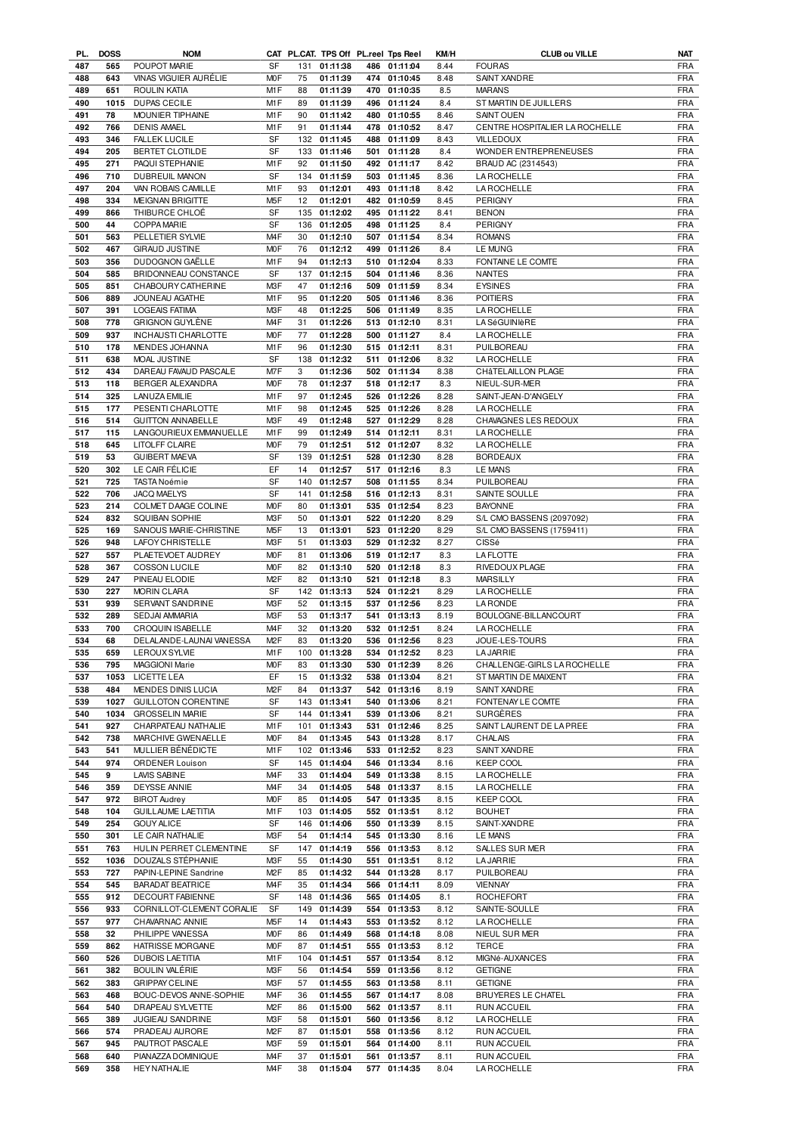| PL. | <b>DOSS</b> | <b>NOM</b>                 |                  |     |              |     | CAT PL.CAT. TPS Off PL.reel Tps Reel | KM/H | <b>CLUB ou VILLE</b>           | <b>NAT</b> |
|-----|-------------|----------------------------|------------------|-----|--------------|-----|--------------------------------------|------|--------------------------------|------------|
| 487 | 565         | POUPOT MARIE               | <b>SF</b>        | 131 | 01:11:38     |     | 486 01:11:04                         | 8.44 | <b>FOURAS</b>                  | <b>FRA</b> |
| 488 | 643         | VINAS VIGUIER AURÉLIE      | <b>MOF</b>       | 75  | 01:11:39     |     | 474 01:10:45                         | 8.48 | SAINT XANDRE                   | <b>FRA</b> |
| 489 | 651         | ROULIN KATIA               | M1F              | 88  | 01:11:39     |     | 470 01:10:35                         | 8.5  | <b>MARANS</b>                  | <b>FRA</b> |
| 490 |             | 1015 DUPAS CECILE          | M <sub>1</sub> F | 89  | 01:11:39     |     | 496 01:11:24                         | 8.4  | ST MARTIN DE JUILLERS          | <b>FRA</b> |
| 491 | 78          | MOUNIER TIPHAINE           | M1F              | 90  | 01:11:42     |     | 480 01:10:55                         | 8.46 | <b>SAINT OUEN</b>              | <b>FRA</b> |
| 492 | 766         | <b>DENIS AMAEL</b>         | M1F              | 91  | 01:11:44     |     | 478 01:10:52                         | 8.47 | CENTRE HOSPITALIER LA ROCHELLE | <b>FRA</b> |
| 493 | 346         | <b>FALLEK LUCILE</b>       | SF               | 132 | 01:11:45     |     | 488 01:11:09                         | 8.43 | <b>VILLEDOUX</b>               | <b>FRA</b> |
|     |             |                            |                  |     |              |     |                                      |      |                                |            |
| 494 | 205         | BERTET CLOTILDE            | SF               | 133 | 01:11:46     |     | 501 01:11:28                         | 8.4  | WONDER ENTREPRENEUSES          | <b>FRA</b> |
| 495 | 271         | PAQUI STEPHANIE            | M1F              | 92  | 01:11:50     |     | 492 01:11:17                         | 8.42 | BRAUD AC (2314543)             | <b>FRA</b> |
| 496 | 710         | DUBREUIL MANON             | SF               | 134 | 01:11:59     |     | 503 01:11:45                         | 8.36 | LA ROCHELLE                    | <b>FRA</b> |
| 497 | 204         | VAN ROBAIS CAMILLE         | M1F              | 93  | 01:12:01     |     | 493 01:11:18                         | 8.42 | LA ROCHELLE                    | <b>FRA</b> |
| 498 | 334         | <b>MEIGNAN BRIGITTE</b>    | M <sub>5</sub> F | 12  | 01:12:01     |     | 482 01:10:59                         | 8.45 | <b>PERIGNY</b>                 | <b>FRA</b> |
| 499 | 866         | THIBURCE CHLOÉ             | <b>SF</b>        | 135 | 01:12:02     |     | 495 01:11:22                         | 8.41 | <b>BENON</b>                   | <b>FRA</b> |
| 500 | 44          | COPPA MARIE                | <b>SF</b>        | 136 | 01:12:05     |     | 498 01:11:25                         | 8.4  | PERIGNY                        | <b>FRA</b> |
|     |             |                            |                  |     |              |     |                                      |      |                                |            |
| 501 | 563         | PELLETIER SYLVIE           | M <sub>4</sub> F | 30  | 01:12:10     | 507 | 01:11:54                             | 8.34 | <b>ROMANS</b>                  | <b>FRA</b> |
| 502 | 467         | <b>GIRAUD JUSTINE</b>      | M <sub>O</sub> F | 76  | 01:12:12     |     | 499 01:11:26                         | 8.4  | <b>LE MUNG</b>                 | <b>FRA</b> |
| 503 | 356         | DUDOGNON GAËLLE            | M1F              | 94  | 01:12:13     |     | 510 01:12:04                         | 8.33 | FONTAINE LE COMTE              | <b>FRA</b> |
| 504 | 585         | BRIDONNEAU CONSTANCE       | SF               | 137 | 01:12:15     |     | 504 01:11:46                         | 8.36 | <b>NANTES</b>                  | <b>FRA</b> |
| 505 | 851         | CHABOURY CATHERINE         | M3F              | 47  | 01:12:16     |     | 509 01:11:59                         | 8.34 | <b>EYSINES</b>                 | <b>FRA</b> |
| 506 | 889         | JOUNEAU AGATHE             | M1F              | 95  | 01:12:20     |     | 505 01:11:46                         | 8.36 | <b>POITIERS</b>                | <b>FRA</b> |
| 507 | 391         | <b>LOGEAIS FATIMA</b>      | M3F              | 48  | 01:12:25     |     | 506 01:11:49                         | 8.35 | <b>LA ROCHELLE</b>             | <b>FRA</b> |
| 508 | 778         | <b>GRIGNON GUYLÈNE</b>     | M <sub>4F</sub>  | 31  | 01:12:26     |     | 513 01:12:10                         | 8.31 | <b>LA SéGUINIÈRE</b>           | <b>FRA</b> |
| 509 | 937         | INCHAUSTI CHARLOTTE        | <b>MOF</b>       | 77  | 01:12:28     |     | 500 01:11:27                         | 8.4  | LA ROCHELLE                    | <b>FRA</b> |
|     |             |                            |                  |     |              |     |                                      |      |                                |            |
| 510 | 178         | MENDES JOHANNA             | M1F              | 96  | 01:12:30     |     | 515 01:12:11                         | 8.31 | PUILBOREAU                     | <b>FRA</b> |
| 511 | 638         | MOAL JUSTINE               | <b>SF</b>        | 138 | 01:12:32     |     | 511 01:12:06                         | 8.32 | <b>LA ROCHELLE</b>             | <b>FRA</b> |
| 512 | 434         | DAREAU FAVAUD PASCALE      | M7F              | 3   | 01:12:36     |     | 502 01:11:34                         | 8.38 | CHÂTELAILLON PLAGE             | <b>FRA</b> |
| 513 | 118         | BERGER ALEXANDRA           | <b>MOF</b>       | 78  | 01:12:37     |     | 518 01:12:17                         | 8.3  | NIEUL-SUR-MER                  | <b>FRA</b> |
| 514 | 325         | <b>LANUZA EMILIE</b>       | M1F              | 97  | 01:12:45     |     | 526 01:12:26                         | 8.28 | SAINT-JEAN-D'ANGELY            | <b>FRA</b> |
| 515 | 177         | PESENTI CHARLOTTE          | M <sub>1</sub> F | 98  | 01:12:45     |     | 525 01:12:26                         | 8.28 | LA ROCHELLE                    | <b>FRA</b> |
| 516 | 514         | <b>GUITTON ANNABELLE</b>   | M3F              | 49  | 01:12:48     |     | 527 01:12:29                         | 8.28 | CHAVAGNES LES REDOUX           | <b>FRA</b> |
| 517 | 115         | LANGOURIEUX EMMANUELLE     | M1F              | 99  | 01:12:49     |     | 514 01:12:11                         | 8.31 | LA ROCHELLE                    | <b>FRA</b> |
| 518 | 645         | <b>LITOLFF CLAIRE</b>      | M <sub>O</sub> F | 79  | 01:12:51     |     | 512 01:12:07                         | 8.32 | LA ROCHELLE                    | <b>FRA</b> |
|     |             |                            |                  |     |              |     |                                      |      |                                |            |
| 519 | 53          | <b>GUIBERT MAEVA</b>       | <b>SF</b>        | 139 | 01:12:51     |     | 528 01:12:30                         | 8.28 | <b>BORDEAUX</b>                | <b>FRA</b> |
| 520 | 302         | LE CAIR FÉLICIE            | EF               | 14  | 01:12:57     |     | 517 01:12:16                         | 8.3  | <b>LE MANS</b>                 | <b>FRA</b> |
| 521 | 725         | TASTA Noémie               | <b>SF</b>        | 140 | 01:12:57     |     | 508 01:11:55                         | 8.34 | PUILBOREAU                     | <b>FRA</b> |
| 522 | 706         | JACQ MAELYS                | SF               | 141 | 01:12:58     |     | 516 01:12:13                         | 8.31 | SAINTE SOULLE                  | <b>FRA</b> |
| 523 | 214         | COLMET DAAGE COLINE        | <b>MOF</b>       | 80  | 01:13:01     |     | 535 01:12:54                         | 8.23 | <b>BAYONNE</b>                 | <b>FRA</b> |
| 524 | 832         | <b>SQUIBAN SOPHIE</b>      | M3F              | 50  | 01:13:01     |     | 522 01:12:20                         | 8.29 | S/L CMO BASSENS (2097092)      | <b>FRA</b> |
| 525 | 169         | SANOUS MARIE-CHRISTINE     | M <sub>5</sub> F | 13  | 01:13:01     |     | 523 01:12:20                         | 8.29 | S/L CMO BASSENS (1759411)      | <b>FRA</b> |
| 526 | 948         | LAFOY CHRISTELLE           | M <sub>3</sub> F | 51  | 01:13:03     |     | 529 01:12:32                         | 8.27 | CISSé                          | <b>FRA</b> |
| 527 | 557         | PLAETEVOET AUDREY          | M <sub>O</sub> F | 81  | 01:13:06     |     | 519 01:12:17                         | 8.3  | <b>LAFLOTTE</b>                | <b>FRA</b> |
| 528 | 367         | <b>COSSON LUCILE</b>       | <b>MOF</b>       | 82  | 01:13:10     |     | 520 01:12:18                         | 8.3  | RIVEDOUX PLAGE                 | <b>FRA</b> |
| 529 | 247         | PINEAU ELODIE              | M <sub>2</sub> F | 82  | 01:13:10     |     | 521 01:12:18                         | 8.3  | <b>MARSILLY</b>                | <b>FRA</b> |
| 530 | 227         | <b>MORIN CLARA</b>         | <b>SF</b>        |     | 142 01:13:13 |     | 524 01:12:21                         | 8.29 | <b>LA ROCHELLE</b>             | <b>FRA</b> |
| 531 | 939         | SERVANT SANDRINE           | M3F              | 52  | 01:13:15     |     | 537 01:12:56                         | 8.23 | <b>LARONDE</b>                 | <b>FRA</b> |
| 532 | 289         | <b>SEDJAI AMMARIA</b>      | M3F              | 53  | 01:13:17     |     | 541 01:13:13                         |      | BOULOGNE-BILLANCOURT           | <b>FRA</b> |
|     |             |                            |                  |     |              |     |                                      | 8.19 |                                |            |
| 533 | 700         | <b>CROQUIN ISABELLE</b>    | M <sub>4</sub> F | 32  | 01:13:20     |     | 532 01:12:51                         | 8.24 | <b>LAROCHELLE</b>              | <b>FRA</b> |
| 534 | 68          | DELALANDE-LAUNAI VANESSA   | M <sub>2</sub> F | 83  | 01:13:20     |     | 536 01:12:56                         | 8.23 | JOUE-LES-TOURS                 | <b>FRA</b> |
| 535 |             | 659 LEROUX SYLVIE          | M1F              |     | 100 01:13:28 |     | 534 01:12:52                         | 8.23 | <b>LA JARRIE</b>               | FRA        |
| 536 | 795         | MAGGIONI Marie             | <b>MOF</b>       | 83  | 01:13:30     |     | 530 01:12:39                         | 8.26 | CHALLENGE-GIRLS LA ROCHELLE    | <b>FRA</b> |
| 537 |             | 1053 LICETTE LEA           | EF               | 15  | 01:13:32     |     | 538 01:13:04                         | 8.21 | ST MARTIN DE MAIXENT           | <b>FRA</b> |
| 538 | 484         | MENDES DINIS LUCIA         | M <sub>2</sub> F | 84  | 01:13:37     |     | 542 01:13:16                         | 8.19 | SAINT XANDRE                   | <b>FRA</b> |
| 539 | 1027        | <b>GUILLOTON CORENTINE</b> | SF               | 143 | 01:13:41     |     | 540 01:13:06                         | 8.21 | FONTENAY LE COMTE              | <b>FRA</b> |
| 540 | 1034        | <b>GROSSELIN MARIE</b>     | SF               | 144 | 01:13:41     |     | 539 01:13:06                         | 8.21 | SURGÈRES                       | <b>FRA</b> |
| 541 | 927         | CHARPATEAU NATHALIE        | M1F              | 101 | 01:13:43     | 531 | 01:12:46                             | 8.25 | SAINT LAURENT DE LA PREE       | <b>FRA</b> |
| 542 | 738         |                            | <b>MOF</b>       | 84  | 01:13:45     | 543 | 01:13:28                             | 8.17 | CHALAIS                        | <b>FRA</b> |
|     |             | MARCHIVE GWENAELLE         |                  |     |              |     |                                      |      |                                |            |
| 543 | 541         | MULLIER BÉNÉDICTE          | M1F              | 102 | 01:13:46     |     | 533 01:12:52                         | 8.23 | SAINT XANDRE                   | <b>FRA</b> |
| 544 | 974         | <b>ORDENER Louison</b>     | SF               | 145 | 01:14:04     | 546 | 01:13:34                             | 8.16 | KEEP COOL                      | <b>FRA</b> |
| 545 | 9           | LAVIS SABINE               | M4F              | 33  | 01:14:04     |     | 549 01:13:38                         | 8.15 | LA ROCHELLE                    | <b>FRA</b> |
| 546 | 359         | <b>DEYSSE ANNIE</b>        | M <sub>4</sub> F | 34  | 01:14:05     | 548 | 01:13:37                             | 8.15 | LA ROCHELLE                    | <b>FRA</b> |
| 547 | 972         | <b>BIROT Audrey</b>        | <b>MOF</b>       | 85  | 01:14:05     | 547 | 01:13:35                             | 8.15 | KEEP COOL                      | <b>FRA</b> |
| 548 | 104         | <b>GUILLAUME LAETITIA</b>  | M1F              | 103 | 01:14:05     | 552 | 01:13:51                             | 8.12 | <b>BOUHET</b>                  | <b>FRA</b> |
| 549 | 254         | <b>GOUY ALICE</b>          | SF               | 146 | 01:14:06     |     | 550 01:13:39                         | 8.15 | SAINT-XANDRE                   | <b>FRA</b> |
| 550 | 301         | LE CAIR NATHALIE           | M3F              | 54  | 01:14:14     |     | 545 01:13:30                         | 8.16 | LE MANS                        | <b>FRA</b> |
| 551 | 763         | HULIN PERRET CLEMENTINE    | SF               | 147 | 01:14:19     |     | 556 01:13:53                         | 8.12 | SALLES SUR MER                 | <b>FRA</b> |
|     |             |                            |                  |     |              |     |                                      |      |                                |            |
| 552 | 1036        | DOUZALS STÉPHANIE          | M3F              | 55  | 01:14:30     | 551 | 01:13:51                             | 8.12 | <b>LA JARRIE</b>               | <b>FRA</b> |
| 553 | 727         | PAPIN-LEPINE Sandrine      | M <sub>2</sub> F | 85  | 01:14:32     |     | 544 01:13:28                         | 8.17 | PUILBOREAU                     | <b>FRA</b> |
| 554 | 545         | <b>BARADAT BEATRICE</b>    | M <sub>4</sub> F | 35  | 01:14:34     | 566 | 01:14:11                             | 8.09 | VIENNAY                        | <b>FRA</b> |
| 555 | 912         | DECOURT FABIENNE           | SF               | 148 | 01:14:36     |     | 565 01:14:05                         | 8.1  | ROCHEFORT                      | <b>FRA</b> |
| 556 | 933         | CORNILLOT-CLEMENT CORALIE  | SF               | 149 | 01:14:39     |     | 554 01:13:53                         | 8.12 | SAINTE-SOULLE                  | <b>FRA</b> |
| 557 | 977         | CHAVARNAC ANNIE            | M <sub>5</sub> F | 14  | 01:14:43     |     | 553 01:13:52                         | 8.12 | LA ROCHELLE                    | <b>FRA</b> |
| 558 | 32          | PHILIPPE VANESSA           | <b>MOF</b>       | 86  | 01:14:49     |     | 568 01:14:18                         | 8.08 | NIEUL SUR MER                  | <b>FRA</b> |
| 559 | 862         | HATRISSE MORGANE           | <b>MOF</b>       | 87  | 01:14:51     |     | 555 01:13:53                         | 8.12 | TERCE                          | <b>FRA</b> |
| 560 | 526         | <b>DUBOIS LAETITIA</b>     | M1F              | 104 | 01:14:51     | 557 | 01:13:54                             | 8.12 | MIGNé-AUXANCES                 | <b>FRA</b> |
| 561 | 382         | BOULIN VALÉRIE             | M3F              | 56  | 01:14:54     |     | 559 01:13:56                         | 8.12 | <b>GETIGNE</b>                 | <b>FRA</b> |
|     |             |                            |                  |     |              |     |                                      |      |                                |            |
| 562 | 383         | <b>GRIPPAY CELINE</b>      | M3F              | 57  | 01:14:55     |     | 563 01:13:58                         | 8.11 | <b>GETIGNE</b>                 | <b>FRA</b> |
| 563 | 468         | BOUC-DEVOS ANNE-SOPHIE     | M4F              | 36  | 01:14:55     |     | 567 01:14:17                         | 8.08 | <b>BRUYERES LE CHATEL</b>      | <b>FRA</b> |
| 564 | 540         | DRAPEAU SYLVETTE           | M <sub>2</sub> F | 86  | 01:15:00     |     | 562 01:13:57                         | 8.11 | <b>RUN ACCUEIL</b>             | <b>FRA</b> |
| 565 | 389         | JUGIEAU SANDRINE           | M3F              | 58  | 01:15:01     |     | 560 01:13:56                         | 8.12 | LA ROCHELLE                    | <b>FRA</b> |
| 566 | 574         | PRADEAU AURORE             | M <sub>2</sub> F | 87  | 01:15:01     |     | 558 01:13:56                         | 8.12 | RUN ACCUEIL                    | <b>FRA</b> |
| 567 | 945         | PAUTROT PASCALE            | M3F              | 59  | 01:15:01     |     | 564 01:14:00                         | 8.11 | <b>RUN ACCUEIL</b>             | <b>FRA</b> |
| 568 | 640         | PIANAZZA DOMINIQUE         | M4F              | 37  | 01:15:01     |     | 561 01:13:57                         | 8.11 | RUN ACCUEIL                    | <b>FRA</b> |
| 569 | 358         | <b>HEY NATHALIE</b>        | M4F              | 38  | 01:15:04     |     | 577 01:14:35                         | 8.04 | LA ROCHELLE                    | FRA        |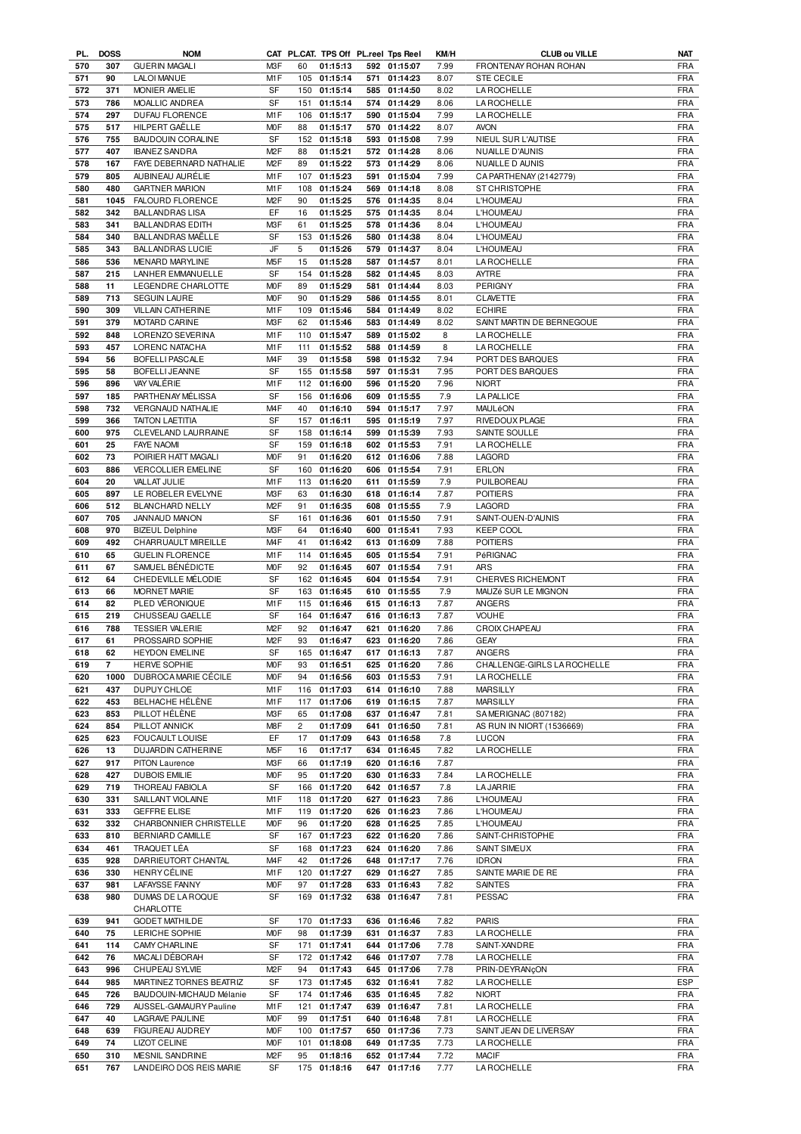| PL. | <b>DOSS</b> | <b>NOM</b>                |                  |                | CAT PL.CAT. TPS Off PL.reel Tps Reel |     |              | KM/H | <b>CLUB ou VILLE</b>        | NAT        |
|-----|-------------|---------------------------|------------------|----------------|--------------------------------------|-----|--------------|------|-----------------------------|------------|
| 570 | 307         | <b>GUERIN MAGALI</b>      | M3F              | 60             | 01:15:13                             |     | 592 01:15:07 | 7.99 | FRONTENAY ROHAN ROHAN       | <b>FRA</b> |
| 571 | 90          | <b>LALOI MANUE</b>        | M1F              | 105            | 01:15:14                             | 571 | 01:14:23     | 8.07 | <b>STE CECILE</b>           | <b>FRA</b> |
| 572 | 371         | MONIER AMELIE             | SF               | 150            | 01:15:14                             |     | 585 01:14:50 | 8.02 | <b>LA ROCHELLE</b>          | <b>FRA</b> |
|     |             |                           |                  |                |                                      |     |              |      |                             |            |
| 573 | 786         | MOALLIC ANDREA            | SF               | 151            | 01:15:14                             |     | 574 01:14:29 | 8.06 | <b>LA ROCHELLE</b>          | <b>FRA</b> |
| 574 | 297         | DUFAU FLORENCE            | M1F              | 106            | 01:15:17                             |     | 590 01:15:04 | 7.99 | <b>LA ROCHELLE</b>          | <b>FRA</b> |
| 575 | 517         | HILPERT GAËLLE            | M <sub>O</sub> F | 88             | 01:15:17                             |     | 570 01:14:22 | 8.07 | <b>AVON</b>                 | <b>FRA</b> |
| 576 | 755         | <b>BAUDOUIN CORALINE</b>  | SF               | 152            | 01:15:18                             |     | 593 01:15:08 | 7.99 | NIEUL SUR L'AUTISE          | <b>FRA</b> |
|     |             |                           |                  |                |                                      |     |              |      |                             |            |
| 577 | 407         | <b>IBANEZ SANDRA</b>      | M <sub>2</sub> F | 88             | 01:15:21                             |     | 572 01:14:28 | 8.06 | NUAILLE D'AUNIS             | <b>FRA</b> |
| 578 | 167         | FAYE DEBERNARD NATHALIE   | M <sub>2</sub> F | 89             | 01:15:22                             |     | 573 01:14:29 | 8.06 | NUAILLE D AUNIS             | <b>FRA</b> |
| 579 | 805         | AUBINEAU AURÉLIE          | M1F              | 107            | 01:15:23                             | 591 | 01:15:04     | 7.99 | CA PARTHENAY (2142779)      | <b>FRA</b> |
| 580 | 480         | <b>GARTNER MARION</b>     | M1F              | 108            | 01:15:24                             |     | 569 01:14:18 | 8.08 | ST CHRISTOPHE               | <b>FRA</b> |
|     |             |                           |                  |                |                                      |     |              |      |                             |            |
| 581 | 1045        | FALOURD FLORENCE          | M <sub>2</sub> F | 90             | 01:15:25                             |     | 576 01:14:35 | 8.04 | L'HOUMEAU                   | <b>FRA</b> |
| 582 | 342         | <b>BALLANDRAS LISA</b>    | EF               | 16             | 01:15:25                             |     | 575 01:14:35 | 8.04 | L'HOUMEAU                   | <b>FRA</b> |
| 583 | 341         | <b>BALLANDRAS EDITH</b>   | M3F              | 61             | 01:15:25                             |     | 578 01:14:36 | 8.04 | L'HOUMEAU                   | <b>FRA</b> |
| 584 | 340         | <b>BALLANDRAS MAËLLE</b>  | SF               |                | 153 01:15:26                         |     | 580 01:14:38 |      | L'HOUMEAU                   | <b>FRA</b> |
|     |             |                           |                  |                |                                      |     |              | 8.04 |                             |            |
| 585 | 343         | <b>BALLANDRAS LUCIE</b>   | JF               | 5              | 01:15:26                             | 579 | 01:14:37     | 8.04 | L'HOUMEAU                   | <b>FRA</b> |
| 586 | 536         | MENARD MARYLINE           | M <sub>5</sub> F | 15             | 01:15:28                             |     | 587 01:14:57 | 8.01 | <b>LA ROCHELLE</b>          | <b>FRA</b> |
| 587 | 215         | LANHER EMMANUELLE         | SF               | 154            | 01:15:28                             |     | 582 01:14:45 | 8.03 | <b>AYTRE</b>                | <b>FRA</b> |
|     |             |                           | <b>MOF</b>       | 89             | 01:15:29                             |     | 581 01:14:44 |      | PERIGNY                     | <b>FRA</b> |
| 588 | 11          | LEGENDRE CHARLOTTE        |                  |                |                                      |     |              | 8.03 |                             |            |
| 589 | 713         | <b>SEGUIN LAURE</b>       | M <sub>O</sub> F | 90             | 01:15:29                             | 586 | 01:14:55     | 8.01 | <b>CLAVETTE</b>             | <b>FRA</b> |
| 590 | 309         | <b>VILLAIN CATHERINE</b>  | M1F              | 109            | 01:15:46                             |     | 584 01:14:49 | 8.02 | <b>ECHIRE</b>               | <b>FRA</b> |
| 591 | 379         | MOTARD CARINE             | M3F              | 62             | 01:15:46                             |     | 583 01:14:49 | 8.02 | SAINT MARTIN DE BERNEGOUE   | <b>FRA</b> |
|     |             |                           |                  |                |                                      |     |              |      |                             |            |
| 592 | 848         | LORENZO SEVERINA          | M1F              | 110            | 01:15:47                             |     | 589 01:15:02 | 8    | <b>LA ROCHELLE</b>          | <b>FRA</b> |
| 593 | 457         | LORENC NATACHA            | M <sub>1</sub> F | 111            | 01:15:52                             |     | 588 01:14:59 | 8    | <b>LA ROCHELLE</b>          | <b>FRA</b> |
| 594 | 56          | <b>BOFELLI PASCALE</b>    | M <sub>4</sub> F | 39             | 01:15:58                             |     | 598 01:15:32 | 7.94 | PORT DES BARQUES            | <b>FRA</b> |
| 595 | 58          | <b>BOFELLI JEANNE</b>     | <b>SF</b>        | 155            | 01:15:58                             |     | 597 01:15:31 | 7.95 | PORT DES BARQUES            | <b>FRA</b> |
| 596 | 896         | VAY VALÉRIE               | M <sub>1</sub> F | 112            | 01:16:00                             |     | 596 01:15:20 | 7.96 | <b>NIORT</b>                | <b>FRA</b> |
|     |             |                           |                  |                |                                      |     |              |      |                             |            |
| 597 | 185         | PARTHENAY MÉLISSA         | SF               | 156            | 01:16:06                             |     | 609 01:15:55 | 7.9  | <b>LA PALLICE</b>           | <b>FRA</b> |
| 598 | 732         | VERGNAUD NATHALIE         | M <sub>4</sub> F | 40             | 01:16:10                             |     | 594 01:15:17 | 7.97 | MAULéON                     | <b>FRA</b> |
| 599 | 366         | <b>TAITON LAETITIA</b>    | <b>SF</b>        | 157            | 01:16:11                             |     | 595 01:15:19 | 7.97 | RIVEDOUX PLAGE              | <b>FRA</b> |
|     | 975         | CLEVELAND LAURRAINE       |                  | 158            |                                      |     | 01:15:39     |      |                             |            |
| 600 |             |                           | SF               |                | 01:16:14                             | 599 |              | 7.93 | SAINTE SOULLE               | <b>FRA</b> |
| 601 | 25          | <b>FAYE NAOMI</b>         | <b>SF</b>        | 159            | 01:16:18                             | 602 | 01:15:53     | 7.91 | <b>LA ROCHELLE</b>          | <b>FRA</b> |
| 602 | 73          | POIRIER HATT MAGALI       | M <sub>O</sub> F | 91             | 01:16:20                             |     | 612 01:16:06 | 7.88 | LAGORD                      | <b>FRA</b> |
| 603 | 886         | <b>VERCOLLIER EMELINE</b> | <b>SF</b>        | 160            | 01:16:20                             | 606 | 01:15:54     | 7.91 | <b>ERLON</b>                | <b>FRA</b> |
| 604 | 20          |                           | M1F              | 113            | 01:16:20                             |     |              |      | PUILBOREAU                  | <b>FRA</b> |
|     |             | VALLAT JULIE              |                  |                |                                      | 611 | 01:15:59     | 7.9  |                             |            |
| 605 | 897         | LE ROBELER EVELYNE        | M3F              | 63             | 01:16:30                             |     | 618 01:16:14 | 7.87 | <b>POITIERS</b>             | <b>FRA</b> |
| 606 | 512         | <b>BLANCHARD NELLY</b>    | M <sub>2</sub> F | 91             | 01:16:35                             |     | 608 01:15:55 | 7.9  | LAGORD                      | <b>FRA</b> |
| 607 | 705         | JANNAUD MANON             | SF               | 161            | 01:16:36                             |     | 601 01:15:50 | 7.91 | SAINT-OUEN-D'AUNIS          | <b>FRA</b> |
| 608 | 970         |                           | M3F              |                |                                      |     |              |      |                             | <b>FRA</b> |
|     |             | <b>BIZEUL Delphine</b>    |                  | 64             | 01:16:40                             | 600 | 01:15:41     | 7.93 | <b>KEEP COOL</b>            |            |
| 609 | 492         | CHARRUAULT MIREILLE       | M <sub>4</sub> F | 41             | 01:16:42                             | 613 | 01:16:09     | 7.88 | <b>POITIERS</b>             | <b>FRA</b> |
| 610 | 65          | <b>GUELIN FLORENCE</b>    | M1F              | 114            | 01:16:45                             | 605 | 01:15:54     | 7.91 | PéRIGNAC                    | <b>FRA</b> |
| 611 | 67          | SAMUEL BENEDICTE          | <b>MOF</b>       | 92             | 01:16:45                             |     | 607 01:15:54 | 7.91 | <b>ARS</b>                  | <b>FRA</b> |
|     |             |                           |                  |                |                                      |     |              |      |                             |            |
| 612 | 64          | CHEDEVILLE MÉLODIE        | SF               | 162            | 01:16:45                             | 604 | 01:15:54     | 7.91 | <b>CHERVES RICHEMONT</b>    | <b>FRA</b> |
| 613 | 66          | <b>MORNET MARIE</b>       | SF               | 163            | 01:16:45                             |     | 610 01:15:55 | 7.9  | MAUZé SUR LE MIGNON         | FRA        |
| 614 | 82          | PLED VÉRONIQUE            | M1F              | 115            | 01:16:46                             | 615 | 01:16:13     | 7.87 | ANGERS                      | <b>FRA</b> |
| 615 | 219         | CHUSSEAU GAELLE           | SF               | 164            | 01:16:47                             |     | 616 01:16:13 | 7.87 | <b>VOUHE</b>                | <b>FRA</b> |
|     |             |                           |                  |                |                                      |     |              |      |                             |            |
| 616 | 788         | <b>TESSIER VALERIE</b>    | M <sub>2</sub> F | 92             | 01:16:47                             | 621 | 01:16:20     | 7.86 | CROIX CHAPEAU               | <b>FRA</b> |
| 617 | 61          | PROSSAIRD SOPHIE          | M <sub>2</sub> F | 93             | 01:16:47                             |     | 623 01:16:20 | 7.86 | <b>GEAY</b>                 | <b>FRA</b> |
| 618 | 62          | <b>HEYDON EMELINE</b>     | SF               |                | 165 01:16:47                         |     | 617 01:16:13 | 7.87 | <b>ANGERS</b>               | <b>FRA</b> |
| 619 | 7           | HERVE SOPHIE              | <b>MOF</b>       | 93             | 01:16:51                             |     | 625 01:16:20 | 7.86 | CHALLENGE-GIRLS LA ROCHELLE | <b>FRA</b> |
|     |             |                           |                  |                |                                      |     |              |      |                             |            |
| 620 | 1000        | DUBROCA MARIE CÉCILE      | <b>MOF</b>       | 94             | 01:16:56                             |     | 603 01:15:53 | 7.91 | <b>LAROCHELLE</b>           | FRA        |
| 621 | 437         | DUPUY CHLOE               | M1F              | 116            | 01:17:03                             |     | 614 01:16:10 | 7.88 | <b>MARSILLY</b>             | <b>FRA</b> |
| 622 | 453         | BELHACHE HÉLÈNE           | M1F              | 117            | 01:17:06                             |     | 619 01:16:15 | 7.87 | <b>MARSILLY</b>             | <b>FRA</b> |
| 623 | 853         | PILLOT HÉLÈNE             | M3F              | 65             | 01:17:08                             |     | 637 01:16:47 | 7.81 | SAMERIGNAC (807182)         | <b>FRA</b> |
|     |             |                           |                  |                |                                      |     |              |      |                             |            |
| 624 | 854         | PILLOT ANNICK             | M8F              | $\overline{c}$ | 01:17:09                             | 641 | 01:16:50     | 7.81 | AS RUN IN NIORT (1536669)   | <b>FRA</b> |
| 625 | 623         | FOUCAULT LOUISE           | EF               | 17             | 01:17:09                             |     | 643 01:16:58 | 7.8  | <b>LUCON</b>                | <b>FRA</b> |
| 626 | 13          | DUJARDIN CATHERINE        | M <sub>5</sub> F | 16             | 01:17:17                             |     | 634 01:16:45 | 7.82 | <b>LA ROCHELLE</b>          | <b>FRA</b> |
| 627 | 917         | <b>PITON Laurence</b>     | M3F              | 66             | 01:17:19                             |     | 620 01:16:16 | 7.87 |                             | FRA        |
| 628 | 427         | <b>DUBOIS EMILIE</b>      | <b>MOF</b>       | 95             | 01:17:20                             |     | 630 01:16:33 | 7.84 | <b>LA ROCHELLE</b>          | <b>FRA</b> |
|     |             |                           |                  |                |                                      |     |              |      |                             |            |
| 629 | 719         | THOREAU FABIOLA           | SF               | 166            | 01:17:20                             |     | 642 01:16:57 | 7.8  | <b>LA JARRIE</b>            | <b>FRA</b> |
| 630 | 331         | SAILLANT VIOLAINE         | M1F              | 118            | 01:17:20                             |     | 627 01:16:23 | 7.86 | <b>L'HOUMEAU</b>            | <b>FRA</b> |
| 631 | 333         | <b>GEFFRE ELISE</b>       | M1F              | 119            | 01:17:20                             |     | 626 01:16:23 | 7.86 | <b>L'HOUMEAU</b>            | <b>FRA</b> |
| 632 | 332         | CHARBONNIER CHRISTELLE    | <b>MOF</b>       | 96             | 01:17:20                             |     | 628 01:16:25 | 7.85 | <b>L'HOUMEAU</b>            | <b>FRA</b> |
|     |             |                           |                  |                |                                      |     |              |      |                             |            |
| 633 | 810         | BERNIARD CAMILLE          | SF               | 167            | 01:17:23                             |     | 622 01:16:20 | 7.86 | SAINT-CHRISTOPHE            | <b>FRA</b> |
| 634 | 461         | TRAQUET LÉA               | SF               | 168            | 01:17:23                             |     | 624 01:16:20 | 7.86 | <b>SAINT SIMEUX</b>         | <b>FRA</b> |
| 635 | 928         | DARRIEUTORT CHANTAL       | M <sub>4</sub> F | 42             | 01:17:26                             |     | 648 01:17:17 | 7.76 | <b>IDRON</b>                | <b>FRA</b> |
| 636 | 330         | <b>HENRY CÉLINE</b>       | M1F              | 120            | 01:17:27                             |     | 629 01:16:27 | 7.85 | SAINTE MARIE DE RE          | <b>FRA</b> |
|     |             |                           |                  |                |                                      |     |              |      |                             |            |
| 637 | 981         | LAFAYSSE FANNY            | <b>MOF</b>       | 97             | 01:17:28                             |     | 633 01:16:43 | 7.82 | <b>SAINTES</b>              | <b>FRA</b> |
| 638 | 980         | DUMAS DE LA ROQUE         | SF               | 169            | 01:17:32                             |     | 638 01:16:47 | 7.81 | PESSAC                      | <b>FRA</b> |
|     |             | CHARLOTTE                 |                  |                |                                      |     |              |      |                             |            |
| 639 | 941         | <b>GODET MATHILDE</b>     | SF               | 170            | 01:17:33                             | 636 | 01:16:46     | 7.82 | <b>PARIS</b>                | <b>FRA</b> |
| 640 | 75          | LERICHE SOPHIE            | <b>MOF</b>       | 98             | 01:17:39                             |     | 631 01:16:37 | 7.83 | <b>LA ROCHELLE</b>          | <b>FRA</b> |
|     |             |                           |                  |                |                                      |     |              |      |                             |            |
| 641 | 114         | CAMY CHARLINE             | SF               | 171            | 01:17:41                             |     | 644 01:17:06 | 7.78 | SAINT-XANDRE                | <b>FRA</b> |
| 642 | 76          | MACALI DÉBORAH            | SF               | 172            | 01:17:42                             |     | 646 01:17:07 | 7.78 | <b>LA ROCHELLE</b>          | <b>FRA</b> |
| 643 | 996         | CHUPEAU SYLVIE            | M <sub>2</sub> F | 94             | 01:17:43                             |     | 645 01:17:06 | 7.78 | PRIN-DEYRANÇON              | FRA        |
| 644 | 985         | MARTINEZ TORNES BEATRIZ   | SF               | 173            | 01:17:45                             |     | 632 01:16:41 | 7.82 | <b>LA ROCHELLE</b>          | <b>ESP</b> |
|     |             |                           |                  |                |                                      |     |              |      |                             |            |
| 645 | 726         | BAUDOUIN-MICHAUD Mélanie  | <b>SF</b>        | 174            | 01:17:46                             |     | 635 01:16:45 | 7.82 | <b>NIORT</b>                | <b>FRA</b> |
| 646 | 729         | AUSSEL-GAMAURY Pauline    | M1F              | 121            | 01:17:47                             |     | 639 01:16:47 | 7.81 | LA ROCHELLE                 | <b>FRA</b> |
| 647 | 40          | <b>LAGRAVE PAULINE</b>    | <b>MOF</b>       | 99             | 01:17:51                             |     | 640 01:16:48 | 7.81 | LA ROCHELLE                 | <b>FRA</b> |
| 648 | 639         | FIGUREAU AUDREY           | <b>MOF</b>       | 100            | 01:17:57                             |     | 650 01:17:36 | 7.73 | SAINT JEAN DE LIVERSAY      | <b>FRA</b> |
|     |             |                           |                  |                |                                      |     |              |      |                             |            |
| 649 | 74          | <b>LIZOT CELINE</b>       | <b>MOF</b>       | 101            | 01:18:08                             |     | 649 01:17:35 | 7.73 | <b>LA ROCHELLE</b>          | <b>FRA</b> |
| 650 | 310         | MESNIL SANDRINE           | M <sub>2</sub> F | 95             | 01:18:16                             |     | 652 01:17:44 | 7.72 | <b>MACIF</b>                | FRA        |
|     |             |                           | SF               |                | 175 01:18:16                         |     | 647 01:17:16 | 7.77 | <b>LA ROCHELLE</b>          | <b>FRA</b> |
| 651 | 767         | LANDEIRO DOS REIS MARIE   |                  |                |                                      |     |              |      |                             |            |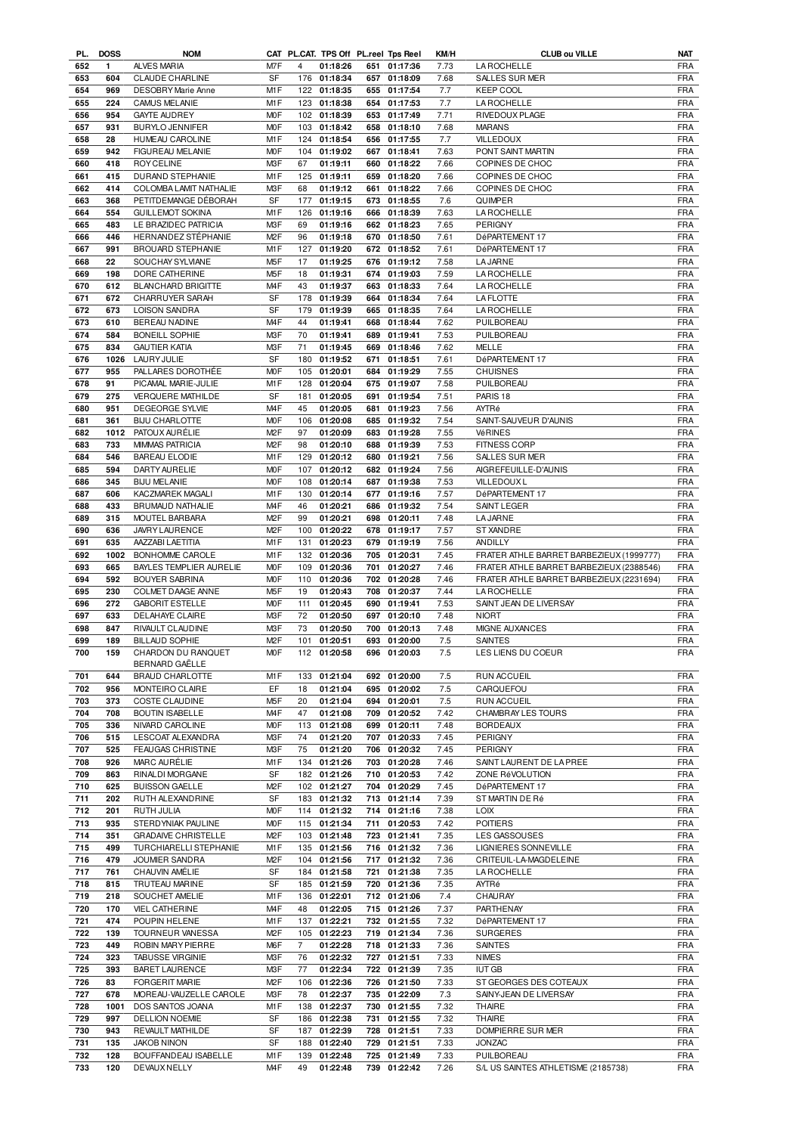| PL. | <b>DOSS</b> | <b>NOM</b>                 |                  |                | CAT PL.CAT. TPS Off PL.reel Tps Reel |     |              | KM/H    | <b>CLUB ou VILLE</b>                     | NAT        |
|-----|-------------|----------------------------|------------------|----------------|--------------------------------------|-----|--------------|---------|------------------------------------------|------------|
| 652 | 1           | ALVES MARIA                | M7F              | 4              | 01:18:26                             |     | 651 01:17:36 | 7.73    | <b>LAROCHELLE</b>                        | <b>FRA</b> |
| 653 | 604         | <b>CLAUDE CHARLINE</b>     | SF               | 176            | 01:18:34                             | 657 | 01:18:09     | 7.68    | <b>SALLES SUR MER</b>                    | FRA        |
| 654 | 969         | <b>DESOBRY Marie Anne</b>  | M1F              |                | 122 01:18:35                         | 655 | 01:17:54     | 7.7     | <b>KEEP COOL</b>                         | <b>FRA</b> |
|     |             |                            |                  |                |                                      |     |              |         |                                          |            |
| 655 | 224         | CAMUS MELANIE              | M1F              | 123            | 01:18:38                             | 654 | 01:17:53     | 7.7     | <b>LA ROCHELLE</b>                       | <b>FRA</b> |
| 656 | 954         | <b>GAYTE AUDREY</b>        | <b>MOF</b>       |                | 102 01:18:39                         | 653 | 01:17:49     | 7.71    | RIVEDOUX PLAGE                           | <b>FRA</b> |
| 657 | 931         | <b>BURYLO JENNIFER</b>     | <b>MOF</b>       | 103            | 01:18:42                             | 658 | 01:18:10     | 7.68    | <b>MARANS</b>                            | <b>FRA</b> |
| 658 | 28          | <b>HUMEAU CAROLINE</b>     | M1F              | 124            | 01:18:54                             | 656 | 01:17:55     | 7.7     | <b>VILLEDOUX</b>                         | <b>FRA</b> |
| 659 | 942         | FIGUREAU MELANIE           | M <sub>O</sub> F | 104            | 01:19:02                             | 667 | 01:18:41     | 7.63    | PONT SAINT MARTIN                        | <b>FRA</b> |
|     |             |                            |                  |                |                                      |     |              |         |                                          |            |
| 660 | 418         | <b>ROY CELINE</b>          | M3F              | 67             | 01:19:11                             | 660 | 01:18:22     | 7.66    | COPINES DE CHOC                          | <b>FRA</b> |
| 661 | 415         | DURAND STEPHANIE           | M1F              | 125            | 01:19:11                             | 659 | 01:18:20     | 7.66    | COPINES DE CHOC                          | <b>FRA</b> |
| 662 | 414         | COLOMBA LAMIT NATHALIE     | M3F              | 68             | 01:19:12                             |     | 661 01:18:22 | 7.66    | COPINES DE CHOC                          | <b>FRA</b> |
| 663 | 368         | PETITDEMANGE DÉBORAH       | SF               | 177            | 01:19:15                             |     | 673 01:18:55 | 7.6     | <b>QUIMPER</b>                           | FRA        |
|     |             |                            |                  |                |                                      |     |              |         |                                          |            |
| 664 | 554         | <b>GUILLEMOT SOKINA</b>    | M1F              | 126            | 01:19:16                             |     | 666 01:18:39 | 7.63    | <b>LA ROCHELLE</b>                       | <b>FRA</b> |
| 665 | 483         | LE BRAZIDEC PATRICIA       | M3F              | 69             | 01:19:16                             |     | 662 01:18:23 | 7.65    | PERIGNY                                  | <b>FRA</b> |
| 666 | 446         | HERNANDEZ STÉPHANIE        | M <sub>2</sub> F | 96             | 01:19:18                             |     | 670 01:18:50 | 7.61    | DéPARTEMENT 17                           | <b>FRA</b> |
| 667 | 991         | BROUARD STEPHANIE          | M1F              | 127            | 01:19:20                             |     | 672 01:18:52 | 7.61    | DéPARTEMENT 17                           | <b>FRA</b> |
| 668 | 22          | SOUCHAY SYLVIANE           | M <sub>5</sub> F | 17             | 01:19:25                             |     | 676 01:19:12 | 7.58    | <b>LA JARNE</b>                          | <b>FRA</b> |
|     |             |                            |                  |                |                                      |     |              |         |                                          |            |
| 669 | 198         | DORE CATHERINE             | M <sub>5</sub> F | 18             | 01:19:31                             |     | 674 01:19:03 | 7.59    | LA ROCHELLE                              | <b>FRA</b> |
| 670 | 612         | <b>BLANCHARD BRIGITTE</b>  | M <sub>4</sub> F | 43             | 01:19:37                             |     | 663 01:18:33 | 7.64    | <b>LA ROCHELLE</b>                       | <b>FRA</b> |
| 671 | 672         | CHARRUYER SARAH            | SF               | 178            | 01:19:39                             |     | 664 01:18:34 | 7.64    | <b>LA FLOTTE</b>                         | <b>FRA</b> |
| 672 | 673         | LOISON SANDRA              | SF               | 179            | 01:19:39                             | 665 | 01:18:35     | 7.64    | <b>LA ROCHELLE</b>                       | <b>FRA</b> |
|     |             |                            |                  |                |                                      |     |              |         |                                          |            |
| 673 | 610         | BEREAU NADINE              | M <sub>4</sub> F | 44             | 01:19:41                             | 668 | 01:18:44     | 7.62    | PUILBOREAU                               | <b>FRA</b> |
| 674 | 584         | <b>BONEILL SOPHIE</b>      | M3F              | 70             | 01:19:41                             |     | 689 01:19:41 | 7.53    | PUILBOREAU                               | <b>FRA</b> |
| 675 | 834         | <b>GAUTIER KATIA</b>       | M3F              | 71             | 01:19:45                             |     | 669 01:18:46 | 7.62    | MELLE                                    | <b>FRA</b> |
| 676 | 1026        | <b>LAURY JULIE</b>         | SF               | 180            | 01:19:52                             |     | 671 01:18:51 | 7.61    | DéPARTEMENT 17                           | <b>FRA</b> |
| 677 | 955         | PALLARES DOROTHÉE          | M <sub>O</sub> F | 105            | 01:20:01                             |     | 684 01:19:29 | 7.55    | <b>CHUISNES</b>                          | <b>FRA</b> |
|     |             |                            |                  |                |                                      |     |              |         |                                          |            |
| 678 | 91          | PICAMAL MARIE-JULIE        | M1F              | 128            | 01:20:04                             |     | 675 01:19:07 | 7.58    | PUILBOREAU                               | <b>FRA</b> |
| 679 | 275         | <b>VERQUERE MATHILDE</b>   | <b>SF</b>        | 181            | 01:20:05                             |     | 691 01:19:54 | 7.51    | PARIS <sub>18</sub>                      | <b>FRA</b> |
| 680 | 951         | DEGEORGE SYLVIE            | M <sub>4</sub> F | 45             | 01:20:05                             | 681 | 01:19:23     | 7.56    | AYTRé                                    | <b>FRA</b> |
| 681 | 361         | <b>BIJU CHARLOTTE</b>      | <b>MOF</b>       | 106            | 01:20:08                             |     | 685 01:19:32 | 7.54    | SAINT-SAUVEUR D'AUNIS                    | <b>FRA</b> |
|     |             |                            |                  |                |                                      |     |              |         |                                          |            |
| 682 | 1012        | PATOUX AURÉLIE             | M <sub>2</sub> F | 97             | 01:20:09                             | 683 | 01:19:28     | 7.55    | VéRINES                                  | <b>FRA</b> |
| 683 | 733         | <b>MIMMAS PATRICIA</b>     | M <sub>2</sub> F | 98             | 01:20:10                             |     | 688 01:19:39 | 7.53    | FITNESS CORP                             | <b>FRA</b> |
| 684 | 546         | <b>BAREAU ELODIE</b>       | M1F              | 129            | 01:20:12                             |     | 680 01:19:21 | 7.56    | SALLES SUR MER                           | <b>FRA</b> |
| 685 | 594         | DARTY AURELIE              | M <sub>O</sub> F | 107            | 01:20:12                             |     | 682 01:19:24 | 7.56    | AIGREFEUILLE-D'AUNIS                     | <b>FRA</b> |
| 686 | 345         | <b>BIJU MELANIE</b>        | M <sub>O</sub> F | 108            | 01:20:14                             |     | 687 01:19:38 | 7.53    | <b>VILLEDOUXL</b>                        | <b>FRA</b> |
|     |             |                            |                  |                |                                      |     |              |         |                                          |            |
| 687 | 606         | KACZMAREK MAGALI           | M1F              | 130            | 01:20:14                             |     | 677 01:19:16 | 7.57    | DéPARTEMENT 17                           | <b>FRA</b> |
| 688 | 433         | <b>BRUMAUD NATHALIE</b>    | M4F              | 46             | 01:20:21                             |     | 686 01:19:32 | 7.54    | <b>SAINT LEGER</b>                       | <b>FRA</b> |
| 689 | 315         | MOUTEL BARBARA             | M <sub>2</sub> F | 99             | 01:20:21                             |     | 698 01:20:11 | 7.48    | <b>LA JARNE</b>                          | <b>FRA</b> |
| 690 | 636         | JAVRY LAURENCE             | M <sub>2</sub> F | 100            | 01:20:22                             | 678 | 01:19:17     | 7.57    | <b>ST XANDRE</b>                         | <b>FRA</b> |
|     |             |                            |                  |                |                                      |     |              |         |                                          |            |
| 691 | 635         | AAZZABI LAETITIA           | M1F              | 131            | 01:20:23                             | 679 | 01:19:19     | 7.56    | ANDILLY                                  | <b>FRA</b> |
| 692 | 1002        | BONHOMME CAROLE            | M1F              | 132            | 01:20:36                             | 705 | 01:20:31     | 7.45    | FRATER ATHLE BARRET BARBEZIEUX (1999777) | <b>FRA</b> |
| 693 | 665         | BAYLES TEMPLIER AURELIE    | M <sub>O</sub> F | 109            | 01:20:36                             | 701 | 01:20:27     | 7.46    | FRATER ATHLE BARRET BARBEZIEUX (2388546) | <b>FRA</b> |
| 694 | 592         | <b>BOUYER SABRINA</b>      | <b>MOF</b>       | 110            | 01:20:36                             | 702 | 01:20:28     | 7.46    | FRATER ATHLE BARRET BARBEZIEUX (2231694) | <b>FRA</b> |
| 695 | 230         | COLMET DAAGE ANNE          | M <sub>5</sub> F | 19             | 01:20:43                             | 708 | 01:20:37     | 7.44    | <b>LA ROCHELLE</b>                       | <b>FRA</b> |
|     |             |                            |                  |                |                                      |     |              |         |                                          |            |
| 696 | 272         | <b>GABORIT ESTELLE</b>     | M <sub>O</sub> F | 111            | 01:20:45                             | 690 | 01:19:41     | 7.53    | SAINT JEAN DE LIVERSAY                   | <b>FRA</b> |
| 697 | 633         | DELAHAYE CLAIRE            | M3F              | 72             | 01:20:50                             |     | 697 01:20:10 | 7.48    | <b>NIORT</b>                             | <b>FRA</b> |
| 698 | 847         | RIVAULT CLAUDINE           | M3F              | 73             | 01:20:50                             | 700 | 01:20:13     | 7.48    | MIGNE AUXANCES                           | <b>FRA</b> |
|     |             |                            |                  |                | 01:20:51                             |     | 693 01:20:00 | 7.5     | <b>SAINTES</b>                           | <b>FRA</b> |
|     |             |                            |                  |                |                                      |     |              |         |                                          |            |
| 699 | 189         | <b>BILLAUD SOPHIE</b>      | M <sub>2</sub> F | 101            |                                      |     |              |         |                                          |            |
| 700 | 159         | CHARDON DU RANQUET         | M <sub>O</sub> F | 112            | 01:20:58                             |     | 696 01:20:03 | $7.5\,$ | LES LIENS DU COEUR                       | <b>FRA</b> |
|     |             | BERNARD GAËLLE             |                  |                |                                      |     |              |         |                                          |            |
| 701 | 644         | <b>BRAUD CHARLOTTE</b>     | M1F              | 133            | 01:21:04                             |     | 692 01:20:00 | 7.5     | <b>RUN ACCUEIL</b>                       | <b>FRA</b> |
| 702 | 956         | MONTEIRO CLAIRE            | EF               | 18             | 01:21:04                             |     | 695 01:20:02 | 7.5     | CARQUEFOU                                | <b>FRA</b> |
|     |             |                            |                  |                |                                      |     |              |         |                                          |            |
| 703 | 373         | COSTE CLAUDINE             | M <sub>5</sub> F | 20             | 01:21:04                             |     | 694 01:20:01 | $7.5\,$ | <b>RUN ACCUEIL</b>                       | <b>FRA</b> |
| 704 | 708         | <b>BOUTIN ISABELLE</b>     | M4F              | 47             | 01:21:08                             |     | 709 01:20:52 | 7.42    | CHAMBRAY LES TOURS                       | <b>FRA</b> |
| 705 | 336         | NIVARD CAROLINE            | M0F              | 113            | 01:21:08                             | 699 | 01:20:11     | 7.48    | <b>BORDEAUX</b>                          | <b>FRA</b> |
| 706 | 515         | LESCOAT ALEXANDRA          | M3F              | 74             | 01:21:20                             |     | 707 01:20:33 | 7.45    | PERIGNY                                  | <b>FRA</b> |
|     |             |                            |                  |                |                                      |     |              |         |                                          |            |
| 707 | 525         | <b>FEAUGAS CHRISTINE</b>   | M3F              | 75             | 01:21:20                             | 706 | 01:20:32     | 7.45    | PERIGNY                                  | <b>FRA</b> |
| 708 | 926         | MARC AURÉLIE               | M1F              | 134            | 01:21:26                             |     | 703 01:20:28 | 7.46    | SAINT LAURENT DE LA PREE                 | <b>FRA</b> |
| 709 | 863         | RINALDI MORGANE            | SF               | 182            | 01:21:26                             |     | 710 01:20:53 | 7.42    | ZONE RéVOLUTION                          | <b>FRA</b> |
| 710 | 625         | <b>BUISSON GAELLE</b>      | M <sub>2</sub> F | 102            | 01:21:27                             |     | 704 01:20:29 | 7.45    | DéPARTEMENT 17                           | <b>FRA</b> |
| 711 | 202         | RUTH ALEXANDRINE           | SF               | 183            | 01:21:32                             |     | 713 01:21:14 | 7.39    | ST MARTIN DE Ré                          | <b>FRA</b> |
|     |             |                            |                  |                |                                      |     |              |         |                                          |            |
| 712 | 201         | RUTH JULIA                 | <b>MOF</b>       | 114            | 01:21:32                             |     | 714 01:21:16 | 7.38    | <b>LOIX</b>                              | <b>FRA</b> |
| 713 | 935         | STERDYNIAK PAULINE         | <b>MOF</b>       | 115            | 01:21:34                             | 711 | 01:20:53     | 7.42    | <b>POITIERS</b>                          | <b>FRA</b> |
| 714 | 351         | <b>GRADAIVE CHRISTELLE</b> | M <sub>2</sub> F | 103            | 01:21:48                             | 723 | 01:21:41     | 7.35    | LES GASSOUSES                            | <b>FRA</b> |
| 715 | 499         | TURCHIARELLI STEPHANIE     | M1F              | 135            | 01:21:56                             |     | 716 01:21:32 | 7.36    | LIGNIERES SONNEVILLE                     | <b>FRA</b> |
|     | 479         |                            | M <sub>2</sub> F | 104            |                                      | 717 |              | 7.36    |                                          |            |
| 716 |             | <b>JOUMIER SANDRA</b>      |                  |                | 01:21:56                             |     | 01:21:32     |         | CRITEUIL-LA-MAGDELEINE                   | <b>FRA</b> |
| 717 | 761         | CHAUVIN AMÉLIE             | SF               | 184            | 01:21:58                             | 721 | 01:21:38     | 7.35    | <b>LA ROCHELLE</b>                       | <b>FRA</b> |
| 718 | 815         | TRUTEAU MARINE             | SF               | 185            | 01:21:59                             |     | 720 01:21:36 | 7.35    | AYTRé                                    | <b>FRA</b> |
| 719 | 218         | SOUCHET AMELIE             | M1F              | 136            | 01:22:01                             |     | 712 01:21:06 | 7.4     | CHAURAY                                  | <b>FRA</b> |
| 720 | 170         | <b>VIEL CATHERINE</b>      | M <sub>4</sub> F | 48             | 01:22:05                             |     | 715 01:21:26 | 7.37    | PARTHENAY                                | <b>FRA</b> |
|     |             |                            |                  |                |                                      |     |              |         |                                          |            |
| 721 | 474         | POUPIN HELENE              | M1F              | 137            | 01:22:21                             |     | 732 01:21:55 | 7.32    | DéPARTEMENT 17                           | <b>FRA</b> |
| 722 | 139         | TOURNEUR VANESSA           | M <sub>2</sub> F | 105            | 01:22:23                             |     | 719 01:21:34 | 7.36    | <b>SURGERES</b>                          | <b>FRA</b> |
| 723 | 449         | ROBIN MARY PIERRE          | M6F              | $\overline{7}$ | 01:22:28                             |     | 718 01:21:33 | 7.36    | <b>SAINTES</b>                           | <b>FRA</b> |
| 724 | 323         | <b>TABUSSE VIRGINIE</b>    | M3F              | 76             | 01:22:32                             |     | 727 01:21:51 | 7.33    | <b>NIMES</b>                             | <b>FRA</b> |
|     |             |                            |                  |                |                                      |     |              |         |                                          |            |
| 725 | 393         | <b>BARET LAURENCE</b>      | M3F              | 77             | 01:22:34                             |     | 722 01:21:39 | 7.35    | <b>IUT GB</b>                            | <b>FRA</b> |
| 726 | 83          | <b>FORGERIT MARIE</b>      | M <sub>2</sub> F | 106            | 01:22:36                             |     | 726 01:21:50 | 7.33    | ST GEORGES DES COTEAUX                   | <b>FRA</b> |
| 727 | 678         | MOREAU-VAUZELLE CAROLE     | M3F              | 78             | 01:22:37                             |     | 735 01:22:09 | 7.3     | SAINY-JEAN DE LIVERSAY                   | FRA        |
| 728 | 1001        | DOS SANTOS JOANA           | M1F              | 138            | 01:22:37                             |     | 730 01:21:55 | 7.32    | <b>THAIRE</b>                            | <b>FRA</b> |
|     |             |                            |                  |                |                                      |     |              |         |                                          |            |
| 729 | 997         | <b>DELLION NOEMIE</b>      | SF               | 186            | 01:22:38                             | 731 | 01:21:55     | 7.32    | <b>THAIRE</b>                            | <b>FRA</b> |
| 730 | 943         | REVAULT MATHILDE           | SF               | 187            | 01:22:39                             | 728 | 01:21:51     | 7.33    | DOMPIERRE SUR MER                        | <b>FRA</b> |
| 731 | 135         | <b>JAKOB NINON</b>         | SF               | 188            | 01:22:40                             |     | 729 01:21:51 | 7.33    | <b>JONZAC</b>                            | <b>FRA</b> |
| 732 | 128         | BOUFFANDEAU ISABELLE       | M1F              | 139            | 01:22:48                             |     | 725 01:21:49 | 7.33    | PUILBOREAU                               | FRA        |
| 733 | 120         | DEVAUX NELLY               | M <sub>4</sub> F | 49             | 01:22:48                             |     | 739 01:22:42 | 7.26    | S/L US SAINTES ATHLETISME (2185738)      | <b>FRA</b> |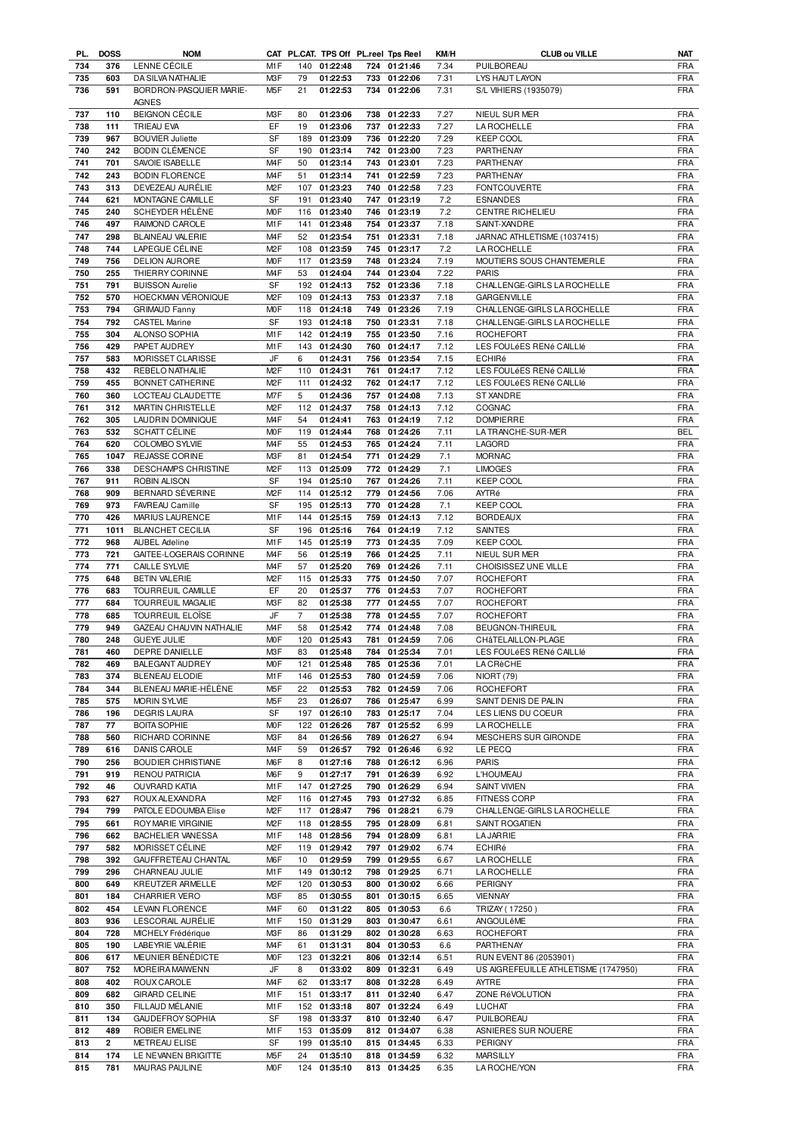|     | PL. DOSS | <b>NOM</b>                |                  |                |              |     | CAT PL.CAT. TPS Off PL.reel Tps Reel | KM/H | <b>CLUB ou VILLE</b>                 | <b>NAT</b> |
|-----|----------|---------------------------|------------------|----------------|--------------|-----|--------------------------------------|------|--------------------------------------|------------|
| 734 | 376      | LENNE CÉCILE              | M <sub>1</sub> F |                | 140 01:22:48 |     | 724 01:21:46                         | 7.34 | PUILBOREAU                           | <b>FRA</b> |
| 735 | 603      | DA SILVA NATHALIE         | M <sub>3</sub> F | 79             | 01:22:53     |     | 733 01:22:06                         | 7.31 | LYS HAUT LAYON                       | <b>FRA</b> |
| 736 | 591      | BORDRON-PASQUIER MARIE-   | M <sub>5</sub> F | 21             | 01:22:53     |     | 734 01:22:06                         | 7.31 | S/L VIHIERS (1935079)                | <b>FRA</b> |
|     |          | <b>AGNES</b>              |                  |                |              |     |                                      |      |                                      |            |
|     |          |                           |                  |                |              |     |                                      |      |                                      |            |
| 737 | 110      | <b>BEIGNON CÉCILE</b>     | M3F              | 80             | 01:23:06     |     | 738 01:22:33                         | 7.27 | NIEUL SUR MER                        | <b>FRA</b> |
| 738 | 111      | TRIEAU EVA                | EF               | 19             | 01:23:06     |     | 737 01:22:33                         | 7.27 | LA ROCHELLE                          | <b>FRA</b> |
| 739 | 967      | <b>BOUVIER Juliette</b>   | <b>SF</b>        | 189            | 01:23:09     |     | 736 01:22:20                         | 7.29 | <b>KEEP COOL</b>                     | <b>FRA</b> |
| 740 | 242      | <b>BODIN CLÉMENCE</b>     | <b>SF</b>        | 190            | 01:23:14     |     | 742 01:23:00                         | 7.23 | PARTHENAY                            | <b>FRA</b> |
| 741 | 701      | SAVOIE ISABELLE           | M <sub>4</sub> F | 50             | 01:23:14     |     | 743 01:23:01                         | 7.23 | PARTHENAY                            | <b>FRA</b> |
| 742 | 243      | <b>BODIN FLORENCE</b>     | M <sub>4</sub> F | 51             | 01:23:14     |     | 741 01:22:59                         | 7.23 | PARTHENAY                            | <b>FRA</b> |
|     |          |                           |                  |                |              |     |                                      |      |                                      |            |
| 743 | 313      | DEVEZEAU AURÉLIE          | M <sub>2</sub> F | 107            | 01:23:23     |     | 740 01:22:58                         | 7.23 | <b>FONTCOUVERTE</b>                  | <b>FRA</b> |
| 744 | 621      | MONTAGNE CAMILLE          | <b>SF</b>        | 191            | 01:23:40     |     | 747 01:23:19                         | 7.2  | <b>ESNANDES</b>                      | <b>FRA</b> |
| 745 | 240      | SCHEYDER HÉLÈNE           | <b>MOF</b>       | 116            | 01:23:40     |     | 746 01:23:19                         | 7.2  | CENTRE RICHELIEU                     | <b>FRA</b> |
| 746 | 497      | RAIMOND CAROLE            | M1F              | 141            | 01:23:48     |     | 754 01:23:37                         | 7.18 | SAINT-XANDRE                         | <b>FRA</b> |
| 747 | 298      | BLAINEAU VALERIE          | M <sub>4F</sub>  | 52             | 01:23:54     |     | 751 01:23:31                         | 7.18 | JARNAC ATHLETISME (1037415)          | <b>FRA</b> |
| 748 | 744      | LAPEGUE CÉLINE            | M <sub>2</sub> F |                | 108 01:23:59 |     | 745 01:23:17                         | 7.2  | <b>LA ROCHELLE</b>                   | <b>FRA</b> |
| 749 | 756      | <b>DELION AURORE</b>      | M <sub>O</sub> F | 117            | 01:23:59     |     | 748 01:23:24                         | 7.19 | MOUTIERS SOUS CHANTEMERLE            | <b>FRA</b> |
| 750 | 255      |                           | M <sub>4F</sub>  | 53             |              |     | 744 01:23:04                         | 7.22 | <b>PARIS</b>                         | <b>FRA</b> |
|     |          | THIERRY CORINNE           |                  |                | 01:24:04     |     |                                      |      |                                      |            |
| 751 | 791      | <b>BUISSON Aurelie</b>    | SF               | 192            | 01:24:13     |     | 752 01:23:36                         | 7.18 | CHALLENGE-GIRLS LA ROCHELLE          | <b>FRA</b> |
| 752 | 570      | HOECKMAN VÉRONIQUE        | M <sub>2</sub> F | 109            | 01:24:13     |     | 753 01:23:37                         | 7.18 | <b>GARGENVILLE</b>                   | <b>FRA</b> |
| 753 | 794      | <b>GRIMAUD Fanny</b>      | <b>MOF</b>       | 118            | 01:24:18     |     | 749 01:23:26                         | 7.19 | CHALLENGE-GIRLS LA ROCHELLE          | <b>FRA</b> |
| 754 | 792      | <b>CASTEL Marine</b>      | <b>SF</b>        |                | 193 01:24:18 |     | 750 01:23:31                         | 7.18 | CHALLENGE-GIRLS LA ROCHELLE          | <b>FRA</b> |
| 755 | 304      | ALONSO SOPHIA             | M <sub>1</sub> F | 142            | 01:24:19     |     | 755 01:23:50                         | 7.16 | <b>ROCHEFORT</b>                     | <b>FRA</b> |
| 756 | 429      | PAPET AUDREY              | M <sub>1</sub> F |                | 143 01:24:30 |     | 760 01:24:17                         | 7.12 | LES FOULÉES RENÉ CAILLIÉ             | <b>FRA</b> |
|     |          |                           |                  |                |              |     |                                      |      |                                      |            |
| 757 | 583      | MORISSET CLARISSE         | JF               | 6              | 01:24:31     |     | 756 01:23:54                         | 7.15 | ECHIRé                               | <b>FRA</b> |
| 758 | 432      | REBELO NATHALIE           | M <sub>2</sub> F |                | 110 01:24:31 |     | 761 01:24:17                         | 7.12 | LES FOULÉES RENÉ CAILLIÉ             | <b>FRA</b> |
| 759 | 455      | BONNET CATHERINE          | M <sub>2</sub> F | 111            | 01:24:32     |     | 762 01:24:17                         | 7.12 | LES FOULÉES RENÉ CAILLIÉ             | <b>FRA</b> |
| 760 | 360      | LOCTEAU CLAUDETTE         | M7F              | 5              | 01:24:36     |     | 757 01:24:08                         | 7.13 | ST XANDRE                            | <b>FRA</b> |
| 761 | 312      | MARTIN CHRISTELLE         | M <sub>2</sub> F | 112            | 01:24:37     |     | 758 01:24:13                         | 7.12 | COGNAC                               | <b>FRA</b> |
| 762 | 305      | LAUDRIN DOMINIQUE         | M <sub>4F</sub>  | 54             | 01:24:41     |     | 763 01:24:19                         | 7.12 | <b>DOMPIERRE</b>                     | <b>FRA</b> |
| 763 | 532      | <b>SCHATT CÉLINE</b>      | <b>MOF</b>       | 119            | 01:24:44     |     | 768 01:24:26                         | 7.11 | LATRANCHE-SUR-MER                    | <b>BEL</b> |
|     |          |                           |                  |                |              |     |                                      |      |                                      |            |
| 764 | 620      | COLOMBO SYLVIE            | M <sub>4F</sub>  | 55             | 01:24:53     |     | 765 01:24:24                         | 7.11 | LAGORD                               | <b>FRA</b> |
| 765 | 1047     | <b>REJASSE CORINE</b>     | M3F              | 81             | 01:24:54     |     | 771 01:24:29                         | 7.1  | <b>MORNAC</b>                        | <b>FRA</b> |
| 766 | 338      | DESCHAMPS CHRISTINE       | M <sub>2</sub> F | 113            | 01:25:09     |     | 772 01:24:29                         | 7.1  | <b>LIMOGES</b>                       | <b>FRA</b> |
| 767 | 911      | ROBIN ALISON              | SF               | 194            | 01:25:10     |     | 767 01:24:26                         | 7.11 | <b>KEEP COOL</b>                     | <b>FRA</b> |
| 768 | 909      | BERNARD SÉVERINE          | M <sub>2</sub> F | 114            | 01:25:12     |     | 779 01:24:56                         | 7.06 | AYTRé                                | <b>FRA</b> |
| 769 | 973      | FAVREAU Camille           | SF               |                | 195 01:25:13 |     | 770 01:24:28                         | 7.1  | <b>KEEP COOL</b>                     | <b>FRA</b> |
| 770 | 426      | MARIUS LAURENCE           | M1F              | 144            | 01:25:15     |     | 759 01:24:13                         | 7.12 | <b>BORDEAUX</b>                      | <b>FRA</b> |
|     |          |                           |                  |                |              |     |                                      |      |                                      |            |
| 771 | 1011     | <b>BLANCHET CECILIA</b>   | <b>SF</b>        |                | 196 01:25:16 |     | 764 01:24:19                         | 7.12 | SAINTES                              | <b>FRA</b> |
| 772 | 968      | <b>AUBEL Adeline</b>      | M1F              |                | 145 01:25:19 |     | 773 01:24:35                         | 7.09 | <b>KEEP COOL</b>                     | <b>FRA</b> |
| 773 | 721      | GAITEE-LOGERAIS CORINNE   | M <sub>4</sub> F | 56             | 01:25:19     |     | 766 01:24:25                         | 7.11 | NIEUL SUR MER                        | <b>FRA</b> |
| 774 | 771      | <b>CAILLE SYLVIE</b>      | M <sub>4</sub> F | 57             | 01:25:20     |     | 769 01:24:26                         | 7.11 | CHOISISSEZ UNE VILLE                 | <b>FRA</b> |
| 775 | 648      | <b>BETIN VALERIE</b>      | M <sub>2</sub> F | 115            | 01:25:33     |     | 775 01:24:50                         | 7.07 | <b>ROCHEFORT</b>                     | <b>FRA</b> |
| 776 | 683      | TOURREUIL CAMILLE         | EF               | 20             | 01:25:37     |     | 776 01:24:53                         | 7.07 | <b>ROCHEFORT</b>                     | <b>FRA</b> |
|     | 684      | TOURREUIL MAGALIE         | M3F              | 82             |              |     |                                      | 7.07 | <b>ROCHEFORT</b>                     | <b>FRA</b> |
| 777 |          |                           |                  |                | 01:25:38     |     | 777 01:24:55                         |      |                                      |            |
| 778 | 685      | TOURREUIL ELOÏSE          | JF               | $\overline{7}$ | 01:25:38     |     | 778 01:24:55                         | 7.07 | <b>ROCHEFORT</b>                     | <b>FRA</b> |
| 779 | 949      | GAZEAU CHAUVIN NATHALIE   | M <sub>4</sub> F | 58             | 01:25:42     | 774 | 01:24:48                             | 7.08 | <b>BEUGNON-THIREUIL</b>              | <b>FRA</b> |
| 780 | 248      | <b>GUEYE JULIE</b>        | <b>MOF</b>       |                | 120 01:25:43 |     | 781 01:24:59                         | 7.06 | CHâTELAILLON-PLAGE                   | <b>FRA</b> |
| 781 | 460      | DEPRE DANIELLE            | M3F              | 83             | 01:25:48     |     | 784 01:25:34                         | 7.01 | LES FOULÉES RENÉ CAILLIÉ             | <b>FRA</b> |
| 782 | 469      | BALEGANT AUDREY           | <b>MOF</b>       | 121            | 01:25:48     |     | 785 01:25:36                         | 7.01 | <b>LACRèCHE</b>                      | <b>FRA</b> |
| 783 | 374      | <b>BLENEAU ELODIE</b>     | M1F              | 146            | 01:25:53     |     | 780 01:24:59                         | 7.06 | <b>NIORT (79)</b>                    | <b>FRA</b> |
| 784 | 344      | BLENEAU MARIE-HÉLÈNE      | M <sub>5</sub> F | 22             | 01:25:53     | 782 | 01:24:59                             | 7.06 | <b>ROCHEFORT</b>                     | <b>FRA</b> |
| 785 | 575      | <b>MORIN SYLVIE</b>       | M <sub>5</sub> F | 23             | 01:26:07     |     | 786 01:25:47                         | 6.99 | SAINT DENIS DE PALIN                 | <b>FRA</b> |
|     |          |                           |                  |                |              |     |                                      |      |                                      |            |
| 786 | 196      | <b>DEGRIS LAURA</b>       | SF               | 197            | 01:26:10     |     | 783 01:25:17                         | 7.04 | LES LIENS DU COEUR                   | <b>FRA</b> |
| 787 | 77       | <b>BOITA SOPHIE</b>       | M <sub>O</sub> F | 122            | 01:26:26     | 787 | 01:25:52                             | 6.99 | LA ROCHELLE                          | <b>FRA</b> |
| 788 | 560      | RICHARD CORINNE           | M3F              | 84             | 01:26:56     | 789 | 01:26:27                             | 6.94 | MESCHERS SUR GIRONDE                 | <b>FRA</b> |
| 789 | 616      | DANIS CAROLE              | M <sub>4</sub> F | 59             | 01:26:57     | 792 | 01:26:46                             | 6.92 | LE PECQ                              | <b>FRA</b> |
| 790 | 256      | <b>BOUDIER CHRISTIANE</b> | M6F              | 8              | 01:27:16     | 788 | 01:26:12                             | 6.96 | <b>PARIS</b>                         | <b>FRA</b> |
| 791 | 919      | <b>RENOU PATRICIA</b>     | M6F              | 9              | 01:27:17     | 791 | 01:26:39                             | 6.92 | <b>L'HOUMEAU</b>                     | <b>FRA</b> |
| 792 | 46       | <b>OUVRARD KATIA</b>      | M1F              | 147            | 01:27:25     | 790 | 01:26:29                             | 6.94 | <b>SAINT VIVIEN</b>                  | <b>FRA</b> |
| 793 | 627      | ROUX ALEXANDRA            | M <sub>2</sub> F | 116            | 01:27:45     | 793 | 01:27:32                             | 6.85 | <b>FITNESS CORP</b>                  | <b>FRA</b> |
|     |          |                           |                  |                |              |     |                                      |      |                                      |            |
| 794 | 799      | PATOLE EDOUMBA Elise      | M <sub>2</sub> F | 117            | 01:28:47     | 796 | 01:28:21                             | 6.79 | CHALLENGE-GIRLS LA ROCHELLE          | <b>FRA</b> |
| 795 | 661      | ROY MARIE VIRGINIE        | M <sub>2</sub> F | 118            | 01:28:55     | 795 | 01:28:09                             | 6.81 | SAINT ROGATIEN                       | <b>FRA</b> |
| 796 | 662      | BACHELIER VANESSA         | M1F              | 148            | 01:28:56     | 794 | 01:28:09                             | 6.81 | <b>LA JARRIE</b>                     | <b>FRA</b> |
| 797 | 582      | MORISSET CÉLINE           | M <sub>2</sub> F | 119            | 01:29:42     | 797 | 01:29:02                             | 6.74 | ECHIRé                               | <b>FRA</b> |
| 798 | 392      | GAUFFRETEAU CHANTAL       | M6F              | 10             | 01:29:59     | 799 | 01:29:55                             | 6.67 | LA ROCHELLE                          | <b>FRA</b> |
| 799 | 296      | CHARNEAU JULIE            | M1F              | 149            | 01:30:12     |     | 798 01:29:25                         | 6.71 | LA ROCHELLE                          | FRA        |
| 800 | 649      | KREUTZER ARMELLE          | M <sub>2</sub> F | 120            | 01:30:53     | 800 | 01:30:02                             | 6.66 | PERIGNY                              | <b>FRA</b> |
|     |          |                           |                  |                |              |     |                                      |      |                                      |            |
| 801 | 184      | CHARRIER VERO             | M3F              | 85             | 01:30:55     | 801 | 01:30:15                             | 6.65 | <b>VIENNAY</b>                       | <b>FRA</b> |
| 802 | 454      | LEVAIN FLORENCE           | M <sub>4</sub> F | 60             | 01:31:22     | 805 | 01:30:53                             | 6.6  | TRIZAY (17250)                       | <b>FRA</b> |
| 803 | 936      | LESCORAIL AURÉLIE         | M1F              | 150            | 01:31:29     |     | 803 01:30:47                         | 6.61 | ANGOULêME                            | <b>FRA</b> |
| 804 | 728      | MICHELY Frédérique        | M3F              | 86             | 01:31:29     | 802 | 01:30:28                             | 6.63 | ROCHEFORT                            | <b>FRA</b> |
| 805 | 190      | LABEYRIE VALÉRIE          | M <sub>4</sub> F | 61             | 01:31:31     |     | 804 01:30:53                         | 6.6  | PARTHENAY                            | FRA        |
| 806 | 617      | MEUNIER BÉNÉDICTE         | <b>MOF</b>       | 123            | 01:32:21     | 806 | 01:32:14                             | 6.51 | RUN EVENT 86 (2053901)               | <b>FRA</b> |
| 807 | 752      | MOREIRA MAIWENN           | JF               | 8              | 01:33:02     |     | 809 01:32:31                         | 6.49 | US AIGREFEUILLE ATHLETISME (1747950) | <b>FRA</b> |
|     |          |                           |                  |                |              |     |                                      |      |                                      |            |
| 808 | 402      | ROUX CAROLE               | M <sub>4</sub> F | 62             | 01:33:17     | 808 | 01:32:28                             | 6.49 | <b>AYTRE</b>                         | <b>FRA</b> |
| 809 | 682      | <b>GIRARD CELINE</b>      | M1F              | 151            | 01:33:17     | 811 | 01:32:40                             | 6.47 | ZONE RéVOLUTION                      | <b>FRA</b> |
| 810 | 350      | FILLAUD MÉLANIE           | M1F              | 152            | 01:33:18     |     | 807 01:32:24                         | 6.49 | <b>LUCHAT</b>                        | <b>FRA</b> |
| 811 | 134      | <b>GAUDEFROY SOPHIA</b>   | SF               | 198            | 01:33:37     |     | 810 01:32:40                         | 6.47 | PUILBOREAU                           | <b>FRA</b> |
| 812 | 489      | ROBIER EMELINE            | M1F              | 153            | 01:35:09     |     | 812 01:34:07                         | 6.38 | ASNIERES SUR NOUERE                  | <b>FRA</b> |
| 813 | 2        | METREAU ELISE             | SF               | 199            | 01:35:10     |     | 815 01:34:45                         | 6.33 | PERIGNY                              | <b>FRA</b> |
| 814 | 174      | LE NEVANEN BRIGITTE       | M <sub>5</sub> F | 24             | 01:35:10     |     | 818 01:34:59                         | 6.32 | <b>MARSILLY</b>                      | <b>FRA</b> |
| 815 | 781      | MAURAS PAULINE            | <b>MOF</b>       |                | 124 01:35:10 |     | 813 01:34:25                         | 6.35 | LA ROCHE/YON                         | <b>FRA</b> |
|     |          |                           |                  |                |              |     |                                      |      |                                      |            |